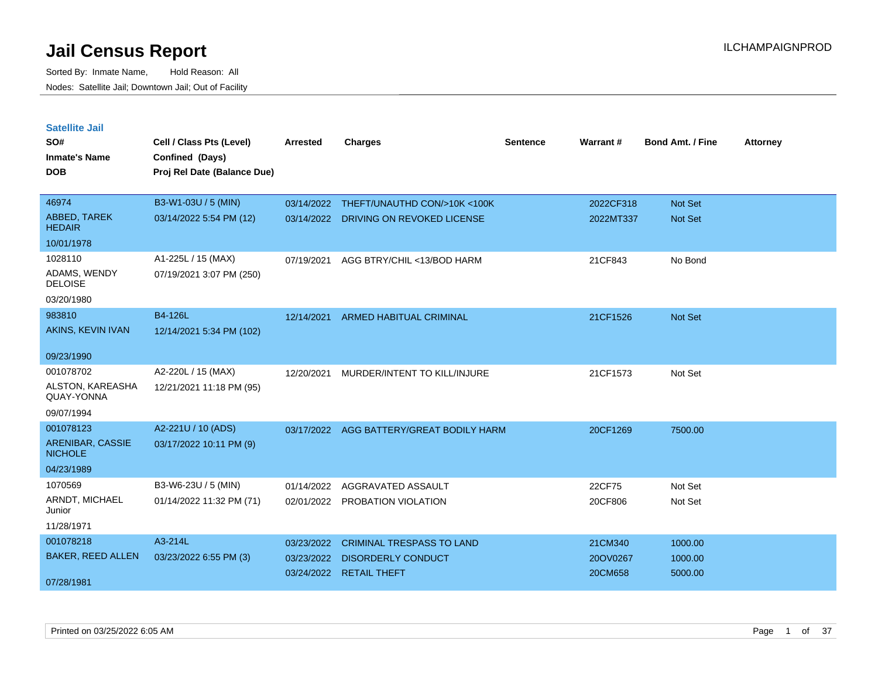| <b>Satellite Jail</b><br>SO#         | Cell / Class Pts (Level)    | <b>Arrested</b> | <b>Charges</b>                   | Sentence | Warrant#  | <b>Bond Amt. / Fine</b> | <b>Attorney</b> |
|--------------------------------------|-----------------------------|-----------------|----------------------------------|----------|-----------|-------------------------|-----------------|
| Inmate's Name                        | Confined (Days)             |                 |                                  |          |           |                         |                 |
| <b>DOB</b>                           | Proj Rel Date (Balance Due) |                 |                                  |          |           |                         |                 |
|                                      |                             |                 |                                  |          |           |                         |                 |
| 46974                                | B3-W1-03U / 5 (MIN)         | 03/14/2022      | THEFT/UNAUTHD CON/>10K <100K     |          | 2022CF318 | <b>Not Set</b>          |                 |
| <b>ABBED, TAREK</b><br><b>HEDAIR</b> | 03/14/2022 5:54 PM (12)     | 03/14/2022      | DRIVING ON REVOKED LICENSE       |          | 2022MT337 | <b>Not Set</b>          |                 |
| 10/01/1978                           |                             |                 |                                  |          |           |                         |                 |
| 1028110                              | A1-225L / 15 (MAX)          | 07/19/2021      | AGG BTRY/CHIL <13/BOD HARM       |          | 21CF843   | No Bond                 |                 |
| ADAMS, WENDY<br><b>DELOISE</b>       | 07/19/2021 3:07 PM (250)    |                 |                                  |          |           |                         |                 |
| 03/20/1980                           |                             |                 |                                  |          |           |                         |                 |
| 983810                               | B4-126L                     | 12/14/2021      | ARMED HABITUAL CRIMINAL          |          | 21CF1526  | Not Set                 |                 |
| AKINS, KEVIN IVAN                    | 12/14/2021 5:34 PM (102)    |                 |                                  |          |           |                         |                 |
| 09/23/1990                           |                             |                 |                                  |          |           |                         |                 |
| 001078702                            | A2-220L / 15 (MAX)          | 12/20/2021      | MURDER/INTENT TO KILL/INJURE     |          | 21CF1573  | Not Set                 |                 |
| ALSTON, KAREASHA<br>QUAY-YONNA       | 12/21/2021 11:18 PM (95)    |                 |                                  |          |           |                         |                 |
| 09/07/1994                           |                             |                 |                                  |          |           |                         |                 |
| 001078123                            | A2-221U / 10 (ADS)          | 03/17/2022      | AGG BATTERY/GREAT BODILY HARM    |          | 20CF1269  | 7500.00                 |                 |
| ARENIBAR, CASSIE<br><b>NICHOLE</b>   | 03/17/2022 10:11 PM (9)     |                 |                                  |          |           |                         |                 |
| 04/23/1989                           |                             |                 |                                  |          |           |                         |                 |
| 1070569                              | B3-W6-23U / 5 (MIN)         | 01/14/2022      | AGGRAVATED ASSAULT               |          | 22CF75    | Not Set                 |                 |
| ARNDT, MICHAEL<br>Junior             | 01/14/2022 11:32 PM (71)    |                 | 02/01/2022 PROBATION VIOLATION   |          | 20CF806   | Not Set                 |                 |
| 11/28/1971                           |                             |                 |                                  |          |           |                         |                 |
| 001078218                            | A3-214L                     | 03/23/2022      | <b>CRIMINAL TRESPASS TO LAND</b> |          | 21CM340   | 1000.00                 |                 |
| <b>BAKER, REED ALLEN</b>             | 03/23/2022 6:55 PM (3)      | 03/23/2022      | <b>DISORDERLY CONDUCT</b>        |          | 20OV0267  | 1000.00                 |                 |
| 07/28/1981                           |                             | 03/24/2022      | <b>RETAIL THEFT</b>              |          | 20CM658   | 5000.00                 |                 |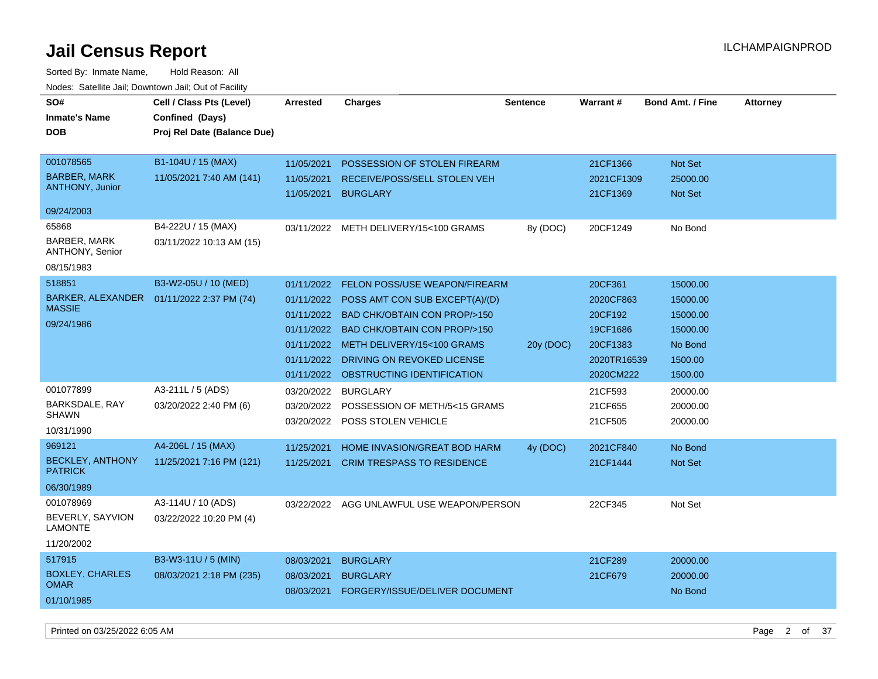| SO#<br><b>Inmate's Name</b><br><b>DOB</b>                                                                                                                                      | Cell / Class Pts (Level)<br>Confined (Days)<br>Proj Rel Date (Balance Due)                                                                       | <b>Arrested</b>                                                                  | <b>Charges</b>                                                                                                                                                                                                                                                                                                                                                                                                                                     | <b>Sentence</b>       | <b>Warrant#</b>                                                                                                                               | <b>Bond Amt. / Fine</b>                                                                                                                 | <b>Attorney</b> |
|--------------------------------------------------------------------------------------------------------------------------------------------------------------------------------|--------------------------------------------------------------------------------------------------------------------------------------------------|----------------------------------------------------------------------------------|----------------------------------------------------------------------------------------------------------------------------------------------------------------------------------------------------------------------------------------------------------------------------------------------------------------------------------------------------------------------------------------------------------------------------------------------------|-----------------------|-----------------------------------------------------------------------------------------------------------------------------------------------|-----------------------------------------------------------------------------------------------------------------------------------------|-----------------|
| 001078565<br><b>BARBER, MARK</b><br><b>ANTHONY, Junior</b>                                                                                                                     | B1-104U / 15 (MAX)<br>11/05/2021 7:40 AM (141)                                                                                                   | 11/05/2021<br>11/05/2021                                                         | POSSESSION OF STOLEN FIREARM<br>RECEIVE/POSS/SELL STOLEN VEH<br>11/05/2021 BURGLARY                                                                                                                                                                                                                                                                                                                                                                |                       | 21CF1366<br>2021CF1309<br>21CF1369                                                                                                            | Not Set<br>25000.00<br>Not Set                                                                                                          |                 |
| 09/24/2003                                                                                                                                                                     |                                                                                                                                                  |                                                                                  |                                                                                                                                                                                                                                                                                                                                                                                                                                                    |                       |                                                                                                                                               |                                                                                                                                         |                 |
| 65868<br><b>BARBER, MARK</b><br>ANTHONY, Senior                                                                                                                                | B4-222U / 15 (MAX)<br>03/11/2022 10:13 AM (15)                                                                                                   |                                                                                  | 03/11/2022 METH DELIVERY/15<100 GRAMS                                                                                                                                                                                                                                                                                                                                                                                                              | 8y (DOC)              | 20CF1249                                                                                                                                      | No Bond                                                                                                                                 |                 |
| 08/15/1983                                                                                                                                                                     |                                                                                                                                                  |                                                                                  |                                                                                                                                                                                                                                                                                                                                                                                                                                                    |                       |                                                                                                                                               |                                                                                                                                         |                 |
| 518851<br>BARKER, ALEXANDER<br><b>MASSIE</b><br>09/24/1986<br>001077899<br>BARKSDALE, RAY<br><b>SHAWN</b><br>10/31/1990<br>969121<br><b>BECKLEY, ANTHONY</b><br><b>PATRICK</b> | B3-W2-05U / 10 (MED)<br>01/11/2022 2:37 PM (74)<br>A3-211L / 5 (ADS)<br>03/20/2022 2:40 PM (6)<br>A4-206L / 15 (MAX)<br>11/25/2021 7:16 PM (121) | 01/11/2022<br>01/11/2022<br>01/11/2022<br>03/20/2022<br>11/25/2021<br>11/25/2021 | FELON POSS/USE WEAPON/FIREARM<br>01/11/2022 POSS AMT CON SUB EXCEPT(A)/(D)<br>01/11/2022 BAD CHK/OBTAIN CON PROP/>150<br>01/11/2022 BAD CHK/OBTAIN CON PROP/>150<br>01/11/2022 METH DELIVERY/15<100 GRAMS<br>DRIVING ON REVOKED LICENSE<br>OBSTRUCTING IDENTIFICATION<br><b>BURGLARY</b><br>03/20/2022 POSSESSION OF METH/5<15 GRAMS<br>03/20/2022 POSS STOLEN VEHICLE<br><b>HOME INVASION/GREAT BOD HARM</b><br><b>CRIM TRESPASS TO RESIDENCE</b> | 20y (DOC)<br>4y (DOC) | 20CF361<br>2020CF863<br>20CF192<br>19CF1686<br>20CF1383<br>2020TR16539<br>2020CM222<br>21CF593<br>21CF655<br>21CF505<br>2021CF840<br>21CF1444 | 15000.00<br>15000.00<br>15000.00<br>15000.00<br>No Bond<br>1500.00<br>1500.00<br>20000.00<br>20000.00<br>20000.00<br>No Bond<br>Not Set |                 |
| 06/30/1989                                                                                                                                                                     |                                                                                                                                                  |                                                                                  |                                                                                                                                                                                                                                                                                                                                                                                                                                                    |                       |                                                                                                                                               |                                                                                                                                         |                 |
| 001078969<br>BEVERLY, SAYVION<br><b>LAMONTE</b><br>11/20/2002                                                                                                                  | A3-114U / 10 (ADS)<br>03/22/2022 10:20 PM (4)                                                                                                    |                                                                                  | 03/22/2022 AGG UNLAWFUL USE WEAPON/PERSON                                                                                                                                                                                                                                                                                                                                                                                                          |                       | 22CF345                                                                                                                                       | Not Set                                                                                                                                 |                 |
| 517915<br><b>BOXLEY, CHARLES</b><br><b>OMAR</b><br>01/10/1985                                                                                                                  | B3-W3-11U / 5 (MIN)<br>08/03/2021 2:18 PM (235)                                                                                                  | 08/03/2021<br>08/03/2021<br>08/03/2021                                           | <b>BURGLARY</b><br><b>BURGLARY</b><br>FORGERY/ISSUE/DELIVER DOCUMENT                                                                                                                                                                                                                                                                                                                                                                               |                       | 21CF289<br>21CF679                                                                                                                            | 20000.00<br>20000.00<br>No Bond                                                                                                         |                 |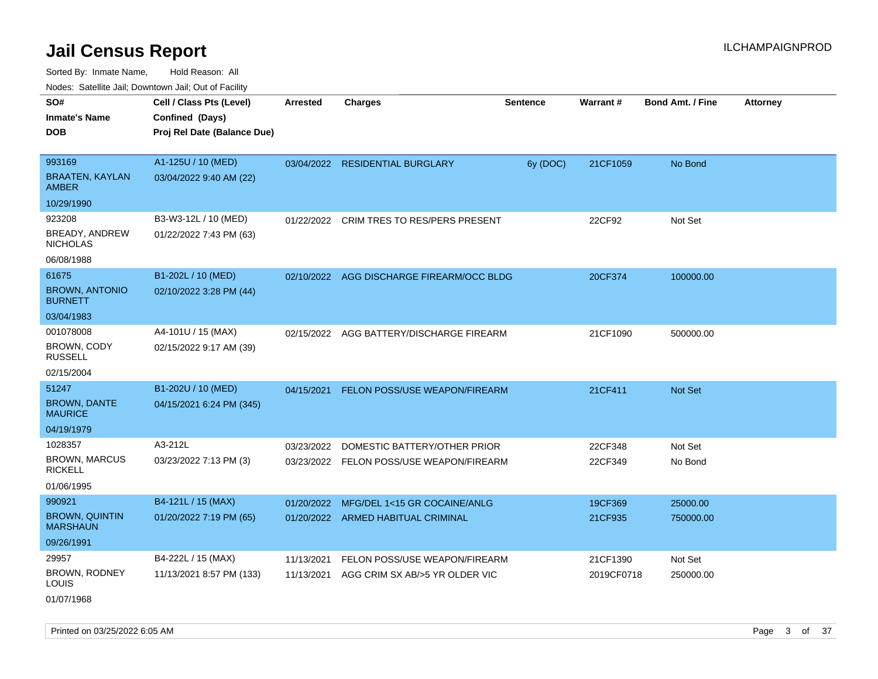Sorted By: Inmate Name, Hold Reason: All Nodes: Satellite Jail; Downtown Jail; Out of Facility

|                                          | Nodes: Satellite Jail; Downtown Jail; Out of Facility |                 |                                           |                 |            |                         |                 |
|------------------------------------------|-------------------------------------------------------|-----------------|-------------------------------------------|-----------------|------------|-------------------------|-----------------|
| SO#                                      | Cell / Class Pts (Level)                              | <b>Arrested</b> | <b>Charges</b>                            | <b>Sentence</b> | Warrant#   | <b>Bond Amt. / Fine</b> | <b>Attorney</b> |
| <b>Inmate's Name</b>                     | Confined (Days)                                       |                 |                                           |                 |            |                         |                 |
| <b>DOB</b>                               | Proj Rel Date (Balance Due)                           |                 |                                           |                 |            |                         |                 |
|                                          |                                                       |                 |                                           |                 |            |                         |                 |
| 993169                                   | A1-125U / 10 (MED)                                    |                 | 03/04/2022 RESIDENTIAL BURGLARY           | 6y (DOC)        | 21CF1059   | No Bond                 |                 |
| <b>BRAATEN, KAYLAN</b><br><b>AMBER</b>   | 03/04/2022 9:40 AM (22)                               |                 |                                           |                 |            |                         |                 |
| 10/29/1990                               |                                                       |                 |                                           |                 |            |                         |                 |
| 923208                                   | B3-W3-12L / 10 (MED)                                  |                 | 01/22/2022 CRIM TRES TO RES/PERS PRESENT  |                 | 22CF92     | Not Set                 |                 |
| BREADY, ANDREW<br><b>NICHOLAS</b>        | 01/22/2022 7:43 PM (63)                               |                 |                                           |                 |            |                         |                 |
| 06/08/1988                               |                                                       |                 |                                           |                 |            |                         |                 |
| 61675                                    | B1-202L / 10 (MED)                                    |                 | 02/10/2022 AGG DISCHARGE FIREARM/OCC BLDG |                 | 20CF374    | 100000.00               |                 |
| <b>BROWN, ANTONIO</b><br><b>BURNETT</b>  | 02/10/2022 3:28 PM (44)                               |                 |                                           |                 |            |                         |                 |
| 03/04/1983                               |                                                       |                 |                                           |                 |            |                         |                 |
| 001078008                                | A4-101U / 15 (MAX)                                    | 02/15/2022      | AGG BATTERY/DISCHARGE FIREARM             |                 | 21CF1090   | 500000.00               |                 |
| BROWN, CODY<br><b>RUSSELL</b>            | 02/15/2022 9:17 AM (39)                               |                 |                                           |                 |            |                         |                 |
| 02/15/2004                               |                                                       |                 |                                           |                 |            |                         |                 |
| 51247                                    | B1-202U / 10 (MED)                                    | 04/15/2021      | <b>FELON POSS/USE WEAPON/FIREARM</b>      |                 | 21CF411    | Not Set                 |                 |
| <b>BROWN, DANTE</b><br><b>MAURICE</b>    | 04/15/2021 6:24 PM (345)                              |                 |                                           |                 |            |                         |                 |
| 04/19/1979                               |                                                       |                 |                                           |                 |            |                         |                 |
| 1028357                                  | A3-212L                                               | 03/23/2022      | DOMESTIC BATTERY/OTHER PRIOR              |                 | 22CF348    | Not Set                 |                 |
| <b>BROWN, MARCUS</b><br><b>RICKELL</b>   | 03/23/2022 7:13 PM (3)                                |                 | 03/23/2022 FELON POSS/USE WEAPON/FIREARM  |                 | 22CF349    | No Bond                 |                 |
| 01/06/1995                               |                                                       |                 |                                           |                 |            |                         |                 |
| 990921                                   | B4-121L / 15 (MAX)                                    | 01/20/2022      | MFG/DEL 1<15 GR COCAINE/ANLG              |                 | 19CF369    | 25000.00                |                 |
| <b>BROWN, QUINTIN</b><br><b>MARSHAUN</b> | 01/20/2022 7:19 PM (65)                               | 01/20/2022      | <b>ARMED HABITUAL CRIMINAL</b>            |                 | 21CF935    | 750000.00               |                 |
| 09/26/1991                               |                                                       |                 |                                           |                 |            |                         |                 |
| 29957                                    | B4-222L / 15 (MAX)                                    | 11/13/2021      | FELON POSS/USE WEAPON/FIREARM             |                 | 21CF1390   | Not Set                 |                 |
| BROWN, RODNEY<br>LOUIS                   | 11/13/2021 8:57 PM (133)                              | 11/13/2021      | AGG CRIM SX AB/>5 YR OLDER VIC            |                 | 2019CF0718 | 250000.00               |                 |

01/07/1968

Printed on 03/25/2022 6:05 AM Page 3 of 37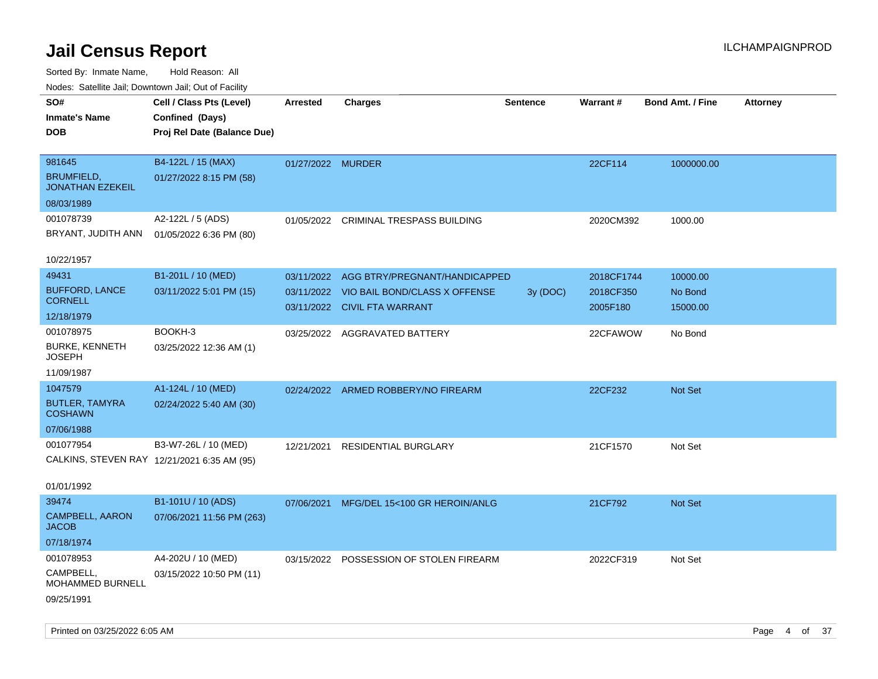| rougs. Calcing Jan, Downtown Jan, Out of Facility |                             |                   |                                         |                 |            |                         |                 |
|---------------------------------------------------|-----------------------------|-------------------|-----------------------------------------|-----------------|------------|-------------------------|-----------------|
| SO#                                               | Cell / Class Pts (Level)    | <b>Arrested</b>   | <b>Charges</b>                          | <b>Sentence</b> | Warrant#   | <b>Bond Amt. / Fine</b> | <b>Attorney</b> |
| <b>Inmate's Name</b>                              | Confined (Days)             |                   |                                         |                 |            |                         |                 |
| <b>DOB</b>                                        | Proj Rel Date (Balance Due) |                   |                                         |                 |            |                         |                 |
|                                                   |                             |                   |                                         |                 |            |                         |                 |
| 981645                                            | B4-122L / 15 (MAX)          | 01/27/2022 MURDER |                                         |                 | 22CF114    | 1000000.00              |                 |
| <b>BRUMFIELD,</b><br><b>JONATHAN EZEKEIL</b>      | 01/27/2022 8:15 PM (58)     |                   |                                         |                 |            |                         |                 |
| 08/03/1989                                        |                             |                   |                                         |                 |            |                         |                 |
| 001078739                                         | A2-122L / 5 (ADS)           | 01/05/2022        | CRIMINAL TRESPASS BUILDING              |                 | 2020CM392  | 1000.00                 |                 |
| BRYANT, JUDITH ANN                                | 01/05/2022 6:36 PM (80)     |                   |                                         |                 |            |                         |                 |
|                                                   |                             |                   |                                         |                 |            |                         |                 |
| 10/22/1957                                        |                             |                   |                                         |                 |            |                         |                 |
| 49431                                             | B1-201L / 10 (MED)          | 03/11/2022        | AGG BTRY/PREGNANT/HANDICAPPED           |                 | 2018CF1744 | 10000.00                |                 |
| <b>BUFFORD, LANCE</b>                             | 03/11/2022 5:01 PM (15)     | 03/11/2022        | VIO BAIL BOND/CLASS X OFFENSE           | 3y (DOC)        | 2018CF350  | No Bond                 |                 |
| <b>CORNELL</b>                                    |                             |                   | 03/11/2022 CIVIL FTA WARRANT            |                 | 2005F180   | 15000.00                |                 |
| 12/18/1979                                        |                             |                   |                                         |                 |            |                         |                 |
| 001078975                                         | BOOKH-3                     |                   | 03/25/2022 AGGRAVATED BATTERY           |                 | 22CFAWOW   | No Bond                 |                 |
| <b>BURKE, KENNETH</b><br><b>JOSEPH</b>            | 03/25/2022 12:36 AM (1)     |                   |                                         |                 |            |                         |                 |
| 11/09/1987                                        |                             |                   |                                         |                 |            |                         |                 |
| 1047579                                           | A1-124L / 10 (MED)          |                   | 02/24/2022 ARMED ROBBERY/NO FIREARM     |                 | 22CF232    | Not Set                 |                 |
| <b>BUTLER, TAMYRA</b><br><b>COSHAWN</b>           | 02/24/2022 5:40 AM (30)     |                   |                                         |                 |            |                         |                 |
| 07/06/1988                                        |                             |                   |                                         |                 |            |                         |                 |
| 001077954                                         | B3-W7-26L / 10 (MED)        | 12/21/2021        | <b>RESIDENTIAL BURGLARY</b>             |                 | 21CF1570   | Not Set                 |                 |
| CALKINS, STEVEN RAY 12/21/2021 6:35 AM (95)       |                             |                   |                                         |                 |            |                         |                 |
|                                                   |                             |                   |                                         |                 |            |                         |                 |
| 01/01/1992                                        |                             |                   |                                         |                 |            |                         |                 |
| 39474                                             | B1-101U / 10 (ADS)          | 07/06/2021        | MFG/DEL 15<100 GR HEROIN/ANLG           |                 | 21CF792    | Not Set                 |                 |
| CAMPBELL, AARON<br><b>JACOB</b>                   | 07/06/2021 11:56 PM (263)   |                   |                                         |                 |            |                         |                 |
| 07/18/1974                                        |                             |                   |                                         |                 |            |                         |                 |
| 001078953                                         | A4-202U / 10 (MED)          |                   | 03/15/2022 POSSESSION OF STOLEN FIREARM |                 | 2022CF319  | Not Set                 |                 |
| CAMPBELL,<br><b>MOHAMMED BURNELL</b>              | 03/15/2022 10:50 PM (11)    |                   |                                         |                 |            |                         |                 |
| 09/25/1991                                        |                             |                   |                                         |                 |            |                         |                 |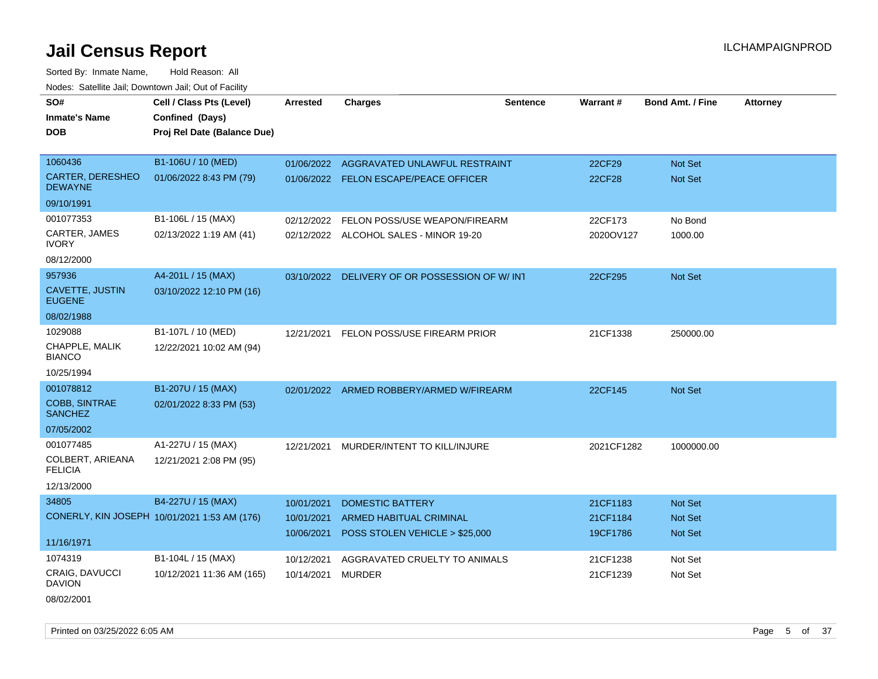Sorted By: Inmate Name, Hold Reason: All Nodes: Satellite Jail; Downtown Jail; Out of Facility

| SO#                                       | Cell / Class Pts (Level)                     | <b>Arrested</b> | <b>Charges</b>                                | <b>Sentence</b> | Warrant#      | <b>Bond Amt. / Fine</b> | <b>Attorney</b> |
|-------------------------------------------|----------------------------------------------|-----------------|-----------------------------------------------|-----------------|---------------|-------------------------|-----------------|
| <b>Inmate's Name</b>                      | Confined (Days)                              |                 |                                               |                 |               |                         |                 |
| <b>DOB</b>                                | Proj Rel Date (Balance Due)                  |                 |                                               |                 |               |                         |                 |
| 1060436                                   | B1-106U / 10 (MED)                           |                 | 01/06/2022 AGGRAVATED UNLAWFUL RESTRAINT      |                 | 22CF29        | Not Set                 |                 |
| <b>CARTER, DERESHEO</b><br><b>DEWAYNE</b> | 01/06/2022 8:43 PM (79)                      |                 | 01/06/2022 FELON ESCAPE/PEACE OFFICER         |                 | <b>22CF28</b> | Not Set                 |                 |
| 09/10/1991                                |                                              |                 |                                               |                 |               |                         |                 |
| 001077353                                 | B1-106L / 15 (MAX)                           | 02/12/2022      | FELON POSS/USE WEAPON/FIREARM                 |                 | 22CF173       | No Bond                 |                 |
| CARTER, JAMES<br><b>IVORY</b>             | 02/13/2022 1:19 AM (41)                      |                 | 02/12/2022 ALCOHOL SALES - MINOR 19-20        |                 | 2020OV127     | 1000.00                 |                 |
| 08/12/2000                                |                                              |                 |                                               |                 |               |                         |                 |
| 957936                                    | A4-201L / 15 (MAX)                           |                 | 03/10/2022 DELIVERY OF OR POSSESSION OF W/INT |                 | 22CF295       | <b>Not Set</b>          |                 |
| CAVETTE, JUSTIN<br><b>EUGENE</b>          | 03/10/2022 12:10 PM (16)                     |                 |                                               |                 |               |                         |                 |
| 08/02/1988                                |                                              |                 |                                               |                 |               |                         |                 |
| 1029088                                   | B1-107L / 10 (MED)                           |                 | 12/21/2021 FELON POSS/USE FIREARM PRIOR       |                 | 21CF1338      | 250000.00               |                 |
| CHAPPLE, MALIK<br><b>BIANCO</b>           | 12/22/2021 10:02 AM (94)                     |                 |                                               |                 |               |                         |                 |
| 10/25/1994                                |                                              |                 |                                               |                 |               |                         |                 |
| 001078812                                 | B1-207U / 15 (MAX)                           |                 | 02/01/2022 ARMED ROBBERY/ARMED W/FIREARM      |                 | 22CF145       | Not Set                 |                 |
| <b>COBB, SINTRAE</b><br><b>SANCHEZ</b>    | 02/01/2022 8:33 PM (53)                      |                 |                                               |                 |               |                         |                 |
| 07/05/2002                                |                                              |                 |                                               |                 |               |                         |                 |
| 001077485                                 | A1-227U / 15 (MAX)                           | 12/21/2021      | MURDER/INTENT TO KILL/INJURE                  |                 | 2021CF1282    | 1000000.00              |                 |
| COLBERT, ARIEANA<br><b>FELICIA</b>        | 12/21/2021 2:08 PM (95)                      |                 |                                               |                 |               |                         |                 |
| 12/13/2000                                |                                              |                 |                                               |                 |               |                         |                 |
| 34805                                     | B4-227U / 15 (MAX)                           | 10/01/2021      | <b>DOMESTIC BATTERY</b>                       |                 | 21CF1183      | Not Set                 |                 |
|                                           | CONERLY, KIN JOSEPH 10/01/2021 1:53 AM (176) | 10/01/2021      | ARMED HABITUAL CRIMINAL                       |                 | 21CF1184      | Not Set                 |                 |
|                                           |                                              | 10/06/2021      | POSS STOLEN VEHICLE > \$25,000                |                 | 19CF1786      | <b>Not Set</b>          |                 |
| 11/16/1971                                |                                              |                 |                                               |                 |               |                         |                 |
| 1074319                                   | B1-104L / 15 (MAX)                           | 10/12/2021      | AGGRAVATED CRUELTY TO ANIMALS                 |                 | 21CF1238      | Not Set                 |                 |
| CRAIG, DAVUCCI<br><b>DAVION</b>           | 10/12/2021 11:36 AM (165)                    | 10/14/2021      | <b>MURDER</b>                                 |                 | 21CF1239      | Not Set                 |                 |

08/02/2001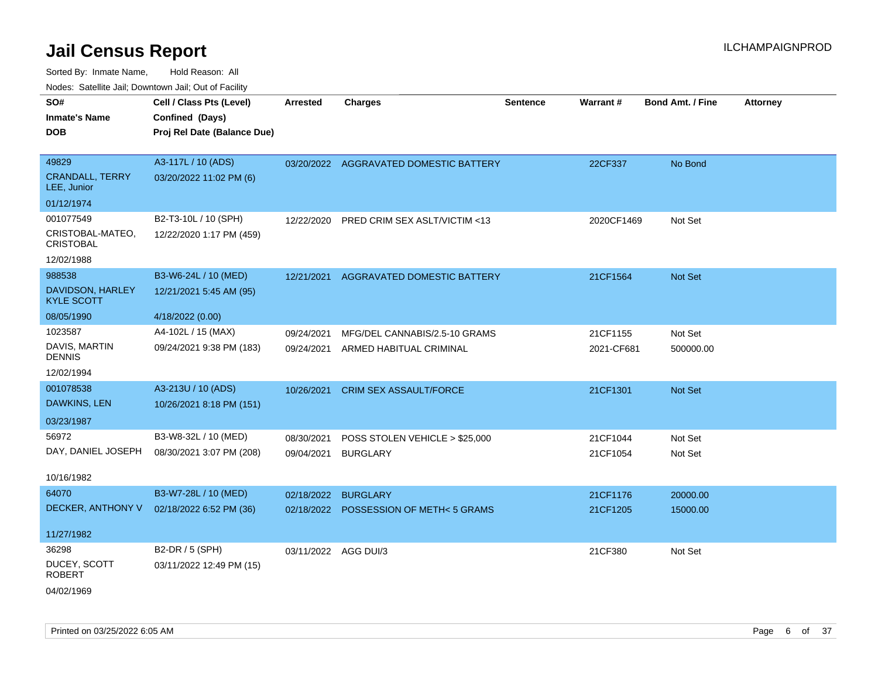Sorted By: Inmate Name, Hold Reason: All Nodes: Satellite Jail; Downtown Jail; Out of Facility

| SO#<br>Inmate's Name<br><b>DOB</b>    | Cell / Class Pts (Level)<br>Confined (Days)<br>Proj Rel Date (Balance Due) | <b>Arrested</b>      | <b>Charges</b>                         | <b>Sentence</b> | Warrant#   | <b>Bond Amt. / Fine</b> | <b>Attorney</b> |
|---------------------------------------|----------------------------------------------------------------------------|----------------------|----------------------------------------|-----------------|------------|-------------------------|-----------------|
|                                       |                                                                            |                      |                                        |                 |            |                         |                 |
| 49829                                 | A3-117L / 10 (ADS)                                                         |                      | 03/20/2022 AGGRAVATED DOMESTIC BATTERY |                 | 22CF337    | No Bond                 |                 |
| <b>CRANDALL, TERRY</b><br>LEE, Junior | 03/20/2022 11:02 PM (6)                                                    |                      |                                        |                 |            |                         |                 |
| 01/12/1974                            |                                                                            |                      |                                        |                 |            |                         |                 |
| 001077549                             | B2-T3-10L / 10 (SPH)                                                       | 12/22/2020           | PRED CRIM SEX ASLT/VICTIM <13          |                 | 2020CF1469 | Not Set                 |                 |
| CRISTOBAL-MATEO,<br><b>CRISTOBAL</b>  | 12/22/2020 1:17 PM (459)                                                   |                      |                                        |                 |            |                         |                 |
| 12/02/1988                            |                                                                            |                      |                                        |                 |            |                         |                 |
| 988538                                | B3-W6-24L / 10 (MED)                                                       | 12/21/2021           | AGGRAVATED DOMESTIC BATTERY            |                 | 21CF1564   | Not Set                 |                 |
| DAVIDSON, HARLEY<br><b>KYLE SCOTT</b> | 12/21/2021 5:45 AM (95)                                                    |                      |                                        |                 |            |                         |                 |
| 08/05/1990                            | 4/18/2022 (0.00)                                                           |                      |                                        |                 |            |                         |                 |
| 1023587                               | A4-102L / 15 (MAX)                                                         | 09/24/2021           | MFG/DEL CANNABIS/2.5-10 GRAMS          |                 | 21CF1155   | Not Set                 |                 |
| DAVIS, MARTIN<br><b>DENNIS</b>        | 09/24/2021 9:38 PM (183)                                                   | 09/24/2021           | ARMED HABITUAL CRIMINAL                |                 | 2021-CF681 | 500000.00               |                 |
| 12/02/1994                            |                                                                            |                      |                                        |                 |            |                         |                 |
| 001078538                             | A3-213U / 10 (ADS)                                                         | 10/26/2021           | <b>CRIM SEX ASSAULT/FORCE</b>          |                 | 21CF1301   | Not Set                 |                 |
| DAWKINS, LEN                          | 10/26/2021 8:18 PM (151)                                                   |                      |                                        |                 |            |                         |                 |
| 03/23/1987                            |                                                                            |                      |                                        |                 |            |                         |                 |
| 56972                                 | B3-W8-32L / 10 (MED)                                                       | 08/30/2021           | POSS STOLEN VEHICLE > \$25,000         |                 | 21CF1044   | Not Set                 |                 |
| DAY, DANIEL JOSEPH                    | 08/30/2021 3:07 PM (208)                                                   | 09/04/2021           | <b>BURGLARY</b>                        |                 | 21CF1054   | Not Set                 |                 |
| 10/16/1982                            |                                                                            |                      |                                        |                 |            |                         |                 |
| 64070                                 | B3-W7-28L / 10 (MED)                                                       | 02/18/2022           | <b>BURGLARY</b>                        |                 | 21CF1176   | 20000.00                |                 |
| DECKER, ANTHONY V                     | 02/18/2022 6:52 PM (36)                                                    |                      | 02/18/2022 POSSESSION OF METH<5 GRAMS  |                 | 21CF1205   | 15000.00                |                 |
| 11/27/1982                            |                                                                            |                      |                                        |                 |            |                         |                 |
| 36298                                 | B2-DR / 5 (SPH)                                                            | 03/11/2022 AGG DUI/3 |                                        |                 | 21CF380    | Not Set                 |                 |
| DUCEY, SCOTT<br>ROBERT                | 03/11/2022 12:49 PM (15)                                                   |                      |                                        |                 |            |                         |                 |
|                                       |                                                                            |                      |                                        |                 |            |                         |                 |

04/02/1969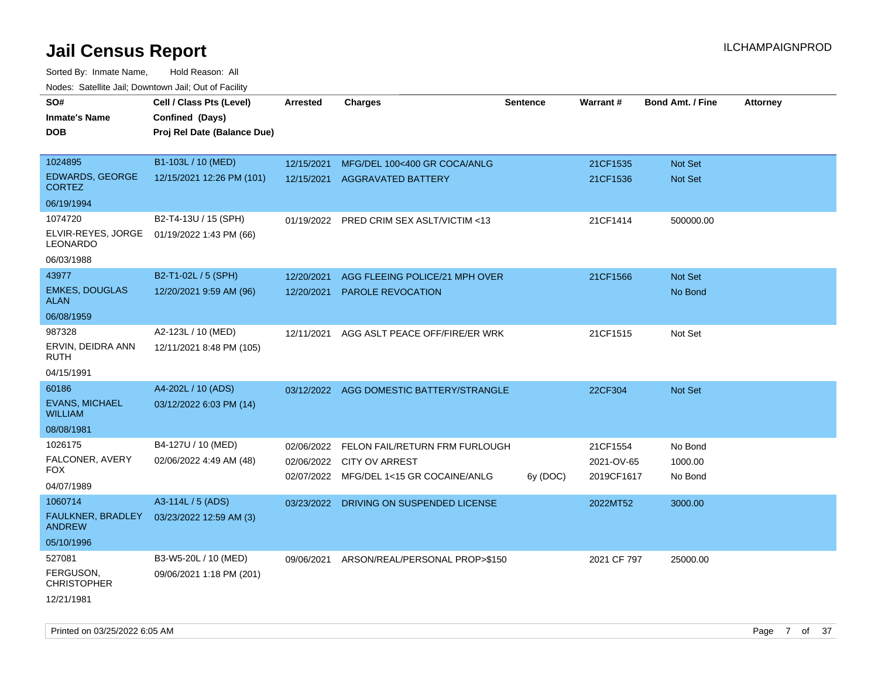| roacs. Catellite Jall, Downtown Jall, Out of Facility |                                             |                 |                                           |                 |             |                         |                 |
|-------------------------------------------------------|---------------------------------------------|-----------------|-------------------------------------------|-----------------|-------------|-------------------------|-----------------|
| SO#<br><b>Inmate's Name</b>                           | Cell / Class Pts (Level)<br>Confined (Days) | <b>Arrested</b> | <b>Charges</b>                            | <b>Sentence</b> | Warrant#    | <b>Bond Amt. / Fine</b> | <b>Attorney</b> |
| <b>DOB</b>                                            | Proj Rel Date (Balance Due)                 |                 |                                           |                 |             |                         |                 |
|                                                       |                                             |                 |                                           |                 |             |                         |                 |
| 1024895                                               | B1-103L / 10 (MED)                          | 12/15/2021      | MFG/DEL 100<400 GR COCA/ANLG              |                 | 21CF1535    | <b>Not Set</b>          |                 |
| EDWARDS, GEORGE<br><b>CORTEZ</b>                      | 12/15/2021 12:26 PM (101)                   | 12/15/2021      | <b>AGGRAVATED BATTERY</b>                 |                 | 21CF1536    | <b>Not Set</b>          |                 |
| 06/19/1994                                            |                                             |                 |                                           |                 |             |                         |                 |
| 1074720                                               | B2-T4-13U / 15 (SPH)                        |                 | 01/19/2022 PRED CRIM SEX ASLT/VICTIM <13  |                 | 21CF1414    | 500000.00               |                 |
| ELVIR-REYES, JORGE<br>LEONARDO                        | 01/19/2022 1:43 PM (66)                     |                 |                                           |                 |             |                         |                 |
| 06/03/1988                                            |                                             |                 |                                           |                 |             |                         |                 |
| 43977                                                 | B2-T1-02L / 5 (SPH)                         | 12/20/2021      | AGG FLEEING POLICE/21 MPH OVER            |                 | 21CF1566    | Not Set                 |                 |
| <b>EMKES, DOUGLAS</b><br><b>ALAN</b>                  | 12/20/2021 9:59 AM (96)                     | 12/20/2021      | <b>PAROLE REVOCATION</b>                  |                 |             | No Bond                 |                 |
| 06/08/1959                                            |                                             |                 |                                           |                 |             |                         |                 |
| 987328                                                | A2-123L / 10 (MED)                          | 12/11/2021      | AGG ASLT PEACE OFF/FIRE/ER WRK            |                 | 21CF1515    | Not Set                 |                 |
| ERVIN, DEIDRA ANN<br><b>RUTH</b>                      | 12/11/2021 8:48 PM (105)                    |                 |                                           |                 |             |                         |                 |
| 04/15/1991                                            |                                             |                 |                                           |                 |             |                         |                 |
| 60186                                                 | A4-202L / 10 (ADS)                          |                 | 03/12/2022 AGG DOMESTIC BATTERY/STRANGLE  |                 | 22CF304     | <b>Not Set</b>          |                 |
| <b>EVANS, MICHAEL</b><br><b>WILLIAM</b>               | 03/12/2022 6:03 PM (14)                     |                 |                                           |                 |             |                         |                 |
| 08/08/1981                                            |                                             |                 |                                           |                 |             |                         |                 |
| 1026175                                               | B4-127U / 10 (MED)                          | 02/06/2022      | FELON FAIL/RETURN FRM FURLOUGH            |                 | 21CF1554    | No Bond                 |                 |
| FALCONER, AVERY                                       | 02/06/2022 4:49 AM (48)                     |                 | 02/06/2022 CITY OV ARREST                 |                 | 2021-OV-65  | 1000.00                 |                 |
| <b>FOX</b>                                            |                                             | 02/07/2022      | MFG/DEL 1<15 GR COCAINE/ANLG              | 6y (DOC)        | 2019CF1617  | No Bond                 |                 |
| 04/07/1989                                            |                                             |                 |                                           |                 |             |                         |                 |
| 1060714                                               | A3-114L / 5 (ADS)                           |                 | 03/23/2022 DRIVING ON SUSPENDED LICENSE   |                 | 2022MT52    | 3000.00                 |                 |
| FAULKNER, BRADLEY<br><b>ANDREW</b>                    | 03/23/2022 12:59 AM (3)                     |                 |                                           |                 |             |                         |                 |
| 05/10/1996                                            |                                             |                 |                                           |                 |             |                         |                 |
| 527081                                                | B3-W5-20L / 10 (MED)                        |                 | 09/06/2021 ARSON/REAL/PERSONAL PROP>\$150 |                 | 2021 CF 797 | 25000.00                |                 |
| FERGUSON,<br><b>CHRISTOPHER</b>                       | 09/06/2021 1:18 PM (201)                    |                 |                                           |                 |             |                         |                 |
| 12/21/1981                                            |                                             |                 |                                           |                 |             |                         |                 |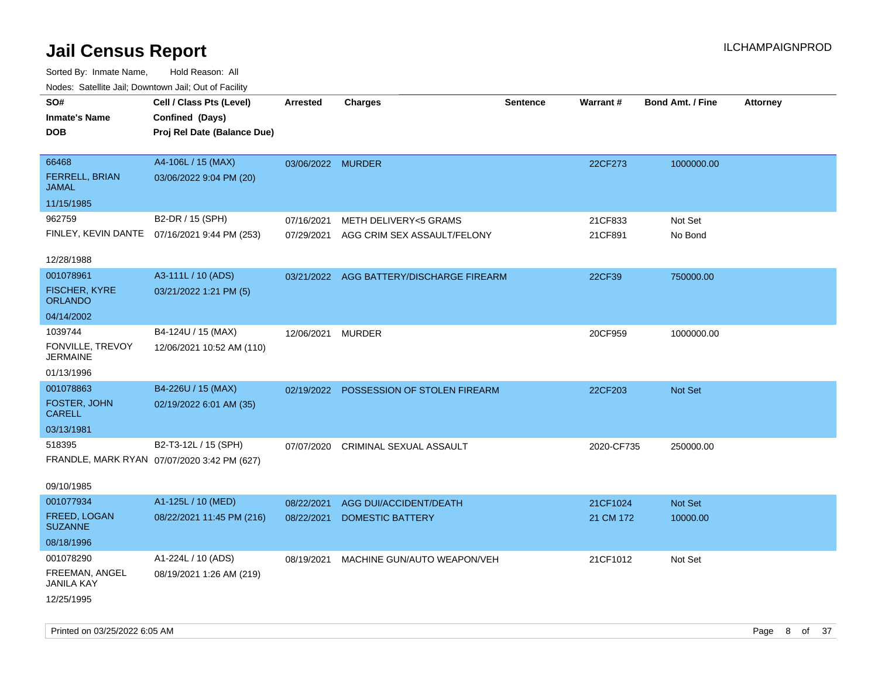| rougs. Calcing Jan, Downtown Jan, Out of Facility |                                              |                   |                                          |                 |                 |                         |                 |
|---------------------------------------------------|----------------------------------------------|-------------------|------------------------------------------|-----------------|-----------------|-------------------------|-----------------|
| SO#                                               | Cell / Class Pts (Level)                     | <b>Arrested</b>   | <b>Charges</b>                           | <b>Sentence</b> | <b>Warrant#</b> | <b>Bond Amt. / Fine</b> | <b>Attorney</b> |
| <b>Inmate's Name</b>                              | Confined (Days)                              |                   |                                          |                 |                 |                         |                 |
| <b>DOB</b>                                        | Proj Rel Date (Balance Due)                  |                   |                                          |                 |                 |                         |                 |
|                                                   |                                              |                   |                                          |                 |                 |                         |                 |
| 66468                                             | A4-106L / 15 (MAX)                           | 03/06/2022 MURDER |                                          |                 | 22CF273         | 1000000.00              |                 |
| FERRELL, BRIAN<br><b>JAMAL</b>                    | 03/06/2022 9:04 PM (20)                      |                   |                                          |                 |                 |                         |                 |
| 11/15/1985                                        |                                              |                   |                                          |                 |                 |                         |                 |
| 962759                                            | B2-DR / 15 (SPH)                             | 07/16/2021        | METH DELIVERY<5 GRAMS                    |                 | 21CF833         | Not Set                 |                 |
|                                                   | FINLEY, KEVIN DANTE 07/16/2021 9:44 PM (253) | 07/29/2021        | AGG CRIM SEX ASSAULT/FELONY              |                 | 21CF891         | No Bond                 |                 |
|                                                   |                                              |                   |                                          |                 |                 |                         |                 |
| 12/28/1988                                        |                                              |                   |                                          |                 |                 |                         |                 |
| 001078961                                         | A3-111L / 10 (ADS)                           |                   | 03/21/2022 AGG BATTERY/DISCHARGE FIREARM |                 | 22CF39          | 750000.00               |                 |
| <b>FISCHER, KYRE</b><br><b>ORLANDO</b>            | 03/21/2022 1:21 PM (5)                       |                   |                                          |                 |                 |                         |                 |
| 04/14/2002                                        |                                              |                   |                                          |                 |                 |                         |                 |
| 1039744                                           | B4-124U / 15 (MAX)                           | 12/06/2021        | MURDER                                   |                 | 20CF959         | 1000000.00              |                 |
| FONVILLE, TREVOY<br><b>JERMAINE</b>               | 12/06/2021 10:52 AM (110)                    |                   |                                          |                 |                 |                         |                 |
| 01/13/1996                                        |                                              |                   |                                          |                 |                 |                         |                 |
| 001078863                                         | B4-226U / 15 (MAX)                           |                   | 02/19/2022 POSSESSION OF STOLEN FIREARM  |                 | 22CF203         | Not Set                 |                 |
| FOSTER, JOHN<br><b>CARELL</b>                     | 02/19/2022 6:01 AM (35)                      |                   |                                          |                 |                 |                         |                 |
| 03/13/1981                                        |                                              |                   |                                          |                 |                 |                         |                 |
| 518395                                            | B2-T3-12L / 15 (SPH)                         |                   | 07/07/2020 CRIMINAL SEXUAL ASSAULT       |                 | 2020-CF735      | 250000.00               |                 |
|                                                   | FRANDLE, MARK RYAN 07/07/2020 3:42 PM (627)  |                   |                                          |                 |                 |                         |                 |
|                                                   |                                              |                   |                                          |                 |                 |                         |                 |
| 09/10/1985                                        |                                              |                   |                                          |                 |                 |                         |                 |
| 001077934                                         | A1-125L / 10 (MED)                           | 08/22/2021        | AGG DUI/ACCIDENT/DEATH                   |                 | 21CF1024        | Not Set                 |                 |
| FREED, LOGAN<br><b>SUZANNE</b>                    | 08/22/2021 11:45 PM (216)                    | 08/22/2021        | <b>DOMESTIC BATTERY</b>                  |                 | 21 CM 172       | 10000.00                |                 |
| 08/18/1996                                        |                                              |                   |                                          |                 |                 |                         |                 |
| 001078290                                         | A1-224L / 10 (ADS)                           | 08/19/2021        | MACHINE GUN/AUTO WEAPON/VEH              |                 | 21CF1012        | Not Set                 |                 |
| FREEMAN, ANGEL<br><b>JANILA KAY</b>               | 08/19/2021 1:26 AM (219)                     |                   |                                          |                 |                 |                         |                 |
| 12/25/1995                                        |                                              |                   |                                          |                 |                 |                         |                 |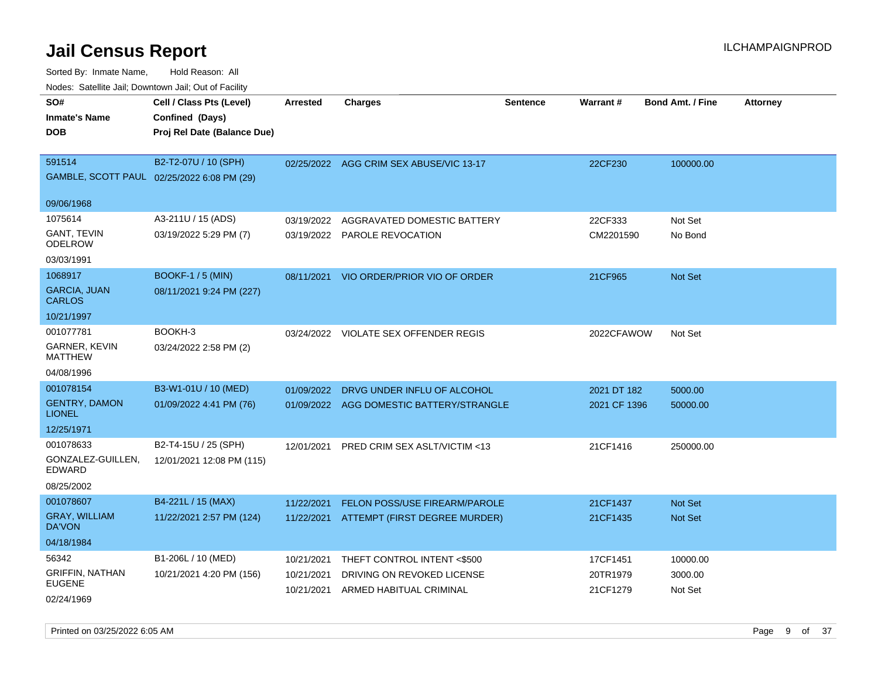| rouco. Calcinic Jan, Downtown Jan, Out of Facility |                                            |                 |                                          |                 |                 |                         |                 |
|----------------------------------------------------|--------------------------------------------|-----------------|------------------------------------------|-----------------|-----------------|-------------------------|-----------------|
| SO#                                                | Cell / Class Pts (Level)                   | <b>Arrested</b> | <b>Charges</b>                           | <b>Sentence</b> | <b>Warrant#</b> | <b>Bond Amt. / Fine</b> | <b>Attorney</b> |
| Inmate's Name                                      | Confined (Days)                            |                 |                                          |                 |                 |                         |                 |
| DOB                                                | Proj Rel Date (Balance Due)                |                 |                                          |                 |                 |                         |                 |
|                                                    |                                            |                 |                                          |                 |                 |                         |                 |
| 591514                                             | B2-T2-07U / 10 (SPH)                       |                 | 02/25/2022 AGG CRIM SEX ABUSE/VIC 13-17  |                 | 22CF230         | 100000.00               |                 |
|                                                    | GAMBLE, SCOTT PAUL 02/25/2022 6:08 PM (29) |                 |                                          |                 |                 |                         |                 |
|                                                    |                                            |                 |                                          |                 |                 |                         |                 |
| 09/06/1968                                         |                                            |                 |                                          |                 |                 |                         |                 |
| 1075614                                            | A3-211U / 15 (ADS)                         | 03/19/2022      | AGGRAVATED DOMESTIC BATTERY              |                 | 22CF333         | Not Set                 |                 |
| GANT, TEVIN<br>ODELROW                             | 03/19/2022 5:29 PM (7)                     |                 | 03/19/2022 PAROLE REVOCATION             |                 | CM2201590       | No Bond                 |                 |
| 03/03/1991                                         |                                            |                 |                                          |                 |                 |                         |                 |
| 1068917                                            | <b>BOOKF-1/5 (MIN)</b>                     | 08/11/2021      | VIO ORDER/PRIOR VIO OF ORDER             |                 | 21CF965         | <b>Not Set</b>          |                 |
| <b>GARCIA, JUAN</b><br>CARLOS                      | 08/11/2021 9:24 PM (227)                   |                 |                                          |                 |                 |                         |                 |
| 10/21/1997                                         |                                            |                 |                                          |                 |                 |                         |                 |
| 001077781                                          | BOOKH-3                                    |                 | 03/24/2022 VIOLATE SEX OFFENDER REGIS    |                 | 2022CFAWOW      | Not Set                 |                 |
| <b>GARNER, KEVIN</b><br>MATTHEW                    | 03/24/2022 2:58 PM (2)                     |                 |                                          |                 |                 |                         |                 |
| 04/08/1996                                         |                                            |                 |                                          |                 |                 |                         |                 |
| 001078154                                          | B3-W1-01U / 10 (MED)                       | 01/09/2022      | DRVG UNDER INFLU OF ALCOHOL              |                 | 2021 DT 182     | 5000.00                 |                 |
| <b>GENTRY, DAMON</b><br>LIONEL                     | 01/09/2022 4:41 PM (76)                    |                 | 01/09/2022 AGG DOMESTIC BATTERY/STRANGLE |                 | 2021 CF 1396    | 50000.00                |                 |
| 12/25/1971                                         |                                            |                 |                                          |                 |                 |                         |                 |
| 001078633                                          | B2-T4-15U / 25 (SPH)                       | 12/01/2021      | PRED CRIM SEX ASLT/VICTIM <13            |                 | 21CF1416        | 250000.00               |                 |
| GONZALEZ-GUILLEN,<br>EDWARD                        | 12/01/2021 12:08 PM (115)                  |                 |                                          |                 |                 |                         |                 |
| 08/25/2002                                         |                                            |                 |                                          |                 |                 |                         |                 |
| 001078607                                          | B4-221L / 15 (MAX)                         | 11/22/2021      | <b>FELON POSS/USE FIREARM/PAROLE</b>     |                 | 21CF1437        | <b>Not Set</b>          |                 |
| <b>GRAY, WILLIAM</b><br>DA'VON                     | 11/22/2021 2:57 PM (124)                   |                 | 11/22/2021 ATTEMPT (FIRST DEGREE MURDER) |                 | 21CF1435        | <b>Not Set</b>          |                 |
| 04/18/1984                                         |                                            |                 |                                          |                 |                 |                         |                 |
| 56342                                              | B1-206L / 10 (MED)                         | 10/21/2021      | THEFT CONTROL INTENT <\$500              |                 | 17CF1451        | 10000.00                |                 |
| <b>GRIFFIN, NATHAN</b>                             | 10/21/2021 4:20 PM (156)                   | 10/21/2021      | DRIVING ON REVOKED LICENSE               |                 | 20TR1979        | 3000.00                 |                 |
| <b>EUGENE</b>                                      |                                            | 10/21/2021      | ARMED HABITUAL CRIMINAL                  |                 | 21CF1279        | Not Set                 |                 |
| 02/24/1969                                         |                                            |                 |                                          |                 |                 |                         |                 |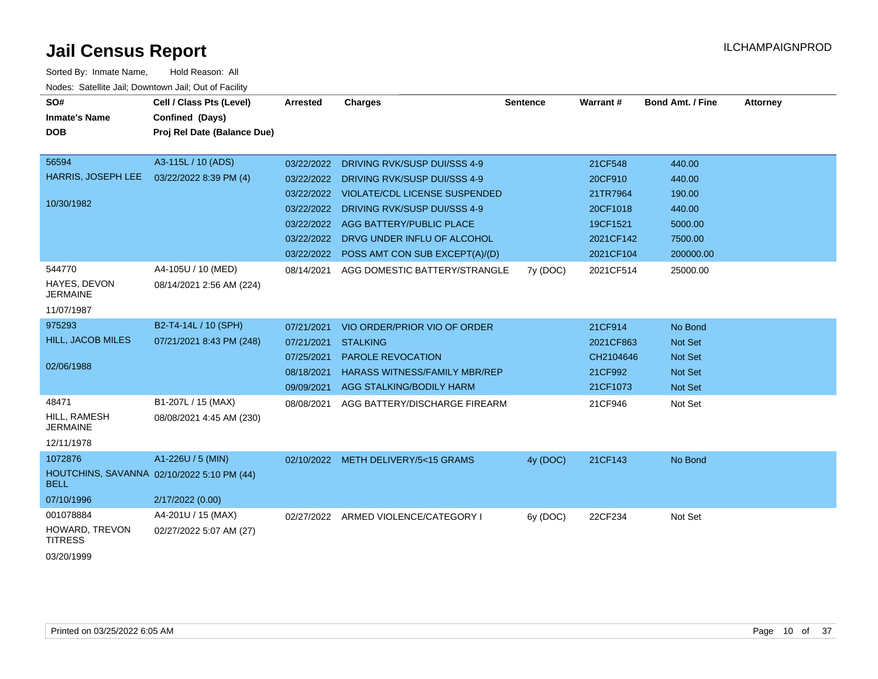| SO#<br><b>Inmate's Name</b><br><b>DOB</b>                   | Cell / Class Pts (Level)<br>Confined (Days)<br>Proj Rel Date (Balance Due)          | <b>Arrested</b>                                                                  | <b>Charges</b>                                                                                                                                                                                                                                      | <b>Sentence</b> | Warrant#                                                                         | Bond Amt. / Fine                                                        | <b>Attorney</b> |
|-------------------------------------------------------------|-------------------------------------------------------------------------------------|----------------------------------------------------------------------------------|-----------------------------------------------------------------------------------------------------------------------------------------------------------------------------------------------------------------------------------------------------|-----------------|----------------------------------------------------------------------------------|-------------------------------------------------------------------------|-----------------|
| 56594<br>HARRIS, JOSEPH LEE<br>10/30/1982<br>544770         | A3-115L / 10 (ADS)<br>03/22/2022 8:39 PM (4)<br>A4-105U / 10 (MED)                  | 03/22/2022<br>03/22/2022<br>03/22/2022<br>03/22/2022<br>03/22/2022<br>03/22/2022 | DRIVING RVK/SUSP DUI/SSS 4-9<br>DRIVING RVK/SUSP DUI/SSS 4-9<br><b>VIOLATE/CDL LICENSE SUSPENDED</b><br><b>DRIVING RVK/SUSP DUI/SSS 4-9</b><br>AGG BATTERY/PUBLIC PLACE<br>DRVG UNDER INFLU OF ALCOHOL<br>03/22/2022 POSS AMT CON SUB EXCEPT(A)/(D) |                 | 21CF548<br>20CF910<br>21TR7964<br>20CF1018<br>19CF1521<br>2021CF142<br>2021CF104 | 440.00<br>440.00<br>190.00<br>440.00<br>5000.00<br>7500.00<br>200000.00 |                 |
| HAYES, DEVON<br><b>JERMAINE</b><br>11/07/1987               | 08/14/2021 2:56 AM (224)                                                            | 08/14/2021                                                                       | AGG DOMESTIC BATTERY/STRANGLE                                                                                                                                                                                                                       | 7y (DOC)        | 2021CF514                                                                        | 25000.00                                                                |                 |
| 975293<br><b>HILL, JACOB MILES</b><br>02/06/1988            | B2-T4-14L / 10 (SPH)<br>07/21/2021 8:43 PM (248)                                    | 07/21/2021<br>07/21/2021<br>07/25/2021<br>08/18/2021<br>09/09/2021               | VIO ORDER/PRIOR VIO OF ORDER<br><b>STALKING</b><br><b>PAROLE REVOCATION</b><br><b>HARASS WITNESS/FAMILY MBR/REP</b><br>AGG STALKING/BODILY HARM                                                                                                     |                 | 21CF914<br>2021CF863<br>CH2104646<br>21CF992<br>21CF1073                         | No Bond<br>Not Set<br><b>Not Set</b><br><b>Not Set</b><br>Not Set       |                 |
| 48471<br>HILL, RAMESH<br><b>JERMAINE</b><br>12/11/1978      | B1-207L / 15 (MAX)<br>08/08/2021 4:45 AM (230)                                      | 08/08/2021                                                                       | AGG BATTERY/DISCHARGE FIREARM                                                                                                                                                                                                                       |                 | 21CF946                                                                          | Not Set                                                                 |                 |
| 1072876<br><b>BELL</b><br>07/10/1996                        | A1-226U / 5 (MIN)<br>HOUTCHINS, SAVANNA 02/10/2022 5:10 PM (44)<br>2/17/2022 (0.00) |                                                                                  | 02/10/2022 METH DELIVERY/5<15 GRAMS                                                                                                                                                                                                                 | 4y (DOC)        | 21CF143                                                                          | No Bond                                                                 |                 |
| 001078884<br>HOWARD, TREVON<br><b>TITRESS</b><br>03/20/1999 | A4-201U / 15 (MAX)<br>02/27/2022 5:07 AM (27)                                       |                                                                                  | 02/27/2022 ARMED VIOLENCE/CATEGORY I                                                                                                                                                                                                                | 6y (DOC)        | 22CF234                                                                          | Not Set                                                                 |                 |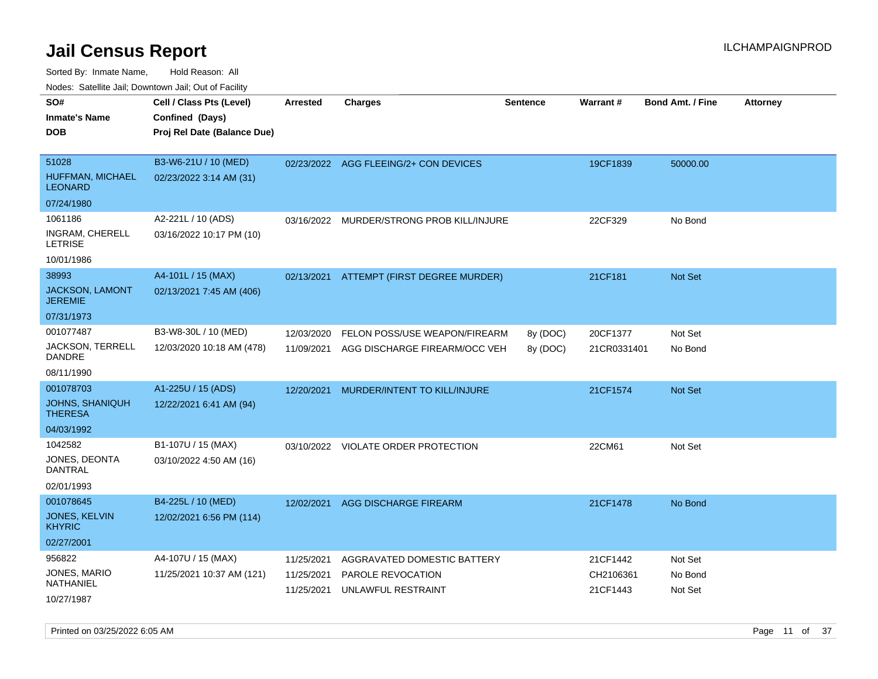Sorted By: Inmate Name, Hold Reason: All Nodes: Satellite Jail; Downtown Jail; Out of Facility

| <b>Attorney</b> |
|-----------------|
|                 |
|                 |
|                 |
|                 |
|                 |
|                 |
|                 |
|                 |
|                 |
|                 |
|                 |
|                 |
|                 |
|                 |
|                 |
|                 |
|                 |
|                 |
|                 |
|                 |
|                 |
|                 |
|                 |
|                 |
|                 |
|                 |
|                 |
|                 |
|                 |

Printed on 03/25/2022 6:05 AM **Page 11** of 37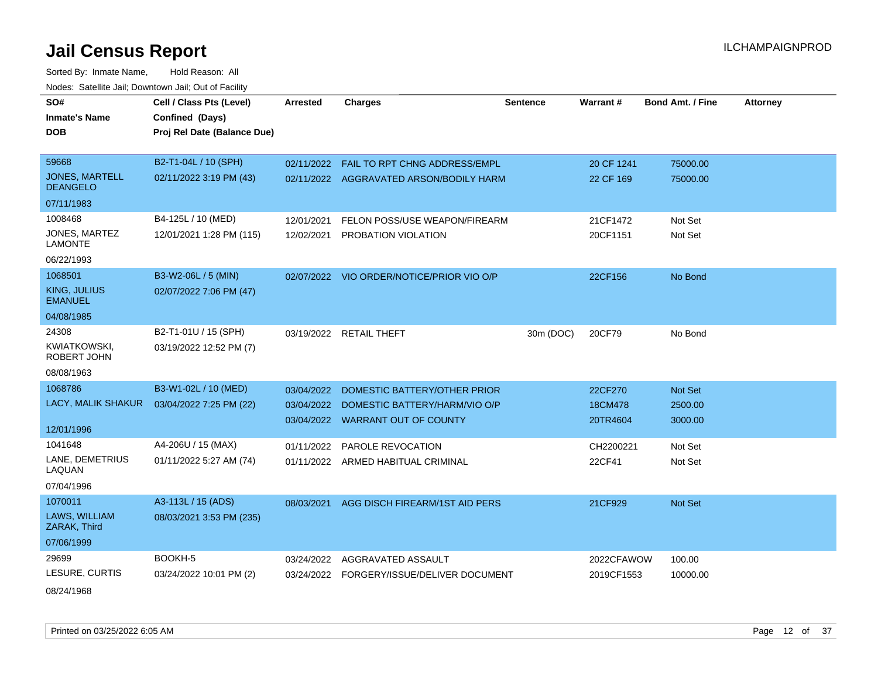| SO#                                      | Cell / Class Pts (Level)    | <b>Arrested</b> | <b>Charges</b>                          | <b>Sentence</b> | Warrant#   | <b>Bond Amt. / Fine</b> | <b>Attorney</b> |
|------------------------------------------|-----------------------------|-----------------|-----------------------------------------|-----------------|------------|-------------------------|-----------------|
| <b>Inmate's Name</b>                     | Confined (Days)             |                 |                                         |                 |            |                         |                 |
| <b>DOB</b>                               | Proj Rel Date (Balance Due) |                 |                                         |                 |            |                         |                 |
|                                          |                             |                 |                                         |                 |            |                         |                 |
| 59668                                    | B2-T1-04L / 10 (SPH)        | 02/11/2022      | FAIL TO RPT CHNG ADDRESS/EMPL           |                 | 20 CF 1241 | 75000.00                |                 |
| <b>JONES, MARTELL</b><br><b>DEANGELO</b> | 02/11/2022 3:19 PM (43)     |                 | 02/11/2022 AGGRAVATED ARSON/BODILY HARM |                 | 22 CF 169  | 75000.00                |                 |
| 07/11/1983                               |                             |                 |                                         |                 |            |                         |                 |
| 1008468                                  | B4-125L / 10 (MED)          | 12/01/2021      | FELON POSS/USE WEAPON/FIREARM           |                 | 21CF1472   | Not Set                 |                 |
| JONES, MARTEZ<br><b>LAMONTE</b>          | 12/01/2021 1:28 PM (115)    | 12/02/2021      | PROBATION VIOLATION                     |                 | 20CF1151   | Not Set                 |                 |
| 06/22/1993                               |                             |                 |                                         |                 |            |                         |                 |
| 1068501                                  | B3-W2-06L / 5 (MIN)         | 02/07/2022      | VIO ORDER/NOTICE/PRIOR VIO O/P          |                 | 22CF156    | No Bond                 |                 |
| <b>KING, JULIUS</b><br><b>EMANUEL</b>    | 02/07/2022 7:06 PM (47)     |                 |                                         |                 |            |                         |                 |
| 04/08/1985                               |                             |                 |                                         |                 |            |                         |                 |
| 24308                                    | B2-T1-01U / 15 (SPH)        |                 | 03/19/2022 RETAIL THEFT                 | 30m (DOC)       | 20CF79     | No Bond                 |                 |
| KWIATKOWSKI,<br>ROBERT JOHN              | 03/19/2022 12:52 PM (7)     |                 |                                         |                 |            |                         |                 |
| 08/08/1963                               |                             |                 |                                         |                 |            |                         |                 |
| 1068786                                  | B3-W1-02L / 10 (MED)        | 03/04/2022      | DOMESTIC BATTERY/OTHER PRIOR            |                 | 22CF270    | <b>Not Set</b>          |                 |
| LACY, MALIK SHAKUR                       | 03/04/2022 7:25 PM (22)     | 03/04/2022      | DOMESTIC BATTERY/HARM/VIO O/P           |                 | 18CM478    | 2500.00                 |                 |
| 12/01/1996                               |                             |                 | 03/04/2022 WARRANT OUT OF COUNTY        |                 | 20TR4604   | 3000.00                 |                 |
| 1041648                                  | A4-206U / 15 (MAX)          | 01/11/2022      | PAROLE REVOCATION                       |                 | CH2200221  | Not Set                 |                 |
| LANE, DEMETRIUS<br>LAQUAN                | 01/11/2022 5:27 AM (74)     |                 | 01/11/2022 ARMED HABITUAL CRIMINAL      |                 | 22CF41     | Not Set                 |                 |
| 07/04/1996                               |                             |                 |                                         |                 |            |                         |                 |
| 1070011                                  | A3-113L / 15 (ADS)          | 08/03/2021      | AGG DISCH FIREARM/1ST AID PERS          |                 | 21CF929    | <b>Not Set</b>          |                 |
| LAWS, WILLIAM<br>ZARAK, Third            | 08/03/2021 3:53 PM (235)    |                 |                                         |                 |            |                         |                 |
| 07/06/1999                               |                             |                 |                                         |                 |            |                         |                 |
| 29699                                    | BOOKH-5                     | 03/24/2022      | AGGRAVATED ASSAULT                      |                 | 2022CFAWOW | 100.00                  |                 |
| LESURE, CURTIS                           | 03/24/2022 10:01 PM (2)     | 03/24/2022      | FORGERY/ISSUE/DELIVER DOCUMENT          |                 | 2019CF1553 | 10000.00                |                 |
| 08/24/1968                               |                             |                 |                                         |                 |            |                         |                 |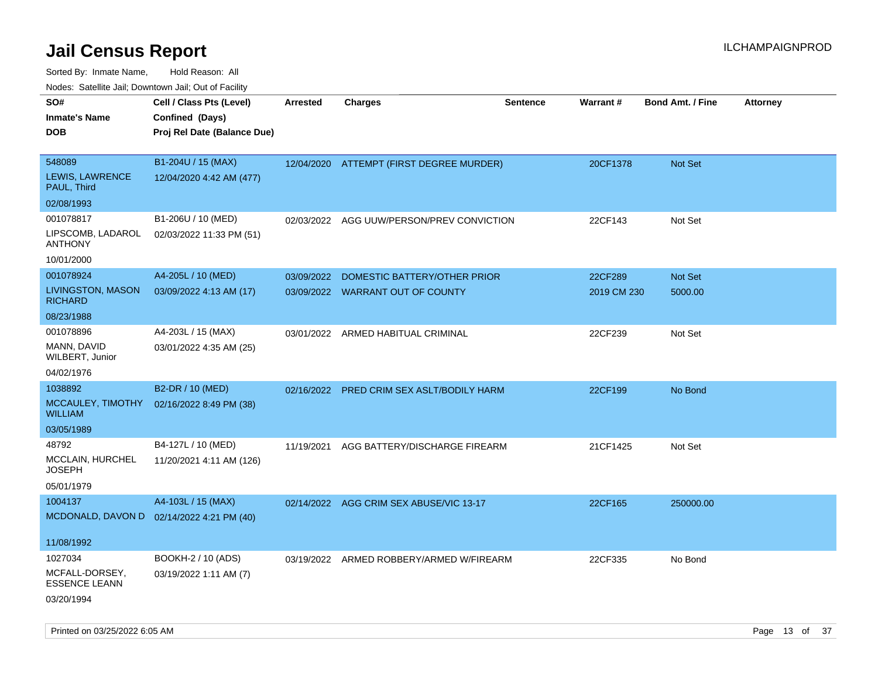Sorted By: Inmate Name, Hold Reason: All

Nodes: Satellite Jail; Downtown Jail; Out of Facility

| SO#                                        | Cell / Class Pts (Level)    | <b>Arrested</b> | <b>Charges</b>                            | <b>Sentence</b> | <b>Warrant#</b> | <b>Bond Amt. / Fine</b> | <b>Attorney</b> |
|--------------------------------------------|-----------------------------|-----------------|-------------------------------------------|-----------------|-----------------|-------------------------|-----------------|
| <b>Inmate's Name</b>                       | Confined (Days)             |                 |                                           |                 |                 |                         |                 |
| <b>DOB</b>                                 | Proj Rel Date (Balance Due) |                 |                                           |                 |                 |                         |                 |
|                                            |                             |                 |                                           |                 |                 |                         |                 |
| 548089                                     | B1-204U / 15 (MAX)          |                 | 12/04/2020 ATTEMPT (FIRST DEGREE MURDER)  |                 | 20CF1378        | <b>Not Set</b>          |                 |
| LEWIS, LAWRENCE<br>PAUL, Third             | 12/04/2020 4:42 AM (477)    |                 |                                           |                 |                 |                         |                 |
| 02/08/1993                                 |                             |                 |                                           |                 |                 |                         |                 |
| 001078817                                  | B1-206U / 10 (MED)          | 02/03/2022      | AGG UUW/PERSON/PREV CONVICTION            |                 | 22CF143         | Not Set                 |                 |
| LIPSCOMB, LADAROL<br><b>ANTHONY</b>        | 02/03/2022 11:33 PM (51)    |                 |                                           |                 |                 |                         |                 |
| 10/01/2000                                 |                             |                 |                                           |                 |                 |                         |                 |
| 001078924                                  | A4-205L / 10 (MED)          | 03/09/2022      | DOMESTIC BATTERY/OTHER PRIOR              |                 | 22CF289         | Not Set                 |                 |
| <b>LIVINGSTON, MASON</b><br><b>RICHARD</b> | 03/09/2022 4:13 AM (17)     |                 | 03/09/2022 WARRANT OUT OF COUNTY          |                 | 2019 CM 230     | 5000.00                 |                 |
| 08/23/1988                                 |                             |                 |                                           |                 |                 |                         |                 |
| 001078896                                  | A4-203L / 15 (MAX)          |                 | 03/01/2022 ARMED HABITUAL CRIMINAL        |                 | 22CF239         | Not Set                 |                 |
| MANN, DAVID<br>WILBERT, Junior             | 03/01/2022 4:35 AM (25)     |                 |                                           |                 |                 |                         |                 |
| 04/02/1976                                 |                             |                 |                                           |                 |                 |                         |                 |
| 1038892                                    | B2-DR / 10 (MED)            |                 | 02/16/2022 PRED CRIM SEX ASLT/BODILY HARM |                 | 22CF199         | No Bond                 |                 |
| MCCAULEY, TIMOTHY<br><b>WILLIAM</b>        | 02/16/2022 8:49 PM (38)     |                 |                                           |                 |                 |                         |                 |
| 03/05/1989                                 |                             |                 |                                           |                 |                 |                         |                 |
| 48792                                      | B4-127L / 10 (MED)          | 11/19/2021      | AGG BATTERY/DISCHARGE FIREARM             |                 | 21CF1425        | Not Set                 |                 |
| MCCLAIN, HURCHEL<br><b>JOSEPH</b>          | 11/20/2021 4:11 AM (126)    |                 |                                           |                 |                 |                         |                 |
| 05/01/1979                                 |                             |                 |                                           |                 |                 |                         |                 |
| 1004137                                    | A4-103L / 15 (MAX)          |                 | 02/14/2022 AGG CRIM SEX ABUSE/VIC 13-17   |                 | 22CF165         | 250000.00               |                 |
| MCDONALD, DAVON D 02/14/2022 4:21 PM (40)  |                             |                 |                                           |                 |                 |                         |                 |
|                                            |                             |                 |                                           |                 |                 |                         |                 |
| 11/08/1992                                 |                             |                 |                                           |                 |                 |                         |                 |
| 1027034                                    | BOOKH-2 / 10 (ADS)          |                 | 03/19/2022 ARMED ROBBERY/ARMED W/FIREARM  |                 | 22CF335         | No Bond                 |                 |
| MCFALL-DORSEY,<br><b>ESSENCE LEANN</b>     | 03/19/2022 1:11 AM (7)      |                 |                                           |                 |                 |                         |                 |
| 03/20/1994                                 |                             |                 |                                           |                 |                 |                         |                 |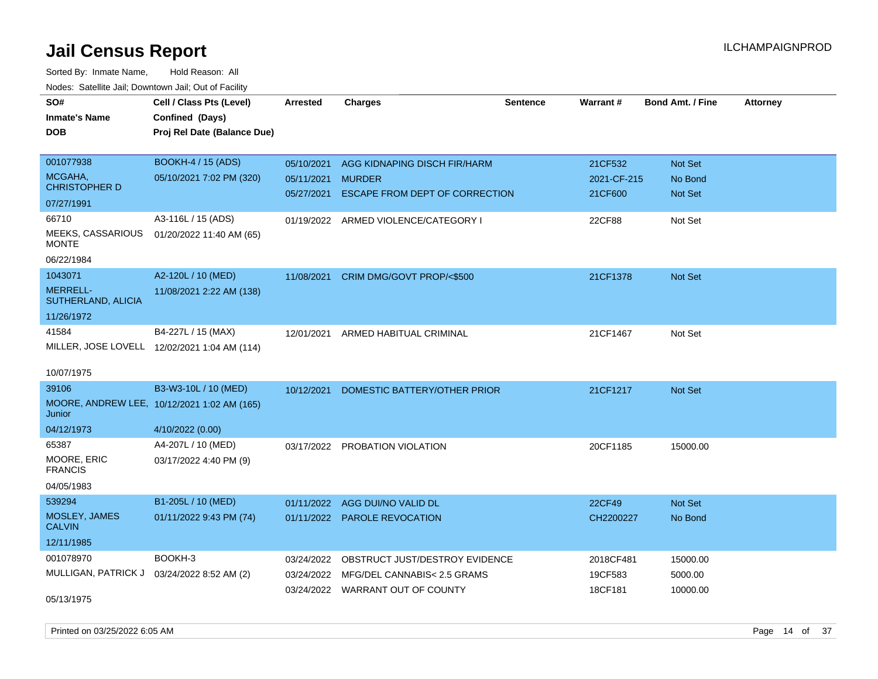| SO#                                   | Cell / Class Pts (Level)                     | <b>Arrested</b> | <b>Charges</b>                       | <b>Sentence</b> | Warrant#      | <b>Bond Amt. / Fine</b> | <b>Attorney</b> |
|---------------------------------------|----------------------------------------------|-----------------|--------------------------------------|-----------------|---------------|-------------------------|-----------------|
| <b>Inmate's Name</b>                  | Confined (Days)                              |                 |                                      |                 |               |                         |                 |
| <b>DOB</b>                            | Proj Rel Date (Balance Due)                  |                 |                                      |                 |               |                         |                 |
|                                       |                                              |                 |                                      |                 |               |                         |                 |
| 001077938                             | BOOKH-4 / 15 (ADS)                           | 05/10/2021      | AGG KIDNAPING DISCH FIR/HARM         |                 | 21CF532       | Not Set                 |                 |
| MCGAHA,                               | 05/10/2021 7:02 PM (320)                     | 05/11/2021      | <b>MURDER</b>                        |                 | 2021-CF-215   | No Bond                 |                 |
| <b>CHRISTOPHER D</b>                  |                                              | 05/27/2021      | ESCAPE FROM DEPT OF CORRECTION       |                 | 21CF600       | Not Set                 |                 |
| 07/27/1991                            |                                              |                 |                                      |                 |               |                         |                 |
| 66710                                 | A3-116L / 15 (ADS)                           |                 | 01/19/2022 ARMED VIOLENCE/CATEGORY I |                 | 22CF88        | Not Set                 |                 |
| MEEKS, CASSARIOUS<br><b>MONTE</b>     | 01/20/2022 11:40 AM (65)                     |                 |                                      |                 |               |                         |                 |
| 06/22/1984                            |                                              |                 |                                      |                 |               |                         |                 |
| 1043071                               | A2-120L / 10 (MED)                           | 11/08/2021      | CRIM DMG/GOVT PROP/<\$500            |                 | 21CF1378      | <b>Not Set</b>          |                 |
| <b>MERRELL-</b><br>SUTHERLAND, ALICIA | 11/08/2021 2:22 AM (138)                     |                 |                                      |                 |               |                         |                 |
| 11/26/1972                            |                                              |                 |                                      |                 |               |                         |                 |
| 41584                                 | B4-227L / 15 (MAX)                           |                 | 12/01/2021 ARMED HABITUAL CRIMINAL   |                 | 21CF1467      | Not Set                 |                 |
|                                       | MILLER, JOSE LOVELL 12/02/2021 1:04 AM (114) |                 |                                      |                 |               |                         |                 |
|                                       |                                              |                 |                                      |                 |               |                         |                 |
| 10/07/1975                            |                                              |                 |                                      |                 |               |                         |                 |
| 39106                                 | B3-W3-10L / 10 (MED)                         | 10/12/2021      | DOMESTIC BATTERY/OTHER PRIOR         |                 | 21CF1217      | <b>Not Set</b>          |                 |
| Junior                                | MOORE, ANDREW LEE, 10/12/2021 1:02 AM (165)  |                 |                                      |                 |               |                         |                 |
| 04/12/1973                            | 4/10/2022 (0.00)                             |                 |                                      |                 |               |                         |                 |
| 65387                                 | A4-207L / 10 (MED)                           |                 | 03/17/2022 PROBATION VIOLATION       |                 | 20CF1185      | 15000.00                |                 |
| MOORE, ERIC<br><b>FRANCIS</b>         | 03/17/2022 4:40 PM (9)                       |                 |                                      |                 |               |                         |                 |
| 04/05/1983                            |                                              |                 |                                      |                 |               |                         |                 |
| 539294                                | B1-205L / 10 (MED)                           | 01/11/2022      | AGG DUI/NO VALID DL                  |                 | <b>22CF49</b> | <b>Not Set</b>          |                 |
| MOSLEY, JAMES<br><b>CALVIN</b>        | 01/11/2022 9:43 PM (74)                      |                 | 01/11/2022 PAROLE REVOCATION         |                 | CH2200227     | No Bond                 |                 |
| 12/11/1985                            |                                              |                 |                                      |                 |               |                         |                 |
| 001078970                             | BOOKH-3                                      | 03/24/2022      | OBSTRUCT JUST/DESTROY EVIDENCE       |                 | 2018CF481     | 15000.00                |                 |
| MULLIGAN, PATRICK J                   | 03/24/2022 8:52 AM (2)                       | 03/24/2022      | MFG/DEL CANNABIS< 2.5 GRAMS          |                 | 19CF583       | 5000.00                 |                 |
|                                       |                                              |                 | 03/24/2022 WARRANT OUT OF COUNTY     |                 | 18CF181       | 10000.00                |                 |
| 05/13/1975                            |                                              |                 |                                      |                 |               |                         |                 |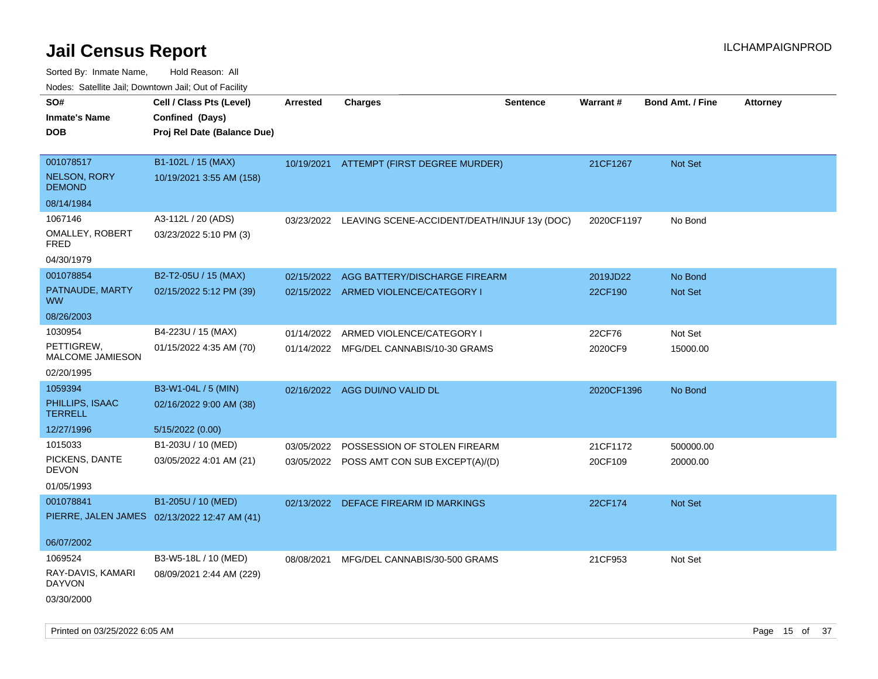| rouco. Calcinic Jan, Downtown Jan, Out of Facility |                                              |                 |                                              |                 |            |                         |                 |
|----------------------------------------------------|----------------------------------------------|-----------------|----------------------------------------------|-----------------|------------|-------------------------|-----------------|
| SO#<br><b>Inmate's Name</b>                        | Cell / Class Pts (Level)<br>Confined (Days)  | <b>Arrested</b> | <b>Charges</b>                               | <b>Sentence</b> | Warrant#   | <b>Bond Amt. / Fine</b> | <b>Attorney</b> |
| DOB                                                | Proj Rel Date (Balance Due)                  |                 |                                              |                 |            |                         |                 |
| 001078517                                          | B1-102L / 15 (MAX)                           |                 | 10/19/2021 ATTEMPT (FIRST DEGREE MURDER)     |                 | 21CF1267   | <b>Not Set</b>          |                 |
| <b>NELSON, RORY</b><br><b>DEMOND</b>               | 10/19/2021 3:55 AM (158)                     |                 |                                              |                 |            |                         |                 |
| 08/14/1984                                         |                                              |                 |                                              |                 |            |                         |                 |
| 1067146                                            | A3-112L / 20 (ADS)                           | 03/23/2022      | LEAVING SCENE-ACCIDENT/DEATH/INJUF 13y (DOC) |                 | 2020CF1197 | No Bond                 |                 |
| OMALLEY, ROBERT<br>FRED                            | 03/23/2022 5:10 PM (3)                       |                 |                                              |                 |            |                         |                 |
| 04/30/1979                                         |                                              |                 |                                              |                 |            |                         |                 |
| 001078854                                          | B2-T2-05U / 15 (MAX)                         | 02/15/2022      | AGG BATTERY/DISCHARGE FIREARM                |                 | 2019JD22   | No Bond                 |                 |
| PATNAUDE, MARTY<br>ww                              | 02/15/2022 5:12 PM (39)                      |                 | 02/15/2022 ARMED VIOLENCE/CATEGORY I         |                 | 22CF190    | Not Set                 |                 |
| 08/26/2003                                         |                                              |                 |                                              |                 |            |                         |                 |
| 1030954                                            | B4-223U / 15 (MAX)                           | 01/14/2022      | ARMED VIOLENCE/CATEGORY I                    |                 | 22CF76     | Not Set                 |                 |
| PETTIGREW,<br><b>MALCOME JAMIESON</b>              | 01/15/2022 4:35 AM (70)                      | 01/14/2022      | MFG/DEL CANNABIS/10-30 GRAMS                 |                 | 2020CF9    | 15000.00                |                 |
| 02/20/1995                                         |                                              |                 |                                              |                 |            |                         |                 |
| 1059394                                            | B3-W1-04L / 5 (MIN)                          |                 | 02/16/2022 AGG DUI/NO VALID DL               |                 | 2020CF1396 | No Bond                 |                 |
| PHILLIPS, ISAAC<br>TERRELL                         | 02/16/2022 9:00 AM (38)                      |                 |                                              |                 |            |                         |                 |
| 12/27/1996                                         | 5/15/2022 (0.00)                             |                 |                                              |                 |            |                         |                 |
| 1015033                                            | B1-203U / 10 (MED)                           | 03/05/2022      | POSSESSION OF STOLEN FIREARM                 |                 | 21CF1172   | 500000.00               |                 |
| PICKENS, DANTE<br>DEVON                            | 03/05/2022 4:01 AM (21)                      |                 | 03/05/2022 POSS AMT CON SUB EXCEPT(A)/(D)    |                 | 20CF109    | 20000.00                |                 |
| 01/05/1993                                         |                                              |                 |                                              |                 |            |                         |                 |
| 001078841                                          | B1-205U / 10 (MED)                           | 02/13/2022      | DEFACE FIREARM ID MARKINGS                   |                 | 22CF174    | Not Set                 |                 |
|                                                    | PIERRE, JALEN JAMES 02/13/2022 12:47 AM (41) |                 |                                              |                 |            |                         |                 |
| 06/07/2002                                         |                                              |                 |                                              |                 |            |                         |                 |
| 1069524                                            | B3-W5-18L / 10 (MED)                         | 08/08/2021      | MFG/DEL CANNABIS/30-500 GRAMS                |                 | 21CF953    | Not Set                 |                 |
| RAY-DAVIS, KAMARI<br>DAYVON                        | 08/09/2021 2:44 AM (229)                     |                 |                                              |                 |            |                         |                 |
| 03/30/2000                                         |                                              |                 |                                              |                 |            |                         |                 |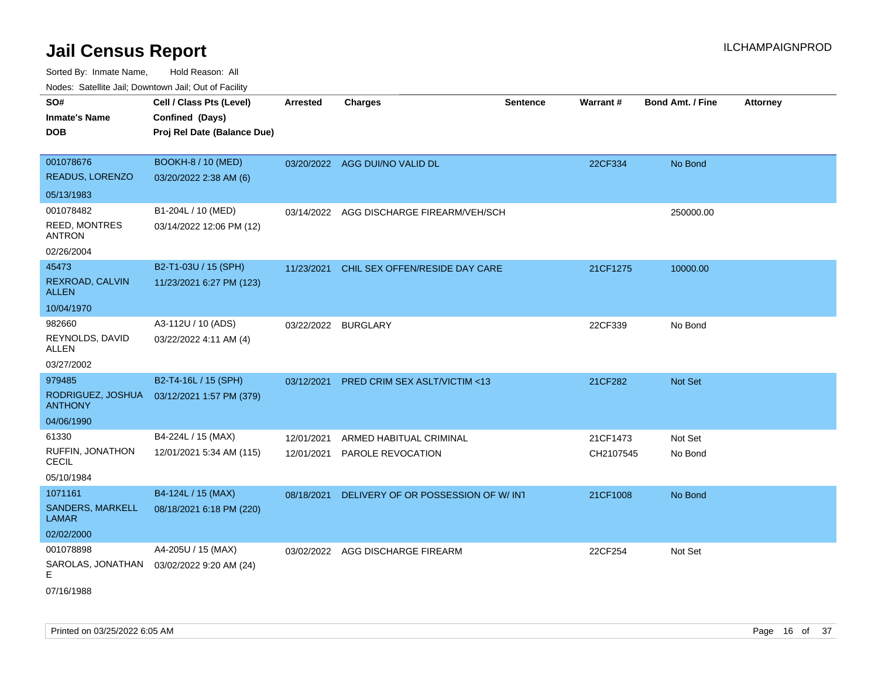| SO#                                   | Cell / Class Pts (Level)    | <b>Arrested</b> | <b>Charges</b>                          | <b>Sentence</b> | Warrant#  | <b>Bond Amt. / Fine</b> | <b>Attorney</b> |
|---------------------------------------|-----------------------------|-----------------|-----------------------------------------|-----------------|-----------|-------------------------|-----------------|
| <b>Inmate's Name</b>                  | Confined (Days)             |                 |                                         |                 |           |                         |                 |
| <b>DOB</b>                            | Proj Rel Date (Balance Due) |                 |                                         |                 |           |                         |                 |
|                                       |                             |                 |                                         |                 |           |                         |                 |
| 001078676                             | <b>BOOKH-8 / 10 (MED)</b>   |                 | 03/20/2022 AGG DUI/NO VALID DL          |                 | 22CF334   | No Bond                 |                 |
| READUS, LORENZO                       | 03/20/2022 2:38 AM (6)      |                 |                                         |                 |           |                         |                 |
| 05/13/1983                            |                             |                 |                                         |                 |           |                         |                 |
| 001078482                             | B1-204L / 10 (MED)          | 03/14/2022      | AGG DISCHARGE FIREARM/VEH/SCH           |                 |           | 250000.00               |                 |
| <b>REED, MONTRES</b><br><b>ANTRON</b> | 03/14/2022 12:06 PM (12)    |                 |                                         |                 |           |                         |                 |
| 02/26/2004                            |                             |                 |                                         |                 |           |                         |                 |
| 45473                                 | B2-T1-03U / 15 (SPH)        | 11/23/2021      | CHIL SEX OFFEN/RESIDE DAY CARE          |                 | 21CF1275  | 10000.00                |                 |
| REXROAD, CALVIN<br><b>ALLEN</b>       | 11/23/2021 6:27 PM (123)    |                 |                                         |                 |           |                         |                 |
| 10/04/1970                            |                             |                 |                                         |                 |           |                         |                 |
| 982660                                | A3-112U / 10 (ADS)          |                 | 03/22/2022 BURGLARY                     |                 | 22CF339   | No Bond                 |                 |
| REYNOLDS, DAVID<br>ALLEN              | 03/22/2022 4:11 AM (4)      |                 |                                         |                 |           |                         |                 |
| 03/27/2002                            |                             |                 |                                         |                 |           |                         |                 |
| 979485                                | B2-T4-16L / 15 (SPH)        | 03/12/2021      | <b>PRED CRIM SEX ASLT/VICTIM &lt;13</b> |                 | 21CF282   | <b>Not Set</b>          |                 |
| RODRIGUEZ, JOSHUA<br><b>ANTHONY</b>   | 03/12/2021 1:57 PM (379)    |                 |                                         |                 |           |                         |                 |
| 04/06/1990                            |                             |                 |                                         |                 |           |                         |                 |
| 61330                                 | B4-224L / 15 (MAX)          | 12/01/2021      | ARMED HABITUAL CRIMINAL                 |                 | 21CF1473  | Not Set                 |                 |
| RUFFIN, JONATHON<br><b>CECIL</b>      | 12/01/2021 5:34 AM (115)    | 12/01/2021      | PAROLE REVOCATION                       |                 | CH2107545 | No Bond                 |                 |
| 05/10/1984                            |                             |                 |                                         |                 |           |                         |                 |
| 1071161                               | B4-124L / 15 (MAX)          | 08/18/2021      | DELIVERY OF OR POSSESSION OF W/INT      |                 | 21CF1008  | No Bond                 |                 |
| SANDERS, MARKELL<br><b>LAMAR</b>      | 08/18/2021 6:18 PM (220)    |                 |                                         |                 |           |                         |                 |
| 02/02/2000                            |                             |                 |                                         |                 |           |                         |                 |
| 001078898                             | A4-205U / 15 (MAX)          |                 | 03/02/2022 AGG DISCHARGE FIREARM        |                 | 22CF254   | Not Set                 |                 |
| SAROLAS, JONATHAN<br>Е                | 03/02/2022 9:20 AM (24)     |                 |                                         |                 |           |                         |                 |
| 07/16/1988                            |                             |                 |                                         |                 |           |                         |                 |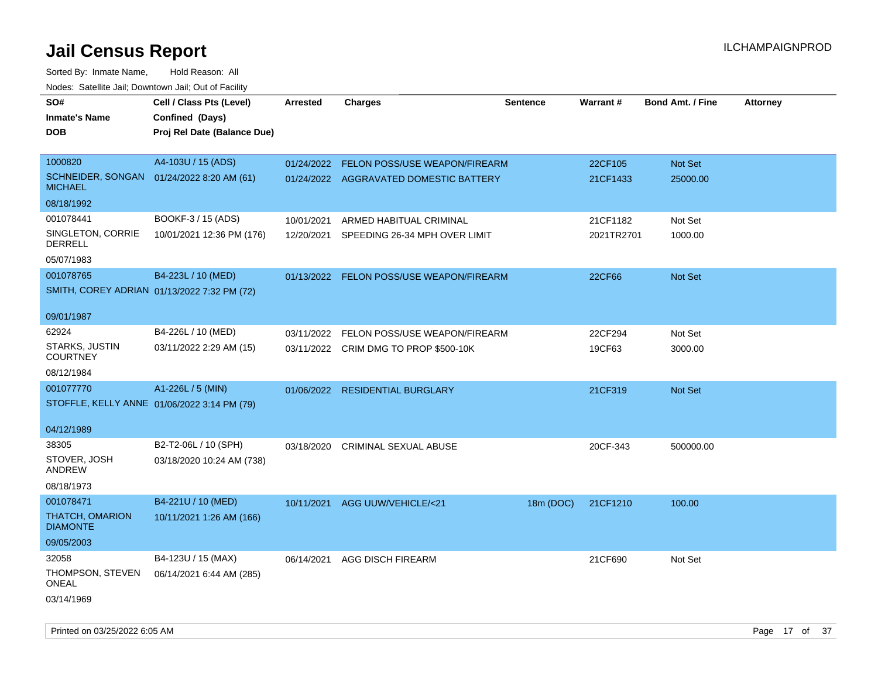| SO#                                                         | Cell / Class Pts (Level)    | <b>Arrested</b> | <b>Charges</b>                           | <b>Sentence</b> | <b>Warrant#</b> | <b>Bond Amt. / Fine</b> | <b>Attorney</b> |
|-------------------------------------------------------------|-----------------------------|-----------------|------------------------------------------|-----------------|-----------------|-------------------------|-----------------|
| <b>Inmate's Name</b>                                        | Confined (Days)             |                 |                                          |                 |                 |                         |                 |
| <b>DOB</b>                                                  | Proj Rel Date (Balance Due) |                 |                                          |                 |                 |                         |                 |
|                                                             |                             |                 |                                          |                 |                 |                         |                 |
| 1000820                                                     | A4-103U / 15 (ADS)          | 01/24/2022      | <b>FELON POSS/USE WEAPON/FIREARM</b>     |                 | 22CF105         | Not Set                 |                 |
| SCHNEIDER, SONGAN 01/24/2022 8:20 AM (61)<br><b>MICHAEL</b> |                             |                 | 01/24/2022 AGGRAVATED DOMESTIC BATTERY   |                 | 21CF1433        | 25000.00                |                 |
| 08/18/1992                                                  |                             |                 |                                          |                 |                 |                         |                 |
| 001078441                                                   | BOOKF-3 / 15 (ADS)          | 10/01/2021      | ARMED HABITUAL CRIMINAL                  |                 | 21CF1182        | Not Set                 |                 |
| SINGLETON, CORRIE<br><b>DERRELL</b>                         | 10/01/2021 12:36 PM (176)   | 12/20/2021      | SPEEDING 26-34 MPH OVER LIMIT            |                 | 2021TR2701      | 1000.00                 |                 |
| 05/07/1983                                                  |                             |                 |                                          |                 |                 |                         |                 |
| 001078765                                                   | B4-223L / 10 (MED)          |                 | 01/13/2022 FELON POSS/USE WEAPON/FIREARM |                 | 22CF66          | Not Set                 |                 |
| SMITH, COREY ADRIAN 01/13/2022 7:32 PM (72)                 |                             |                 |                                          |                 |                 |                         |                 |
|                                                             |                             |                 |                                          |                 |                 |                         |                 |
| 09/01/1987                                                  |                             |                 |                                          |                 |                 |                         |                 |
| 62924                                                       | B4-226L / 10 (MED)          | 03/11/2022      | FELON POSS/USE WEAPON/FIREARM            |                 | 22CF294         | Not Set                 |                 |
| <b>STARKS, JUSTIN</b><br><b>COURTNEY</b>                    | 03/11/2022 2:29 AM (15)     |                 | 03/11/2022 CRIM DMG TO PROP \$500-10K    |                 | 19CF63          | 3000.00                 |                 |
| 08/12/1984                                                  |                             |                 |                                          |                 |                 |                         |                 |
| 001077770                                                   | A1-226L / 5 (MIN)           |                 | 01/06/2022 RESIDENTIAL BURGLARY          |                 | 21CF319         | Not Set                 |                 |
| STOFFLE, KELLY ANNE 01/06/2022 3:14 PM (79)                 |                             |                 |                                          |                 |                 |                         |                 |
|                                                             |                             |                 |                                          |                 |                 |                         |                 |
| 04/12/1989                                                  |                             |                 |                                          |                 |                 |                         |                 |
| 38305                                                       | B2-T2-06L / 10 (SPH)        | 03/18/2020      | CRIMINAL SEXUAL ABUSE                    |                 | 20CF-343        | 500000.00               |                 |
| STOVER, JOSH<br>ANDREW                                      | 03/18/2020 10:24 AM (738)   |                 |                                          |                 |                 |                         |                 |
| 08/18/1973                                                  |                             |                 |                                          |                 |                 |                         |                 |
| 001078471                                                   | B4-221U / 10 (MED)          | 10/11/2021      | AGG UUW/VEHICLE/<21                      | 18m (DOC)       | 21CF1210        | 100.00                  |                 |
| <b>THATCH, OMARION</b><br><b>DIAMONTE</b>                   | 10/11/2021 1:26 AM (166)    |                 |                                          |                 |                 |                         |                 |
| 09/05/2003                                                  |                             |                 |                                          |                 |                 |                         |                 |
| 32058                                                       | B4-123U / 15 (MAX)          | 06/14/2021      | <b>AGG DISCH FIREARM</b>                 |                 | 21CF690         | Not Set                 |                 |
| THOMPSON, STEVEN                                            | 06/14/2021 6:44 AM (285)    |                 |                                          |                 |                 |                         |                 |
| ONEAL                                                       |                             |                 |                                          |                 |                 |                         |                 |
| 03/14/1969                                                  |                             |                 |                                          |                 |                 |                         |                 |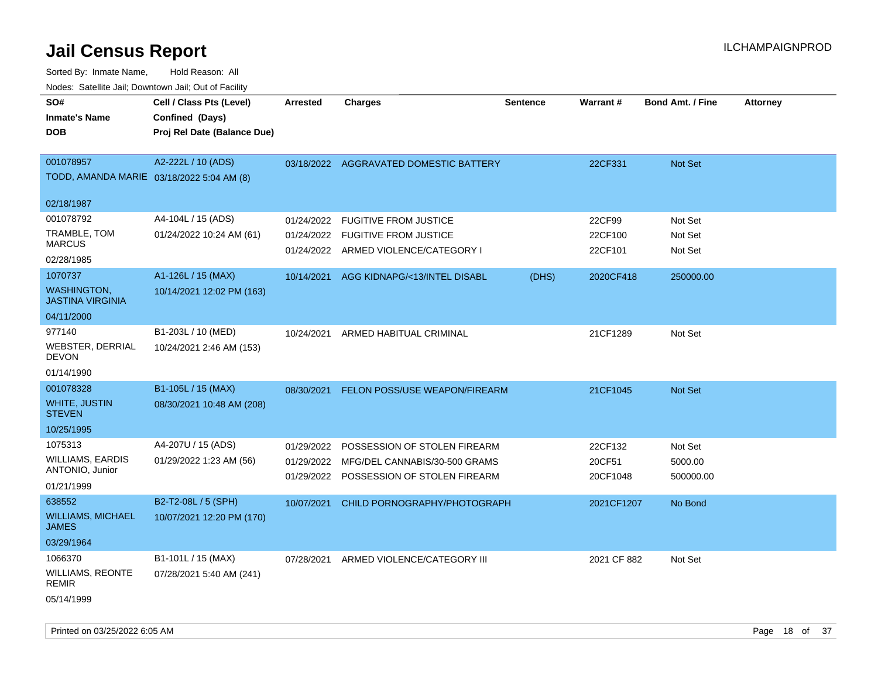Sorted By: Inmate Name, Hold Reason: All Nodes: Satellite Jail; Downtown Jail; Out of Facility

| SO#<br><b>Inmate's Name</b><br><b>DOB</b>              | Cell / Class Pts (Level)<br>Confined (Days)<br>Proj Rel Date (Balance Due) | <b>Arrested</b> | <b>Charges</b>                                                       | <b>Sentence</b> | Warrant#           | <b>Bond Amt. / Fine</b> | <b>Attorney</b> |
|--------------------------------------------------------|----------------------------------------------------------------------------|-----------------|----------------------------------------------------------------------|-----------------|--------------------|-------------------------|-----------------|
| 001078957<br>TODD, AMANDA MARIE 03/18/2022 5:04 AM (8) | A2-222L / 10 (ADS)                                                         |                 | 03/18/2022 AGGRAVATED DOMESTIC BATTERY                               |                 | 22CF331            | <b>Not Set</b>          |                 |
| 02/18/1987                                             |                                                                            |                 |                                                                      |                 |                    |                         |                 |
| 001078792                                              | A4-104L / 15 (ADS)                                                         | 01/24/2022      | <b>FUGITIVE FROM JUSTICE</b>                                         |                 | 22CF99             | Not Set                 |                 |
| TRAMBLE, TOM<br><b>MARCUS</b>                          | 01/24/2022 10:24 AM (61)                                                   | 01/24/2022      | <b>FUGITIVE FROM JUSTICE</b><br>01/24/2022 ARMED VIOLENCE/CATEGORY I |                 | 22CF100<br>22CF101 | Not Set<br>Not Set      |                 |
| 02/28/1985                                             |                                                                            |                 |                                                                      |                 |                    |                         |                 |
| 1070737                                                | A1-126L / 15 (MAX)                                                         | 10/14/2021      | AGG KIDNAPG/<13/INTEL DISABL                                         | (DHS)           | 2020CF418          | 250000.00               |                 |
| <b>WASHINGTON,</b><br><b>JASTINA VIRGINIA</b>          | 10/14/2021 12:02 PM (163)                                                  |                 |                                                                      |                 |                    |                         |                 |
| 04/11/2000                                             |                                                                            |                 |                                                                      |                 |                    |                         |                 |
| 977140<br><b>WEBSTER, DERRIAL</b><br><b>DEVON</b>      | B1-203L / 10 (MED)<br>10/24/2021 2:46 AM (153)                             | 10/24/2021      | ARMED HABITUAL CRIMINAL                                              |                 | 21CF1289           | Not Set                 |                 |
| 01/14/1990                                             |                                                                            |                 |                                                                      |                 |                    |                         |                 |
| 001078328                                              | B1-105L / 15 (MAX)                                                         | 08/30/2021      | FELON POSS/USE WEAPON/FIREARM                                        |                 | 21CF1045           | <b>Not Set</b>          |                 |
| <b>WHITE, JUSTIN</b><br><b>STEVEN</b>                  | 08/30/2021 10:48 AM (208)                                                  |                 |                                                                      |                 |                    |                         |                 |
| 10/25/1995                                             |                                                                            |                 |                                                                      |                 |                    |                         |                 |
| 1075313                                                | A4-207U / 15 (ADS)                                                         | 01/29/2022      | POSSESSION OF STOLEN FIREARM                                         |                 | 22CF132            | Not Set                 |                 |
| <b>WILLIAMS, EARDIS</b><br>ANTONIO, Junior             | 01/29/2022 1:23 AM (56)                                                    | 01/29/2022      | MFG/DEL CANNABIS/30-500 GRAMS                                        |                 | 20CF51             | 5000.00                 |                 |
| 01/21/1999                                             |                                                                            |                 | 01/29/2022 POSSESSION OF STOLEN FIREARM                              |                 | 20CF1048           | 500000.00               |                 |
| 638552                                                 | B2-T2-08L / 5 (SPH)                                                        | 10/07/2021      | CHILD PORNOGRAPHY/PHOTOGRAPH                                         |                 | 2021CF1207         | No Bond                 |                 |
| <b>WILLIAMS, MICHAEL</b><br><b>JAMES</b>               | 10/07/2021 12:20 PM (170)                                                  |                 |                                                                      |                 |                    |                         |                 |
| 03/29/1964                                             |                                                                            |                 |                                                                      |                 |                    |                         |                 |
| 1066370                                                | B1-101L / 15 (MAX)                                                         | 07/28/2021      | ARMED VIOLENCE/CATEGORY III                                          |                 | 2021 CF 882        | Not Set                 |                 |
| <b>WILLIAMS, REONTE</b><br><b>REMIR</b>                | 07/28/2021 5:40 AM (241)                                                   |                 |                                                                      |                 |                    |                         |                 |
| 05/14/1999                                             |                                                                            |                 |                                                                      |                 |                    |                         |                 |

Printed on 03/25/2022 6:05 AM **Page 18** of 37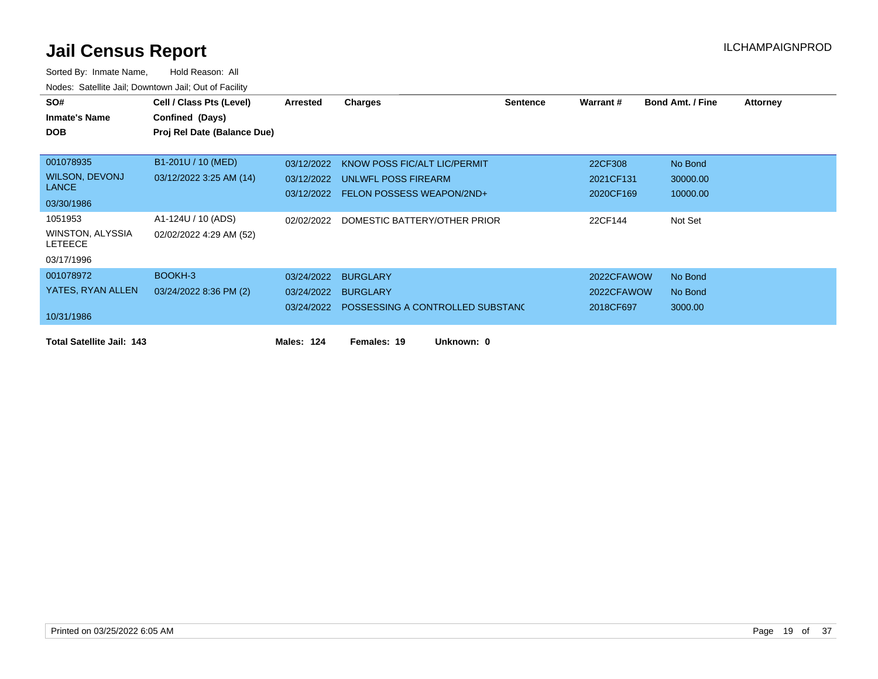| SO#                                | Cell / Class Pts (Level)    | Arrested   | <b>Charges</b>                       | <b>Sentence</b> | Warrant #  | <b>Bond Amt. / Fine</b> | <b>Attorney</b> |
|------------------------------------|-----------------------------|------------|--------------------------------------|-----------------|------------|-------------------------|-----------------|
| <b>Inmate's Name</b>               | Confined (Days)             |            |                                      |                 |            |                         |                 |
| <b>DOB</b>                         | Proj Rel Date (Balance Due) |            |                                      |                 |            |                         |                 |
|                                    |                             |            |                                      |                 |            |                         |                 |
| 001078935                          | B1-201U / 10 (MED)          | 03/12/2022 | KNOW POSS FIC/ALT LIC/PERMIT         |                 | 22CF308    | No Bond                 |                 |
| <b>WILSON, DEVONJ</b>              | 03/12/2022 3:25 AM (14)     |            | 03/12/2022 UNLWFL POSS FIREARM       |                 | 2021CF131  | 30000.00                |                 |
| <b>LANCE</b>                       |                             |            | 03/12/2022 FELON POSSESS WEAPON/2ND+ |                 | 2020CF169  | 10000.00                |                 |
| 03/30/1986                         |                             |            |                                      |                 |            |                         |                 |
| 1051953                            | A1-124U / 10 (ADS)          | 02/02/2022 | DOMESTIC BATTERY/OTHER PRIOR         |                 | 22CF144    | Not Set                 |                 |
| WINSTON, ALYSSIA<br><b>LETEECE</b> | 02/02/2022 4:29 AM (52)     |            |                                      |                 |            |                         |                 |
| 03/17/1996                         |                             |            |                                      |                 |            |                         |                 |
| 001078972                          | BOOKH-3                     | 03/24/2022 | <b>BURGLARY</b>                      |                 | 2022CFAWOW | No Bond                 |                 |
| YATES, RYAN ALLEN                  | 03/24/2022 8:36 PM (2)      |            | 03/24/2022 BURGLARY                  |                 | 2022CFAWOW | No Bond                 |                 |
|                                    |                             | 03/24/2022 | POSSESSING A CONTROLLED SUBSTANC     |                 | 2018CF697  | 3000.00                 |                 |
| 10/31/1986                         |                             |            |                                      |                 |            |                         |                 |
| <b>Total Satellite Jail: 143</b>   |                             | Males: 124 | Unknown: 0<br>Females: 19            |                 |            |                         |                 |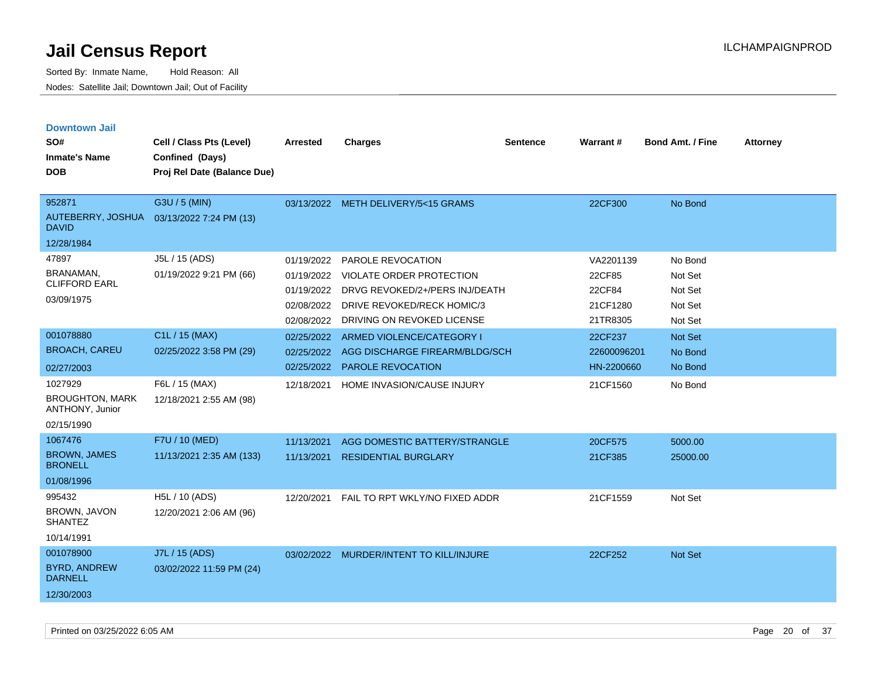| <b>Downtown Jail</b>                      |                             |                 |                                         |                 |             |                         |                 |
|-------------------------------------------|-----------------------------|-----------------|-----------------------------------------|-----------------|-------------|-------------------------|-----------------|
| SO#                                       | Cell / Class Pts (Level)    | <b>Arrested</b> | <b>Charges</b>                          | <b>Sentence</b> | Warrant#    | <b>Bond Amt. / Fine</b> | <b>Attorney</b> |
| <b>Inmate's Name</b>                      | Confined (Days)             |                 |                                         |                 |             |                         |                 |
| <b>DOB</b>                                | Proj Rel Date (Balance Due) |                 |                                         |                 |             |                         |                 |
|                                           |                             |                 |                                         |                 |             |                         |                 |
| 952871                                    | G3U / 5 (MIN)               |                 | 03/13/2022 METH DELIVERY/5<15 GRAMS     |                 | 22CF300     | No Bond                 |                 |
| AUTEBERRY, JOSHUA<br><b>DAVID</b>         | 03/13/2022 7:24 PM (13)     |                 |                                         |                 |             |                         |                 |
| 12/28/1984                                |                             |                 |                                         |                 |             |                         |                 |
| 47897                                     | J5L / 15 (ADS)              | 01/19/2022      | PAROLE REVOCATION                       |                 | VA2201139   | No Bond                 |                 |
| BRANAMAN,                                 | 01/19/2022 9:21 PM (66)     | 01/19/2022      | VIOLATE ORDER PROTECTION                |                 | 22CF85      | Not Set                 |                 |
| <b>CLIFFORD EARL</b>                      |                             | 01/19/2022      | DRVG REVOKED/2+/PERS INJ/DEATH          |                 | 22CF84      | Not Set                 |                 |
| 03/09/1975                                |                             | 02/08/2022      | DRIVE REVOKED/RECK HOMIC/3              |                 | 21CF1280    | Not Set                 |                 |
|                                           |                             | 02/08/2022      | DRIVING ON REVOKED LICENSE              |                 | 21TR8305    | Not Set                 |                 |
| 001078880                                 | C1L / 15 (MAX)              | 02/25/2022      | ARMED VIOLENCE/CATEGORY I               |                 | 22CF237     | Not Set                 |                 |
| <b>BROACH, CAREU</b>                      | 02/25/2022 3:58 PM (29)     | 02/25/2022      | AGG DISCHARGE FIREARM/BLDG/SCH          |                 | 22600096201 | No Bond                 |                 |
| 02/27/2003                                |                             | 02/25/2022      | <b>PAROLE REVOCATION</b>                |                 | HN-2200660  | No Bond                 |                 |
| 1027929                                   | F6L / 15 (MAX)              | 12/18/2021      | HOME INVASION/CAUSE INJURY              |                 | 21CF1560    | No Bond                 |                 |
| <b>BROUGHTON, MARK</b><br>ANTHONY, Junior | 12/18/2021 2:55 AM (98)     |                 |                                         |                 |             |                         |                 |
| 02/15/1990                                |                             |                 |                                         |                 |             |                         |                 |
| 1067476                                   | F7U / 10 (MED)              | 11/13/2021      | AGG DOMESTIC BATTERY/STRANGLE           |                 | 20CF575     | 5000.00                 |                 |
| <b>BROWN, JAMES</b><br><b>BRONELL</b>     | 11/13/2021 2:35 AM (133)    | 11/13/2021      | <b>RESIDENTIAL BURGLARY</b>             |                 | 21CF385     | 25000.00                |                 |
| 01/08/1996                                |                             |                 |                                         |                 |             |                         |                 |
| 995432                                    | H5L / 10 (ADS)              | 12/20/2021      | FAIL TO RPT WKLY/NO FIXED ADDR          |                 | 21CF1559    | Not Set                 |                 |
| <b>BROWN, JAVON</b><br><b>SHANTEZ</b>     | 12/20/2021 2:06 AM (96)     |                 |                                         |                 |             |                         |                 |
| 10/14/1991                                |                             |                 |                                         |                 |             |                         |                 |
| 001078900                                 | J7L / 15 (ADS)              |                 | 03/02/2022 MURDER/INTENT TO KILL/INJURE |                 | 22CF252     | Not Set                 |                 |
| <b>BYRD, ANDREW</b><br><b>DARNELL</b>     | 03/02/2022 11:59 PM (24)    |                 |                                         |                 |             |                         |                 |
| 12/30/2003                                |                             |                 |                                         |                 |             |                         |                 |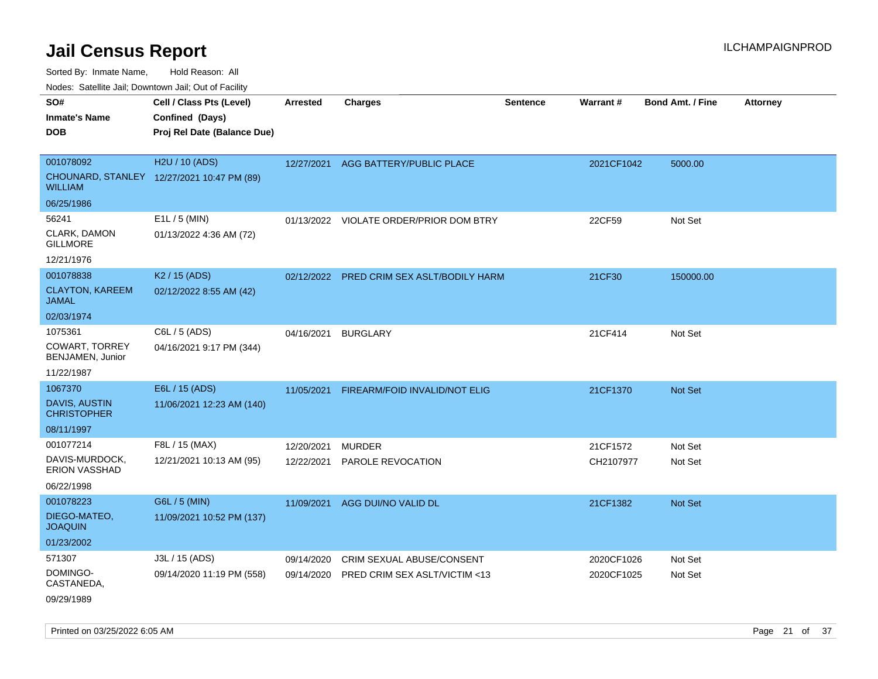Sorted By: Inmate Name, Hold Reason: All

Nodes: Satellite Jail; Downtown Jail; Out of Facility

| SO#<br><b>Inmate's Name</b><br><b>DOB</b>                            | Cell / Class Pts (Level)<br>Confined (Days)<br>Proj Rel Date (Balance Due) | <b>Arrested</b>          | <b>Charges</b>                                             | <b>Sentence</b> | <b>Warrant#</b>          | <b>Bond Amt. / Fine</b> | <b>Attorney</b> |
|----------------------------------------------------------------------|----------------------------------------------------------------------------|--------------------------|------------------------------------------------------------|-----------------|--------------------------|-------------------------|-----------------|
| 001078092<br><b>WILLIAM</b>                                          | H2U / 10 (ADS)<br>CHOUNARD, STANLEY 12/27/2021 10:47 PM (89)               | 12/27/2021               | AGG BATTERY/PUBLIC PLACE                                   |                 | 2021CF1042               | 5000.00                 |                 |
| 06/25/1986<br>56241<br>CLARK, DAMON<br><b>GILLMORE</b><br>12/21/1976 | E1L / 5 (MIN)<br>01/13/2022 4:36 AM (72)                                   |                          | 01/13/2022 VIOLATE ORDER/PRIOR DOM BTRY                    |                 | 22CF59                   | Not Set                 |                 |
| 001078838<br><b>CLAYTON, KAREEM</b><br><b>JAMAL</b><br>02/03/1974    | K <sub>2</sub> / 15 (ADS)<br>02/12/2022 8:55 AM (42)                       |                          | 02/12/2022 PRED CRIM SEX ASLT/BODILY HARM                  |                 | 21CF30                   | 150000.00               |                 |
| 1075361<br><b>COWART, TORREY</b><br>BENJAMEN, Junior<br>11/22/1987   | C6L / 5 (ADS)<br>04/16/2021 9:17 PM (344)                                  | 04/16/2021               | <b>BURGLARY</b>                                            |                 | 21CF414                  | Not Set                 |                 |
| 1067370<br><b>DAVIS, AUSTIN</b><br><b>CHRISTOPHER</b><br>08/11/1997  | E6L / 15 (ADS)<br>11/06/2021 12:23 AM (140)                                | 11/05/2021               | FIREARM/FOID INVALID/NOT ELIG                              |                 | 21CF1370                 | Not Set                 |                 |
| 001077214<br>DAVIS-MURDOCK,<br>ERION VASSHAD<br>06/22/1998           | F8L / 15 (MAX)<br>12/21/2021 10:13 AM (95)                                 | 12/20/2021<br>12/22/2021 | <b>MURDER</b><br>PAROLE REVOCATION                         |                 | 21CF1572<br>CH2107977    | Not Set<br>Not Set      |                 |
| 001078223<br>DIEGO-MATEO,<br><b>JOAQUIN</b><br>01/23/2002            | G6L / 5 (MIN)<br>11/09/2021 10:52 PM (137)                                 | 11/09/2021               | AGG DUI/NO VALID DL                                        |                 | 21CF1382                 | Not Set                 |                 |
| 571307<br>DOMINGO-<br>CASTANEDA,<br>09/29/1989                       | J3L / 15 (ADS)<br>09/14/2020 11:19 PM (558)                                | 09/14/2020<br>09/14/2020 | CRIM SEXUAL ABUSE/CONSENT<br>PRED CRIM SEX ASLT/VICTIM <13 |                 | 2020CF1026<br>2020CF1025 | Not Set<br>Not Set      |                 |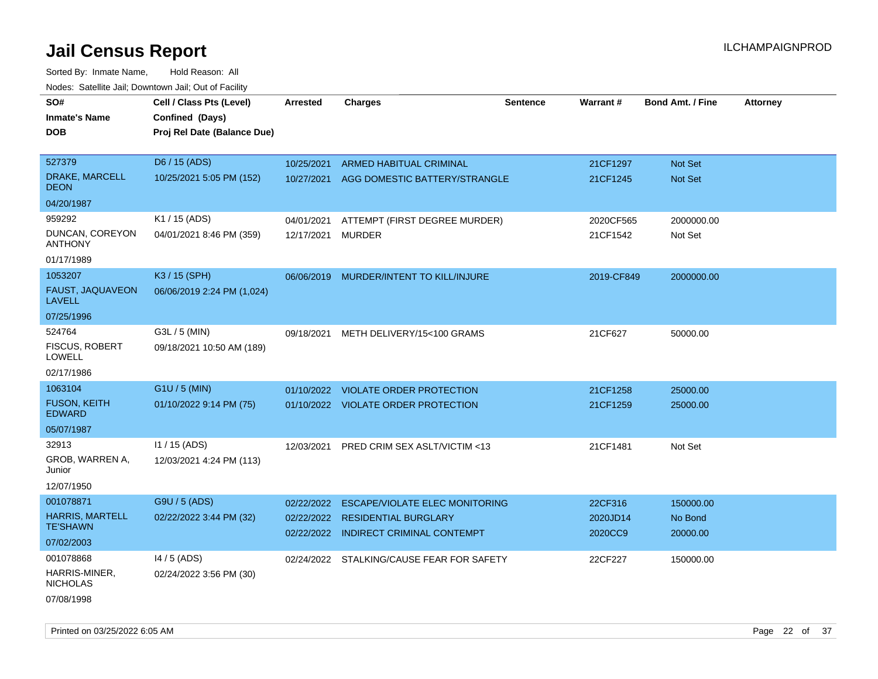| rouco. Calcinic Jan, Downtown Jan, Out of Facility                    |                                                                            |                          |                                                                                                               |                 |                                |                                  |                 |
|-----------------------------------------------------------------------|----------------------------------------------------------------------------|--------------------------|---------------------------------------------------------------------------------------------------------------|-----------------|--------------------------------|----------------------------------|-----------------|
| SO#<br>Inmate's Name<br>DOB                                           | Cell / Class Pts (Level)<br>Confined (Days)<br>Proj Rel Date (Balance Due) | <b>Arrested</b>          | <b>Charges</b>                                                                                                | <b>Sentence</b> | Warrant#                       | <b>Bond Amt. / Fine</b>          | <b>Attorney</b> |
| 527379<br>DRAKE, MARCELL                                              | D6 / 15 (ADS)<br>10/25/2021 5:05 PM (152)                                  | 10/25/2021<br>10/27/2021 | <b>ARMED HABITUAL CRIMINAL</b><br>AGG DOMESTIC BATTERY/STRANGLE                                               |                 | 21CF1297<br>21CF1245           | <b>Not Set</b><br><b>Not Set</b> |                 |
| DEON<br>04/20/1987                                                    |                                                                            |                          |                                                                                                               |                 |                                |                                  |                 |
| 959292<br>DUNCAN, COREYON<br>ANTHONY<br>01/17/1989                    | K1 / 15 (ADS)<br>04/01/2021 8:46 PM (359)                                  | 04/01/2021<br>12/17/2021 | ATTEMPT (FIRST DEGREE MURDER)<br><b>MURDER</b>                                                                |                 | 2020CF565<br>21CF1542          | 2000000.00<br>Not Set            |                 |
| 1053207<br><b>FAUST, JAQUAVEON</b><br>LAVELL                          | K3 / 15 (SPH)<br>06/06/2019 2:24 PM (1,024)                                | 06/06/2019               | MURDER/INTENT TO KILL/INJURE                                                                                  |                 | 2019-CF849                     | 2000000.00                       |                 |
| 07/25/1996<br>524764<br><b>FISCUS, ROBERT</b><br>LOWELL<br>02/17/1986 | G3L / 5 (MIN)<br>09/18/2021 10:50 AM (189)                                 | 09/18/2021               | METH DELIVERY/15<100 GRAMS                                                                                    |                 | 21CF627                        | 50000.00                         |                 |
| 1063104<br>FUSON, KEITH<br>EDWARD<br>05/07/1987                       | G1U / 5 (MIN)<br>01/10/2022 9:14 PM (75)                                   | 01/10/2022               | <b>VIOLATE ORDER PROTECTION</b><br>01/10/2022 VIOLATE ORDER PROTECTION                                        |                 | 21CF1258<br>21CF1259           | 25000.00<br>25000.00             |                 |
| 32913<br>GROB, WARREN A,<br>Junior<br>12/07/1950                      | I1 / 15 (ADS)<br>12/03/2021 4:24 PM (113)                                  | 12/03/2021               | PRED CRIM SEX ASLT/VICTIM <13                                                                                 |                 | 21CF1481                       | Not Set                          |                 |
| 001078871<br><b>HARRIS, MARTELL</b><br>TE'SHAWN<br>07/02/2003         | G9U / 5 (ADS)<br>02/22/2022 3:44 PM (32)                                   | 02/22/2022<br>02/22/2022 | <b>ESCAPE/VIOLATE ELEC MONITORING</b><br><b>RESIDENTIAL BURGLARY</b><br>02/22/2022 INDIRECT CRIMINAL CONTEMPT |                 | 22CF316<br>2020JD14<br>2020CC9 | 150000.00<br>No Bond<br>20000.00 |                 |
| 001078868<br>HARRIS-MINER,<br>NICHOLAS<br>07/08/1998                  | 14 / 5 (ADS)<br>02/24/2022 3:56 PM (30)                                    |                          | 02/24/2022 STALKING/CAUSE FEAR FOR SAFETY                                                                     |                 | 22CF227                        | 150000.00                        |                 |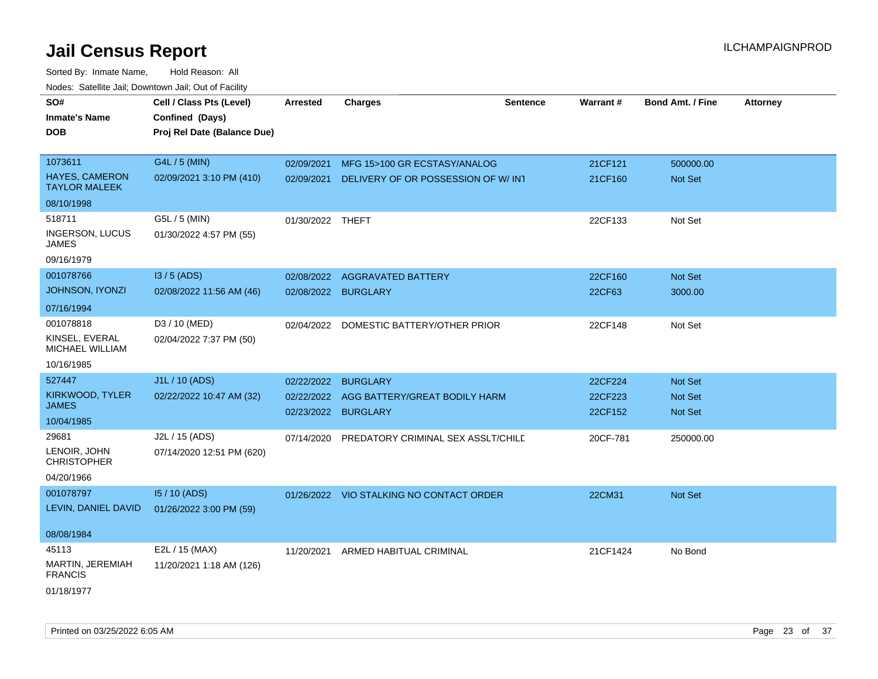| roaco. Catolino dall, Downtown dall, Out of Fability |                             |                  |                                          |                 |          |                         |                 |
|------------------------------------------------------|-----------------------------|------------------|------------------------------------------|-----------------|----------|-------------------------|-----------------|
| SO#                                                  | Cell / Class Pts (Level)    | <b>Arrested</b>  | <b>Charges</b>                           | <b>Sentence</b> | Warrant# | <b>Bond Amt. / Fine</b> | <b>Attorney</b> |
| <b>Inmate's Name</b>                                 | Confined (Days)             |                  |                                          |                 |          |                         |                 |
| <b>DOB</b>                                           | Proj Rel Date (Balance Due) |                  |                                          |                 |          |                         |                 |
|                                                      |                             |                  |                                          |                 |          |                         |                 |
| 1073611                                              | G4L / 5 (MIN)               | 02/09/2021       | MFG 15>100 GR ECSTASY/ANALOG             |                 | 21CF121  | 500000.00               |                 |
| <b>HAYES, CAMERON</b><br><b>TAYLOR MALEEK</b>        | 02/09/2021 3:10 PM (410)    | 02/09/2021       | DELIVERY OF OR POSSESSION OF W/INT       |                 | 21CF160  | Not Set                 |                 |
| 08/10/1998                                           |                             |                  |                                          |                 |          |                         |                 |
| 518711                                               | G5L / 5 (MIN)               | 01/30/2022 THEFT |                                          |                 | 22CF133  | Not Set                 |                 |
| <b>INGERSON, LUCUS</b><br>JAMES                      | 01/30/2022 4:57 PM (55)     |                  |                                          |                 |          |                         |                 |
| 09/16/1979                                           |                             |                  |                                          |                 |          |                         |                 |
| 001078766                                            | I3 / 5 (ADS)                | 02/08/2022       | AGGRAVATED BATTERY                       |                 | 22CF160  | <b>Not Set</b>          |                 |
| <b>JOHNSON, IYONZI</b>                               | 02/08/2022 11:56 AM (46)    | 02/08/2022       | <b>BURGLARY</b>                          |                 | 22CF63   | 3000.00                 |                 |
| 07/16/1994                                           |                             |                  |                                          |                 |          |                         |                 |
| 001078818                                            | D3 / 10 (MED)               | 02/04/2022       | DOMESTIC BATTERY/OTHER PRIOR             |                 | 22CF148  | Not Set                 |                 |
| KINSEL, EVERAL<br><b>MICHAEL WILLIAM</b>             | 02/04/2022 7:37 PM (50)     |                  |                                          |                 |          |                         |                 |
| 10/16/1985                                           |                             |                  |                                          |                 |          |                         |                 |
| 527447                                               | J1L / 10 (ADS)              | 02/22/2022       | <b>BURGLARY</b>                          |                 | 22CF224  | <b>Not Set</b>          |                 |
| KIRKWOOD, TYLER                                      | 02/22/2022 10:47 AM (32)    | 02/22/2022       | AGG BATTERY/GREAT BODILY HARM            |                 | 22CF223  | <b>Not Set</b>          |                 |
| JAMES                                                |                             | 02/23/2022       | <b>BURGLARY</b>                          |                 | 22CF152  | Not Set                 |                 |
| 10/04/1985                                           |                             |                  |                                          |                 |          |                         |                 |
| 29681                                                | J2L / 15 (ADS)              | 07/14/2020       | PREDATORY CRIMINAL SEX ASSLT/CHILD       |                 | 20CF-781 | 250000.00               |                 |
| LENOIR, JOHN<br><b>CHRISTOPHER</b>                   | 07/14/2020 12:51 PM (620)   |                  |                                          |                 |          |                         |                 |
| 04/20/1966                                           |                             |                  |                                          |                 |          |                         |                 |
| 001078797                                            | 15 / 10 (ADS)               |                  | 01/26/2022 VIO STALKING NO CONTACT ORDER |                 | 22CM31   | <b>Not Set</b>          |                 |
| LEVIN, DANIEL DAVID                                  | 01/26/2022 3:00 PM (59)     |                  |                                          |                 |          |                         |                 |
|                                                      |                             |                  |                                          |                 |          |                         |                 |
| 08/08/1984                                           |                             |                  |                                          |                 |          |                         |                 |
| 45113                                                | E2L / 15 (MAX)              | 11/20/2021       | ARMED HABITUAL CRIMINAL                  |                 | 21CF1424 | No Bond                 |                 |
| MARTIN, JEREMIAH<br><b>FRANCIS</b>                   | 11/20/2021 1:18 AM (126)    |                  |                                          |                 |          |                         |                 |
| 01/18/1977                                           |                             |                  |                                          |                 |          |                         |                 |
|                                                      |                             |                  |                                          |                 |          |                         |                 |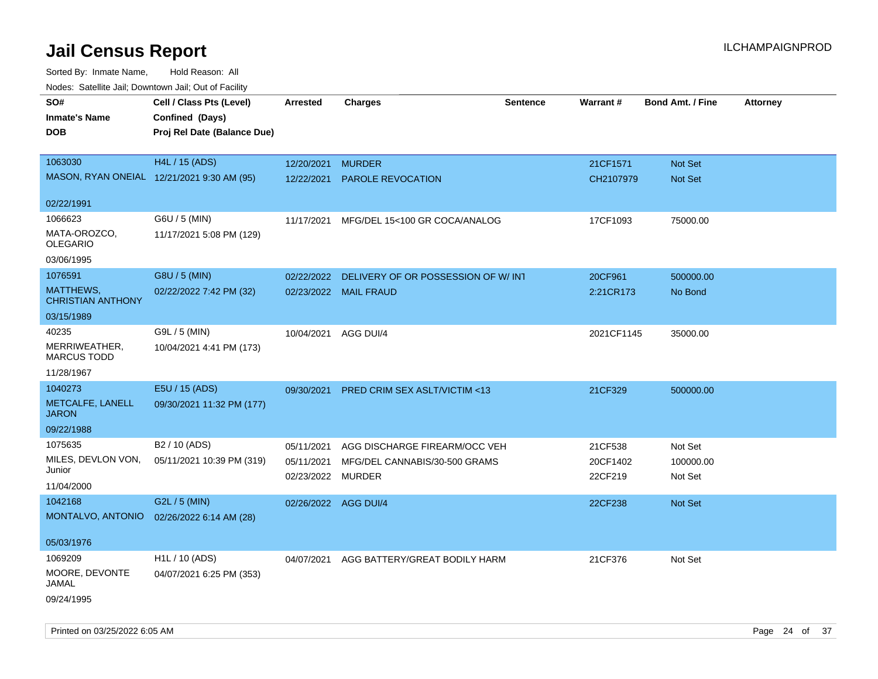| Noues. Sateme Jan, Downtown Jan, Out or Facility |                             |                      |                                         |          |            |                         |                 |
|--------------------------------------------------|-----------------------------|----------------------|-----------------------------------------|----------|------------|-------------------------|-----------------|
| SO#                                              | Cell / Class Pts (Level)    | Arrested             | <b>Charges</b>                          | Sentence | Warrant#   | <b>Bond Amt. / Fine</b> | <b>Attorney</b> |
| <b>Inmate's Name</b>                             | Confined (Days)             |                      |                                         |          |            |                         |                 |
| DOB                                              | Proj Rel Date (Balance Due) |                      |                                         |          |            |                         |                 |
|                                                  |                             |                      |                                         |          |            |                         |                 |
| 1063030                                          | <b>H4L / 15 (ADS)</b>       | 12/20/2021           | <b>MURDER</b>                           |          | 21CF1571   | Not Set                 |                 |
| MASON, RYAN ONEIAL 12/21/2021 9:30 AM (95)       |                             | 12/22/2021           | PAROLE REVOCATION                       |          | CH2107979  | Not Set                 |                 |
|                                                  |                             |                      |                                         |          |            |                         |                 |
| 02/22/1991                                       |                             |                      |                                         |          |            |                         |                 |
| 1066623                                          | G6U / 5 (MIN)               | 11/17/2021           | MFG/DEL 15<100 GR COCA/ANALOG           |          | 17CF1093   | 75000.00                |                 |
| MATA-OROZCO,<br><b>OLEGARIO</b>                  | 11/17/2021 5:08 PM (129)    |                      |                                         |          |            |                         |                 |
| 03/06/1995                                       |                             |                      |                                         |          |            |                         |                 |
| 1076591                                          | G8U / 5 (MIN)               | 02/22/2022           | DELIVERY OF OR POSSESSION OF W/INT      |          | 20CF961    | 500000.00               |                 |
| MATTHEWS,<br><b>CHRISTIAN ANTHONY</b>            | 02/22/2022 7:42 PM (32)     | 02/23/2022           | <b>MAIL FRAUD</b>                       |          | 2:21CR173  | No Bond                 |                 |
| 03/15/1989                                       |                             |                      |                                         |          |            |                         |                 |
| 40235                                            | G9L / 5 (MIN)               | 10/04/2021           | AGG DUI/4                               |          | 2021CF1145 | 35000.00                |                 |
| MERRIWEATHER,<br><b>MARCUS TODD</b>              | 10/04/2021 4:41 PM (173)    |                      |                                         |          |            |                         |                 |
| 11/28/1967                                       |                             |                      |                                         |          |            |                         |                 |
| 1040273                                          | E5U / 15 (ADS)              | 09/30/2021           | <b>PRED CRIM SEX ASLT/VICTIM &lt;13</b> |          | 21CF329    | 500000.00               |                 |
| METCALFE, LANELL<br><b>JARON</b>                 | 09/30/2021 11:32 PM (177)   |                      |                                         |          |            |                         |                 |
| 09/22/1988                                       |                             |                      |                                         |          |            |                         |                 |
| 1075635                                          | B <sub>2</sub> / 10 (ADS)   | 05/11/2021           | AGG DISCHARGE FIREARM/OCC VEH           |          | 21CF538    | Not Set                 |                 |
| MILES, DEVLON VON,                               | 05/11/2021 10:39 PM (319)   | 05/11/2021           | MFG/DEL CANNABIS/30-500 GRAMS           |          | 20CF1402   | 100000.00               |                 |
| Junior                                           |                             | 02/23/2022           | MURDER                                  |          | 22CF219    | Not Set                 |                 |
| 11/04/2000                                       |                             |                      |                                         |          |            |                         |                 |
| 1042168                                          | G2L / 5 (MIN)               | 02/26/2022 AGG DUI/4 |                                         |          | 22CF238    | Not Set                 |                 |
| MONTALVO, ANTONIO                                | 02/26/2022 6:14 AM (28)     |                      |                                         |          |            |                         |                 |
| 05/03/1976                                       |                             |                      |                                         |          |            |                         |                 |
| 1069209                                          | H1L / 10 (ADS)              | 04/07/2021           | AGG BATTERY/GREAT BODILY HARM           |          | 21CF376    | Not Set                 |                 |
| MOORE, DEVONTE<br>JAMAL                          | 04/07/2021 6:25 PM (353)    |                      |                                         |          |            |                         |                 |
| 09/24/1995                                       |                             |                      |                                         |          |            |                         |                 |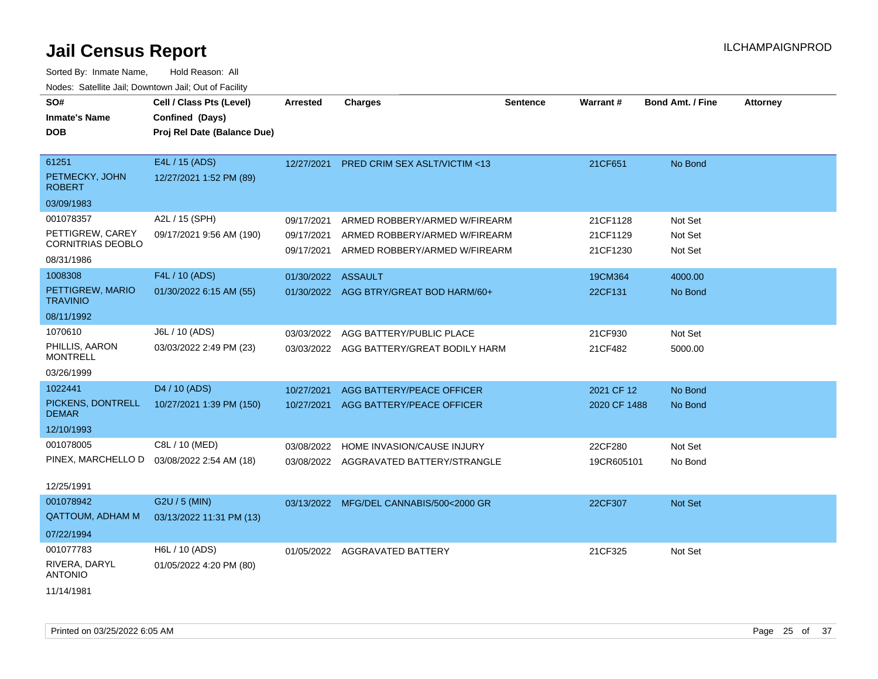| SO#<br><b>Inmate's Name</b>                  | Cell / Class Pts (Level)<br>Confined (Days) | <b>Arrested</b>          | <b>Charges</b>                                                 | <b>Sentence</b> | <b>Warrant#</b>      | <b>Bond Amt. / Fine</b> | <b>Attorney</b> |
|----------------------------------------------|---------------------------------------------|--------------------------|----------------------------------------------------------------|-----------------|----------------------|-------------------------|-----------------|
| <b>DOB</b>                                   | Proj Rel Date (Balance Due)                 |                          |                                                                |                 |                      |                         |                 |
|                                              |                                             |                          |                                                                |                 |                      |                         |                 |
| 61251                                        | E4L / 15 (ADS)                              | 12/27/2021               | PRED CRIM SEX ASLT/VICTIM <13                                  |                 | 21CF651              | No Bond                 |                 |
| PETMECKY, JOHN<br><b>ROBERT</b>              | 12/27/2021 1:52 PM (89)                     |                          |                                                                |                 |                      |                         |                 |
| 03/09/1983                                   |                                             |                          |                                                                |                 |                      |                         |                 |
| 001078357                                    | A2L / 15 (SPH)                              | 09/17/2021               | ARMED ROBBERY/ARMED W/FIREARM                                  |                 | 21CF1128             | Not Set                 |                 |
| PETTIGREW, CAREY<br><b>CORNITRIAS DEOBLO</b> | 09/17/2021 9:56 AM (190)                    | 09/17/2021<br>09/17/2021 | ARMED ROBBERY/ARMED W/FIREARM<br>ARMED ROBBERY/ARMED W/FIREARM |                 | 21CF1129<br>21CF1230 | Not Set<br>Not Set      |                 |
| 08/31/1986                                   |                                             |                          |                                                                |                 |                      |                         |                 |
| 1008308                                      | F4L / 10 (ADS)                              | 01/30/2022               | <b>ASSAULT</b>                                                 |                 | 19CM364              | 4000.00                 |                 |
| PETTIGREW, MARIO<br><b>TRAVINIO</b>          | 01/30/2022 6:15 AM (55)                     |                          | 01/30/2022 AGG BTRY/GREAT BOD HARM/60+                         |                 | 22CF131              | No Bond                 |                 |
| 08/11/1992                                   |                                             |                          |                                                                |                 |                      |                         |                 |
| 1070610                                      | J6L / 10 (ADS)                              | 03/03/2022               | AGG BATTERY/PUBLIC PLACE                                       |                 | 21CF930              | Not Set                 |                 |
| PHILLIS, AARON<br><b>MONTRELL</b>            | 03/03/2022 2:49 PM (23)                     |                          | 03/03/2022 AGG BATTERY/GREAT BODILY HARM                       |                 | 21CF482              | 5000.00                 |                 |
| 03/26/1999                                   |                                             |                          |                                                                |                 |                      |                         |                 |
| 1022441                                      | D4 / 10 (ADS)                               | 10/27/2021               | <b>AGG BATTERY/PEACE OFFICER</b>                               |                 | 2021 CF 12           | No Bond                 |                 |
| PICKENS, DONTRELL<br><b>DEMAR</b>            | 10/27/2021 1:39 PM (150)                    | 10/27/2021               | AGG BATTERY/PEACE OFFICER                                      |                 | 2020 CF 1488         | No Bond                 |                 |
| 12/10/1993                                   |                                             |                          |                                                                |                 |                      |                         |                 |
| 001078005                                    | C8L / 10 (MED)                              | 03/08/2022               | HOME INVASION/CAUSE INJURY                                     |                 | 22CF280              | Not Set                 |                 |
| PINEX, MARCHELLO D                           | 03/08/2022 2:54 AM (18)                     |                          | 03/08/2022 AGGRAVATED BATTERY/STRANGLE                         |                 | 19CR605101           | No Bond                 |                 |
| 12/25/1991                                   |                                             |                          |                                                                |                 |                      |                         |                 |
| 001078942                                    | G2U / 5 (MIN)                               |                          | 03/13/2022 MFG/DEL CANNABIS/500<2000 GR                        |                 | 22CF307              | <b>Not Set</b>          |                 |
| <b>QATTOUM, ADHAM M</b>                      | 03/13/2022 11:31 PM (13)                    |                          |                                                                |                 |                      |                         |                 |
| 07/22/1994                                   |                                             |                          |                                                                |                 |                      |                         |                 |
| 001077783                                    | H6L / 10 (ADS)                              | 01/05/2022               | AGGRAVATED BATTERY                                             |                 | 21CF325              | Not Set                 |                 |
| RIVERA, DARYL<br><b>ANTONIO</b>              | 01/05/2022 4:20 PM (80)                     |                          |                                                                |                 |                      |                         |                 |
| 11/14/1981                                   |                                             |                          |                                                                |                 |                      |                         |                 |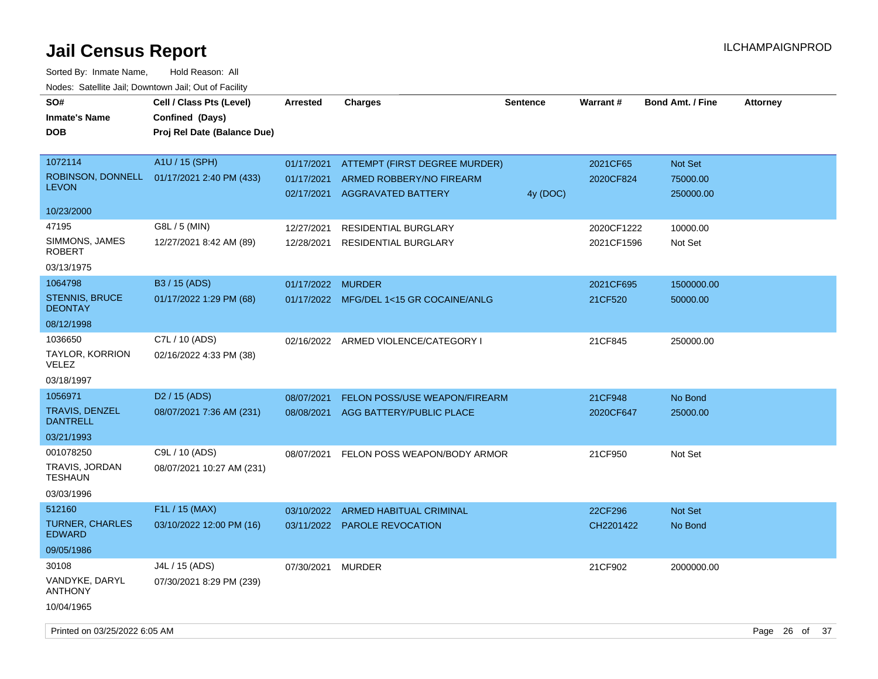| SO#<br><b>Inmate's Name</b>              | Cell / Class Pts (Level)<br>Confined (Days) | <b>Arrested</b>          | <b>Charges</b>                                        | <b>Sentence</b> | Warrant#   | <b>Bond Amt. / Fine</b> | <b>Attorney</b> |
|------------------------------------------|---------------------------------------------|--------------------------|-------------------------------------------------------|-----------------|------------|-------------------------|-----------------|
| <b>DOB</b>                               | Proj Rel Date (Balance Due)                 |                          |                                                       |                 |            |                         |                 |
| 1072114                                  | A1U / 15 (SPH)                              | 01/17/2021               | ATTEMPT (FIRST DEGREE MURDER)                         |                 | 2021CF65   | Not Set                 |                 |
| <b>LEVON</b>                             | ROBINSON, DONNELL 01/17/2021 2:40 PM (433)  | 01/17/2021<br>02/17/2021 | ARMED ROBBERY/NO FIREARM<br><b>AGGRAVATED BATTERY</b> | 4y (DOC)        | 2020CF824  | 75000.00<br>250000.00   |                 |
| 10/23/2000                               |                                             |                          |                                                       |                 |            |                         |                 |
| 47195                                    | G8L / 5 (MIN)                               | 12/27/2021               | <b>RESIDENTIAL BURGLARY</b>                           |                 | 2020CF1222 | 10000.00                |                 |
| SIMMONS, JAMES<br>ROBERT                 | 12/27/2021 8:42 AM (89)                     | 12/28/2021               | <b>RESIDENTIAL BURGLARY</b>                           |                 | 2021CF1596 | Not Set                 |                 |
| 03/13/1975                               |                                             |                          |                                                       |                 |            |                         |                 |
| 1064798                                  | B <sub>3</sub> / 15 (ADS)                   | 01/17/2022 MURDER        |                                                       |                 | 2021CF695  | 1500000.00              |                 |
| <b>STENNIS, BRUCE</b><br><b>DEONTAY</b>  | 01/17/2022 1:29 PM (68)                     |                          | 01/17/2022 MFG/DEL 1<15 GR COCAINE/ANLG               |                 | 21CF520    | 50000.00                |                 |
| 08/12/1998                               |                                             |                          |                                                       |                 |            |                         |                 |
| 1036650                                  | C7L / 10 (ADS)                              |                          | 02/16/2022 ARMED VIOLENCE/CATEGORY I                  |                 | 21CF845    | 250000.00               |                 |
| <b>TAYLOR, KORRION</b><br>VELEZ          | 02/16/2022 4:33 PM (38)                     |                          |                                                       |                 |            |                         |                 |
| 03/18/1997                               |                                             |                          |                                                       |                 |            |                         |                 |
| 1056971                                  | D <sub>2</sub> / 15 (ADS)                   | 08/07/2021               | FELON POSS/USE WEAPON/FIREARM                         |                 | 21CF948    | No Bond                 |                 |
| <b>TRAVIS, DENZEL</b><br><b>DANTRELL</b> | 08/07/2021 7:36 AM (231)                    | 08/08/2021               | AGG BATTERY/PUBLIC PLACE                              |                 | 2020CF647  | 25000.00                |                 |
| 03/21/1993                               |                                             |                          |                                                       |                 |            |                         |                 |
| 001078250                                | C9L / 10 (ADS)                              | 08/07/2021               | FELON POSS WEAPON/BODY ARMOR                          |                 | 21CF950    | Not Set                 |                 |
| TRAVIS, JORDAN<br><b>TESHAUN</b>         | 08/07/2021 10:27 AM (231)                   |                          |                                                       |                 |            |                         |                 |
| 03/03/1996                               |                                             |                          |                                                       |                 |            |                         |                 |
| 512160                                   | F <sub>1</sub> L / 15 (MAX)                 | 03/10/2022               | <b>ARMED HABITUAL CRIMINAL</b>                        |                 | 22CF296    | Not Set                 |                 |
| <b>TURNER, CHARLES</b><br><b>EDWARD</b>  | 03/10/2022 12:00 PM (16)                    |                          | 03/11/2022 PAROLE REVOCATION                          |                 | CH2201422  | No Bond                 |                 |
| 09/05/1986                               |                                             |                          |                                                       |                 |            |                         |                 |
| 30108                                    | J4L / 15 (ADS)                              | 07/30/2021               | <b>MURDER</b>                                         |                 | 21CF902    | 2000000.00              |                 |
| VANDYKE, DARYL<br><b>ANTHONY</b>         | 07/30/2021 8:29 PM (239)                    |                          |                                                       |                 |            |                         |                 |
| 10/04/1965                               |                                             |                          |                                                       |                 |            |                         |                 |
| Printed on 03/25/2022 6:05 AM            |                                             |                          |                                                       |                 |            |                         | Page 26 of 37   |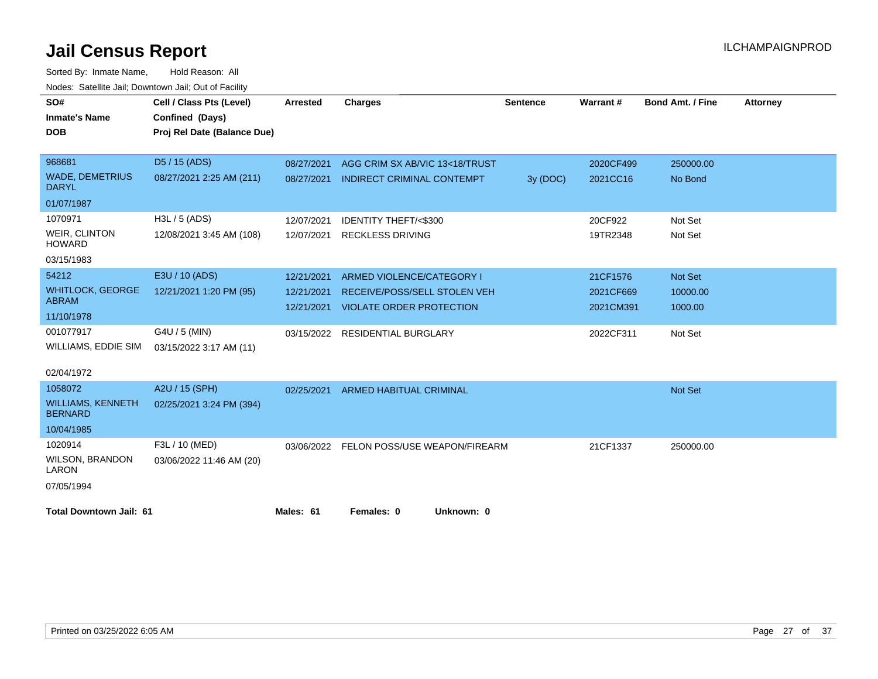| SO#                                        | Cell / Class Pts (Level)    | <b>Arrested</b> | <b>Charges</b>                      | <b>Sentence</b> | <b>Warrant#</b> | <b>Bond Amt. / Fine</b> | <b>Attorney</b> |
|--------------------------------------------|-----------------------------|-----------------|-------------------------------------|-----------------|-----------------|-------------------------|-----------------|
| <b>Inmate's Name</b>                       | Confined (Days)             |                 |                                     |                 |                 |                         |                 |
| <b>DOB</b>                                 | Proj Rel Date (Balance Due) |                 |                                     |                 |                 |                         |                 |
|                                            |                             |                 |                                     |                 |                 |                         |                 |
| 968681                                     | D5 / 15 (ADS)               | 08/27/2021      | AGG CRIM SX AB/VIC 13<18/TRUST      |                 | 2020CF499       | 250000.00               |                 |
| <b>WADE, DEMETRIUS</b><br><b>DARYL</b>     | 08/27/2021 2:25 AM (211)    | 08/27/2021      | <b>INDIRECT CRIMINAL CONTEMPT</b>   | 3y (DOC)        | 2021CC16        | No Bond                 |                 |
| 01/07/1987                                 |                             |                 |                                     |                 |                 |                         |                 |
| 1070971                                    | $H3L / 5$ (ADS)             | 12/07/2021      | <b>IDENTITY THEFT/&lt;\$300</b>     |                 | 20CF922         | Not Set                 |                 |
| <b>WEIR, CLINTON</b><br><b>HOWARD</b>      | 12/08/2021 3:45 AM (108)    | 12/07/2021      | <b>RECKLESS DRIVING</b>             |                 | 19TR2348        | Not Set                 |                 |
| 03/15/1983                                 |                             |                 |                                     |                 |                 |                         |                 |
| 54212                                      | E3U / 10 (ADS)              | 12/21/2021      | ARMED VIOLENCE/CATEGORY I           |                 | 21CF1576        | <b>Not Set</b>          |                 |
| <b>WHITLOCK, GEORGE</b><br><b>ABRAM</b>    | 12/21/2021 1:20 PM (95)     | 12/21/2021      | <b>RECEIVE/POSS/SELL STOLEN VEH</b> |                 | 2021CF669       | 10000.00                |                 |
| 11/10/1978                                 |                             | 12/21/2021      | <b>VIOLATE ORDER PROTECTION</b>     |                 | 2021CM391       | 1000.00                 |                 |
| 001077917                                  | G4U / 5 (MIN)               |                 | 03/15/2022 RESIDENTIAL BURGLARY     |                 | 2022CF311       | Not Set                 |                 |
| WILLIAMS, EDDIE SIM                        | 03/15/2022 3:17 AM (11)     |                 |                                     |                 |                 |                         |                 |
| 02/04/1972                                 |                             |                 |                                     |                 |                 |                         |                 |
| 1058072                                    | A2U / 15 (SPH)              | 02/25/2021      | <b>ARMED HABITUAL CRIMINAL</b>      |                 |                 | <b>Not Set</b>          |                 |
| <b>WILLIAMS, KENNETH</b><br><b>BERNARD</b> | 02/25/2021 3:24 PM (394)    |                 |                                     |                 |                 |                         |                 |
| 10/04/1985                                 |                             |                 |                                     |                 |                 |                         |                 |
| 1020914                                    | F3L / 10 (MED)              | 03/06/2022      | FELON POSS/USE WEAPON/FIREARM       |                 | 21CF1337        | 250000.00               |                 |
| <b>WILSON, BRANDON</b><br>LARON            | 03/06/2022 11:46 AM (20)    |                 |                                     |                 |                 |                         |                 |
| 07/05/1994                                 |                             |                 |                                     |                 |                 |                         |                 |
| <b>Total Downtown Jail: 61</b>             |                             | Males: 61       | Females: 0<br>Unknown: 0            |                 |                 |                         |                 |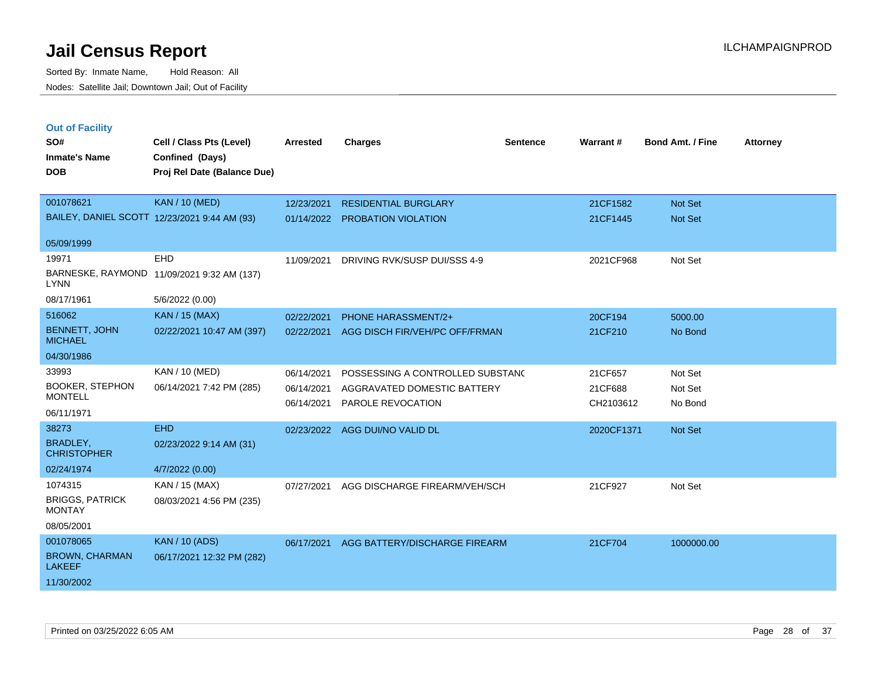Sorted By: Inmate Name, Hold Reason: All Nodes: Satellite Jail; Downtown Jail; Out of Facility

| <b>Out of Facility</b>                  |                                              |                 |                                  |                 |            |                         |                 |
|-----------------------------------------|----------------------------------------------|-----------------|----------------------------------|-----------------|------------|-------------------------|-----------------|
| SO#                                     | Cell / Class Pts (Level)                     | <b>Arrested</b> | <b>Charges</b>                   | <b>Sentence</b> | Warrant#   | <b>Bond Amt. / Fine</b> | <b>Attorney</b> |
| <b>Inmate's Name</b>                    | Confined (Days)                              |                 |                                  |                 |            |                         |                 |
| <b>DOB</b>                              | Proj Rel Date (Balance Due)                  |                 |                                  |                 |            |                         |                 |
|                                         |                                              |                 |                                  |                 |            |                         |                 |
| 001078621                               | <b>KAN / 10 (MED)</b>                        | 12/23/2021      | <b>RESIDENTIAL BURGLARY</b>      |                 | 21CF1582   | Not Set                 |                 |
|                                         | BAILEY, DANIEL SCOTT 12/23/2021 9:44 AM (93) | 01/14/2022      | PROBATION VIOLATION              |                 | 21CF1445   | Not Set                 |                 |
| 05/09/1999                              |                                              |                 |                                  |                 |            |                         |                 |
| 19971                                   | EHD                                          | 11/09/2021      | DRIVING RVK/SUSP DUI/SSS 4-9     |                 | 2021CF968  | Not Set                 |                 |
| <b>LYNN</b>                             | BARNESKE, RAYMOND 11/09/2021 9:32 AM (137)   |                 |                                  |                 |            |                         |                 |
| 08/17/1961                              | 5/6/2022 (0.00)                              |                 |                                  |                 |            |                         |                 |
| 516062                                  | <b>KAN / 15 (MAX)</b>                        | 02/22/2021      | <b>PHONE HARASSMENT/2+</b>       |                 | 20CF194    | 5000.00                 |                 |
| <b>BENNETT, JOHN</b><br><b>MICHAEL</b>  | 02/22/2021 10:47 AM (397)                    | 02/22/2021      | AGG DISCH FIR/VEH/PC OFF/FRMAN   |                 | 21CF210    | No Bond                 |                 |
| 04/30/1986                              |                                              |                 |                                  |                 |            |                         |                 |
| 33993                                   | <b>KAN / 10 (MED)</b>                        | 06/14/2021      | POSSESSING A CONTROLLED SUBSTAND |                 | 21CF657    | Not Set                 |                 |
| <b>BOOKER, STEPHON</b>                  | 06/14/2021 7:42 PM (285)                     | 06/14/2021      | AGGRAVATED DOMESTIC BATTERY      |                 | 21CF688    | Not Set                 |                 |
| <b>MONTELL</b>                          |                                              | 06/14/2021      | PAROLE REVOCATION                |                 | CH2103612  | No Bond                 |                 |
| 06/11/1971                              |                                              |                 |                                  |                 |            |                         |                 |
| 38273                                   | <b>EHD</b>                                   |                 | 02/23/2022 AGG DUI/NO VALID DL   |                 | 2020CF1371 | Not Set                 |                 |
| <b>BRADLEY,</b><br><b>CHRISTOPHER</b>   | 02/23/2022 9:14 AM (31)                      |                 |                                  |                 |            |                         |                 |
| 02/24/1974                              | 4/7/2022 (0.00)                              |                 |                                  |                 |            |                         |                 |
| 1074315                                 | KAN / 15 (MAX)                               | 07/27/2021      | AGG DISCHARGE FIREARM/VEH/SCH    |                 | 21CF927    | Not Set                 |                 |
| <b>BRIGGS, PATRICK</b><br><b>MONTAY</b> | 08/03/2021 4:56 PM (235)                     |                 |                                  |                 |            |                         |                 |
| 08/05/2001                              |                                              |                 |                                  |                 |            |                         |                 |
| 001078065                               | <b>KAN / 10 (ADS)</b>                        | 06/17/2021      | AGG BATTERY/DISCHARGE FIREARM    |                 | 21CF704    | 1000000.00              |                 |
| <b>BROWN, CHARMAN</b><br><b>LAKEEF</b>  | 06/17/2021 12:32 PM (282)                    |                 |                                  |                 |            |                         |                 |

11/30/2002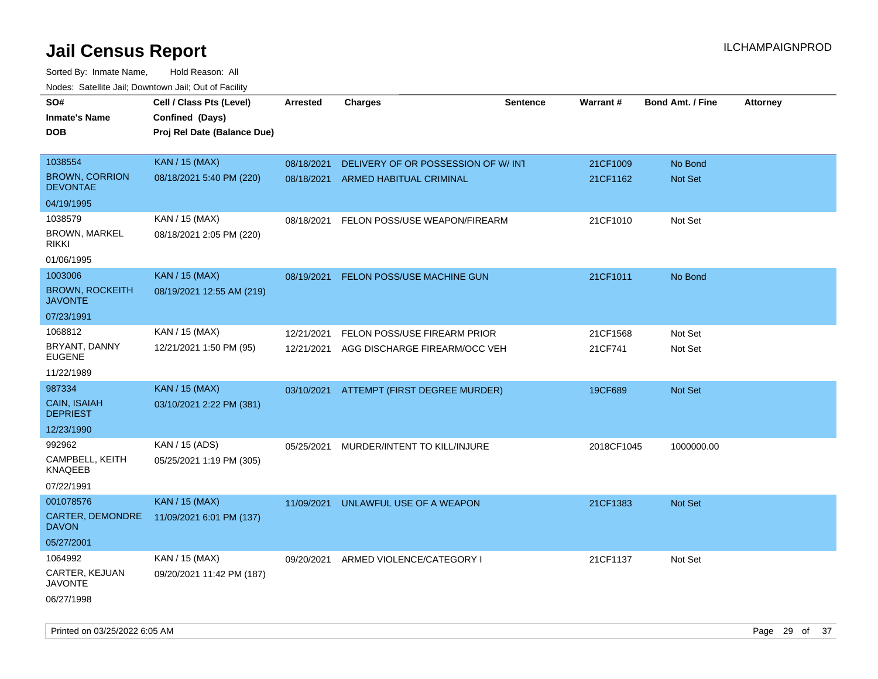Sorted By: Inmate Name, Hold Reason: All Nodes: Satellite Jail; Downtown Jail; Out of Facility

| SO#                                      | Cell / Class Pts (Level)    | <b>Arrested</b> | <b>Charges</b>                      | <b>Sentence</b> | <b>Warrant#</b> | <b>Bond Amt. / Fine</b> | <b>Attorney</b> |
|------------------------------------------|-----------------------------|-----------------|-------------------------------------|-----------------|-----------------|-------------------------|-----------------|
| <b>Inmate's Name</b>                     | Confined (Days)             |                 |                                     |                 |                 |                         |                 |
| <b>DOB</b>                               | Proj Rel Date (Balance Due) |                 |                                     |                 |                 |                         |                 |
|                                          |                             |                 |                                     |                 |                 |                         |                 |
| 1038554                                  | <b>KAN / 15 (MAX)</b>       | 08/18/2021      | DELIVERY OF OR POSSESSION OF W/ INT |                 | 21CF1009        | No Bond                 |                 |
| <b>BROWN, CORRION</b><br><b>DEVONTAE</b> | 08/18/2021 5:40 PM (220)    |                 | 08/18/2021 ARMED HABITUAL CRIMINAL  |                 | 21CF1162        | Not Set                 |                 |
| 04/19/1995                               |                             |                 |                                     |                 |                 |                         |                 |
| 1038579                                  | KAN / 15 (MAX)              | 08/18/2021      | FELON POSS/USE WEAPON/FIREARM       |                 | 21CF1010        | Not Set                 |                 |
| <b>BROWN, MARKEL</b><br><b>RIKKI</b>     | 08/18/2021 2:05 PM (220)    |                 |                                     |                 |                 |                         |                 |
| 01/06/1995                               |                             |                 |                                     |                 |                 |                         |                 |
| 1003006                                  | <b>KAN / 15 (MAX)</b>       | 08/19/2021      | FELON POSS/USE MACHINE GUN          |                 | 21CF1011        | No Bond                 |                 |
| <b>BROWN, ROCKEITH</b><br><b>JAVONTE</b> | 08/19/2021 12:55 AM (219)   |                 |                                     |                 |                 |                         |                 |
| 07/23/1991                               |                             |                 |                                     |                 |                 |                         |                 |
| 1068812                                  | KAN / 15 (MAX)              | 12/21/2021      | FELON POSS/USE FIREARM PRIOR        |                 | 21CF1568        | Not Set                 |                 |
| BRYANT, DANNY<br><b>EUGENE</b>           | 12/21/2021 1:50 PM (95)     | 12/21/2021      | AGG DISCHARGE FIREARM/OCC VEH       |                 | 21CF741         | Not Set                 |                 |
| 11/22/1989                               |                             |                 |                                     |                 |                 |                         |                 |
| 987334                                   | <b>KAN / 15 (MAX)</b>       | 03/10/2021      | ATTEMPT (FIRST DEGREE MURDER)       |                 | 19CF689         | Not Set                 |                 |
| CAIN, ISAIAH<br><b>DEPRIEST</b>          | 03/10/2021 2:22 PM (381)    |                 |                                     |                 |                 |                         |                 |
| 12/23/1990                               |                             |                 |                                     |                 |                 |                         |                 |
| 992962                                   | KAN / 15 (ADS)              | 05/25/2021      | MURDER/INTENT TO KILL/INJURE        |                 | 2018CF1045      | 1000000.00              |                 |
| CAMPBELL, KEITH<br><b>KNAQEEB</b>        | 05/25/2021 1:19 PM (305)    |                 |                                     |                 |                 |                         |                 |
| 07/22/1991                               |                             |                 |                                     |                 |                 |                         |                 |
| 001078576                                | <b>KAN / 15 (MAX)</b>       | 11/09/2021      | UNLAWFUL USE OF A WEAPON            |                 | 21CF1383        | Not Set                 |                 |
| CARTER, DEMONDRE<br><b>DAVON</b>         | 11/09/2021 6:01 PM (137)    |                 |                                     |                 |                 |                         |                 |
| 05/27/2001                               |                             |                 |                                     |                 |                 |                         |                 |
| 1064992                                  | KAN / 15 (MAX)              | 09/20/2021      | ARMED VIOLENCE/CATEGORY I           |                 | 21CF1137        | Not Set                 |                 |
| CARTER, KEJUAN<br><b>JAVONTE</b>         | 09/20/2021 11:42 PM (187)   |                 |                                     |                 |                 |                         |                 |
| 06/27/1998                               |                             |                 |                                     |                 |                 |                         |                 |

Printed on 03/25/2022 6:05 AM Page 29 of 37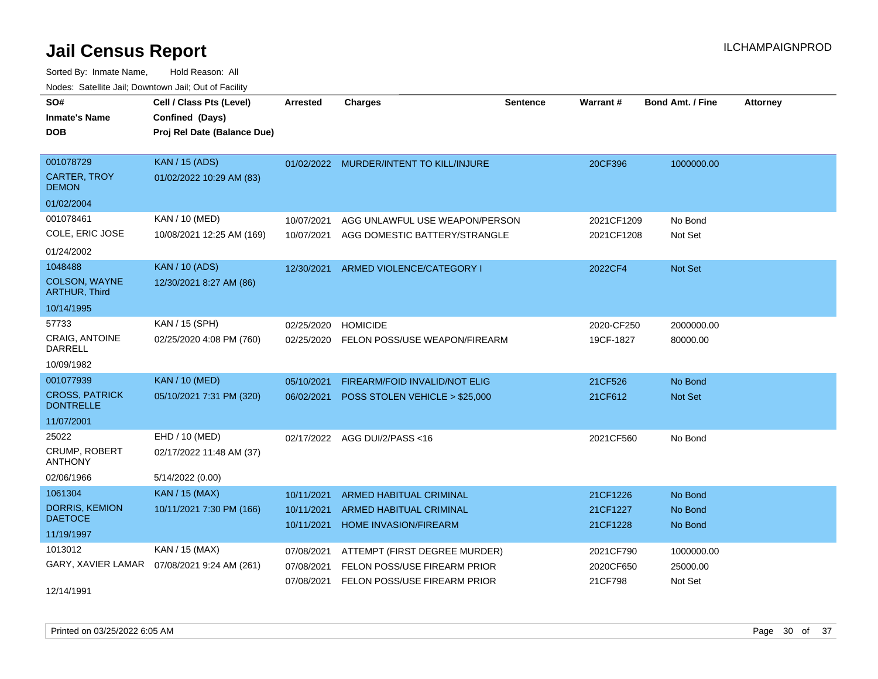| SO#<br><b>Inmate's Name</b><br><b>DOB</b>                            | Cell / Class Pts (Level)<br>Confined (Days)<br>Proj Rel Date (Balance Due) | Arrested                               | <b>Charges</b>                                                                                | <b>Sentence</b> | <b>Warrant#</b>                   | <b>Bond Amt. / Fine</b>           | <b>Attorney</b> |
|----------------------------------------------------------------------|----------------------------------------------------------------------------|----------------------------------------|-----------------------------------------------------------------------------------------------|-----------------|-----------------------------------|-----------------------------------|-----------------|
| 001078729<br><b>CARTER, TROY</b><br><b>DEMON</b><br>01/02/2004       | <b>KAN / 15 (ADS)</b><br>01/02/2022 10:29 AM (83)                          |                                        | 01/02/2022 MURDER/INTENT TO KILL/INJURE                                                       |                 | 20CF396                           | 1000000.00                        |                 |
| 001078461<br>COLE, ERIC JOSE<br>01/24/2002                           | KAN / 10 (MED)<br>10/08/2021 12:25 AM (169)                                | 10/07/2021<br>10/07/2021               | AGG UNLAWFUL USE WEAPON/PERSON<br>AGG DOMESTIC BATTERY/STRANGLE                               |                 | 2021CF1209<br>2021CF1208          | No Bond<br>Not Set                |                 |
| 1048488<br>COLSON, WAYNE<br><b>ARTHUR, Third</b><br>10/14/1995       | <b>KAN / 10 (ADS)</b><br>12/30/2021 8:27 AM (86)                           | 12/30/2021                             | ARMED VIOLENCE/CATEGORY I                                                                     |                 | 2022CF4                           | Not Set                           |                 |
| 57733<br><b>CRAIG. ANTOINE</b><br><b>DARRELL</b><br>10/09/1982       | KAN / 15 (SPH)<br>02/25/2020 4:08 PM (760)                                 | 02/25/2020<br>02/25/2020               | <b>HOMICIDE</b><br>FELON POSS/USE WEAPON/FIREARM                                              |                 | 2020-CF250<br>19CF-1827           | 2000000.00<br>80000.00            |                 |
| 001077939<br><b>CROSS, PATRICK</b><br><b>DONTRELLE</b><br>11/07/2001 | <b>KAN / 10 (MED)</b><br>05/10/2021 7:31 PM (320)                          | 05/10/2021<br>06/02/2021               | FIREARM/FOID INVALID/NOT ELIG<br>POSS STOLEN VEHICLE > \$25,000                               |                 | 21CF526<br>21CF612                | No Bond<br>Not Set                |                 |
| 25022<br><b>CRUMP, ROBERT</b><br><b>ANTHONY</b><br>02/06/1966        | EHD / 10 (MED)<br>02/17/2022 11:48 AM (37)<br>5/14/2022 (0.00)             |                                        | 02/17/2022 AGG DUI/2/PASS<16                                                                  |                 | 2021CF560                         | No Bond                           |                 |
| 1061304<br><b>DORRIS, KEMION</b><br><b>DAETOCE</b><br>11/19/1997     | <b>KAN / 15 (MAX)</b><br>10/11/2021 7:30 PM (166)                          | 10/11/2021<br>10/11/2021<br>10/11/2021 | <b>ARMED HABITUAL CRIMINAL</b><br>ARMED HABITUAL CRIMINAL<br><b>HOME INVASION/FIREARM</b>     |                 | 21CF1226<br>21CF1227<br>21CF1228  | No Bond<br>No Bond<br>No Bond     |                 |
| 1013012<br>GARY, XAVIER LAMAR<br>12/14/1991                          | KAN / 15 (MAX)<br>07/08/2021 9:24 AM (261)                                 | 07/08/2021<br>07/08/2021<br>07/08/2021 | ATTEMPT (FIRST DEGREE MURDER)<br>FELON POSS/USE FIREARM PRIOR<br>FELON POSS/USE FIREARM PRIOR |                 | 2021CF790<br>2020CF650<br>21CF798 | 1000000.00<br>25000.00<br>Not Set |                 |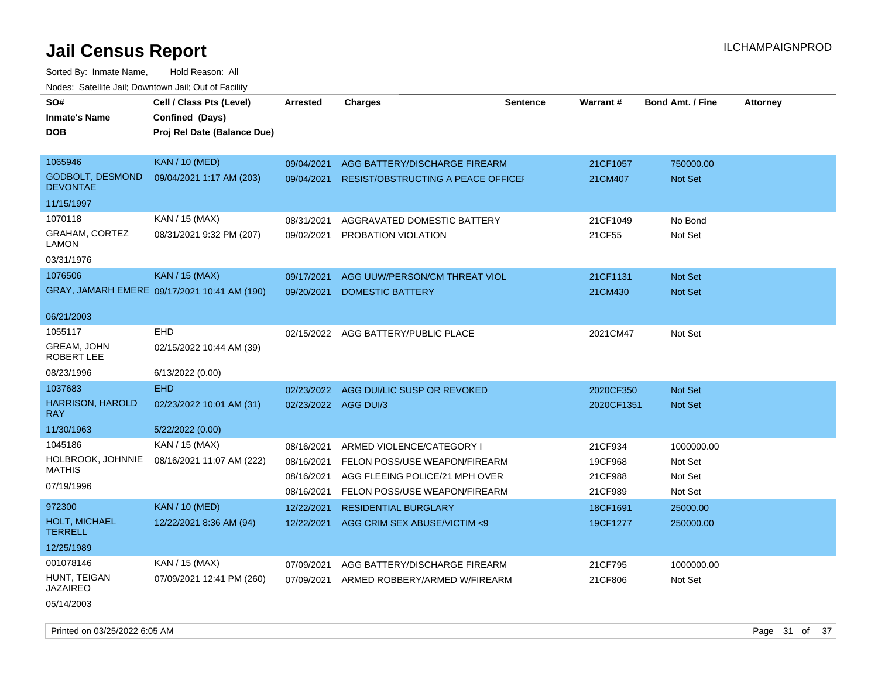| SO#                                        | Cell / Class Pts (Level)                     | Arrested             | <b>Charges</b>                            | <b>Sentence</b> | Warrant#   | <b>Bond Amt. / Fine</b> | <b>Attorney</b> |
|--------------------------------------------|----------------------------------------------|----------------------|-------------------------------------------|-----------------|------------|-------------------------|-----------------|
| <b>Inmate's Name</b>                       | Confined (Days)                              |                      |                                           |                 |            |                         |                 |
| DOB                                        | Proj Rel Date (Balance Due)                  |                      |                                           |                 |            |                         |                 |
|                                            |                                              |                      |                                           |                 |            |                         |                 |
| 1065946                                    | <b>KAN / 10 (MED)</b>                        | 09/04/2021           | AGG BATTERY/DISCHARGE FIREARM             |                 | 21CF1057   | 750000.00               |                 |
| <b>GODBOLT, DESMOND</b><br><b>DEVONTAE</b> | 09/04/2021 1:17 AM (203)                     | 09/04/2021           | <b>RESIST/OBSTRUCTING A PEACE OFFICEF</b> |                 | 21CM407    | Not Set                 |                 |
| 11/15/1997                                 |                                              |                      |                                           |                 |            |                         |                 |
| 1070118                                    | KAN / 15 (MAX)                               | 08/31/2021           | AGGRAVATED DOMESTIC BATTERY               |                 | 21CF1049   | No Bond                 |                 |
| GRAHAM, CORTEZ<br>LAMON                    | 08/31/2021 9:32 PM (207)                     | 09/02/2021           | PROBATION VIOLATION                       |                 | 21CF55     | Not Set                 |                 |
| 03/31/1976                                 |                                              |                      |                                           |                 |            |                         |                 |
| 1076506                                    | KAN / 15 (MAX)                               | 09/17/2021           | AGG UUW/PERSON/CM THREAT VIOL             |                 | 21CF1131   | Not Set                 |                 |
|                                            | GRAY, JAMARH EMERE 09/17/2021 10:41 AM (190) | 09/20/2021           | DOMESTIC BATTERY                          |                 | 21CM430    | <b>Not Set</b>          |                 |
|                                            |                                              |                      |                                           |                 |            |                         |                 |
| 06/21/2003                                 |                                              |                      |                                           |                 |            |                         |                 |
| 1055117                                    | EHD                                          |                      | 02/15/2022 AGG BATTERY/PUBLIC PLACE       |                 | 2021CM47   | Not Set                 |                 |
| <b>GREAM, JOHN</b><br>ROBERT LEE           | 02/15/2022 10:44 AM (39)                     |                      |                                           |                 |            |                         |                 |
| 08/23/1996                                 | 6/13/2022 (0.00)                             |                      |                                           |                 |            |                         |                 |
| 1037683                                    | <b>EHD</b>                                   | 02/23/2022           | AGG DUI/LIC SUSP OR REVOKED               |                 | 2020CF350  | Not Set                 |                 |
| <b>HARRISON, HAROLD</b><br>RAY             | 02/23/2022 10:01 AM (31)                     | 02/23/2022 AGG DUI/3 |                                           |                 | 2020CF1351 | Not Set                 |                 |
| 11/30/1963                                 | 5/22/2022 (0.00)                             |                      |                                           |                 |            |                         |                 |
| 1045186                                    | KAN / 15 (MAX)                               | 08/16/2021           | ARMED VIOLENCE/CATEGORY I                 |                 | 21CF934    | 1000000.00              |                 |
| HOLBROOK, JOHNNIE                          | 08/16/2021 11:07 AM (222)                    | 08/16/2021           | FELON POSS/USE WEAPON/FIREARM             |                 | 19CF968    | Not Set                 |                 |
| <b>MATHIS</b>                              |                                              | 08/16/2021           | AGG FLEEING POLICE/21 MPH OVER            |                 | 21CF988    | Not Set                 |                 |
| 07/19/1996                                 |                                              | 08/16/2021           | FELON POSS/USE WEAPON/FIREARM             |                 | 21CF989    | Not Set                 |                 |
| 972300                                     | <b>KAN / 10 (MED)</b>                        | 12/22/2021           | <b>RESIDENTIAL BURGLARY</b>               |                 | 18CF1691   | 25000.00                |                 |
| <b>HOLT, MICHAEL</b><br><b>TERRELL</b>     | 12/22/2021 8:36 AM (94)                      | 12/22/2021           | AGG CRIM SEX ABUSE/VICTIM <9              |                 | 19CF1277   | 250000.00               |                 |
| 12/25/1989                                 |                                              |                      |                                           |                 |            |                         |                 |
| 001078146                                  | KAN / 15 (MAX)                               | 07/09/2021           | AGG BATTERY/DISCHARGE FIREARM             |                 | 21CF795    | 1000000.00              |                 |
| HUNT, TEIGAN<br>JAZAIREO                   | 07/09/2021 12:41 PM (260)                    | 07/09/2021           | ARMED ROBBERY/ARMED W/FIREARM             |                 | 21CF806    | Not Set                 |                 |
| 05/14/2003                                 |                                              |                      |                                           |                 |            |                         |                 |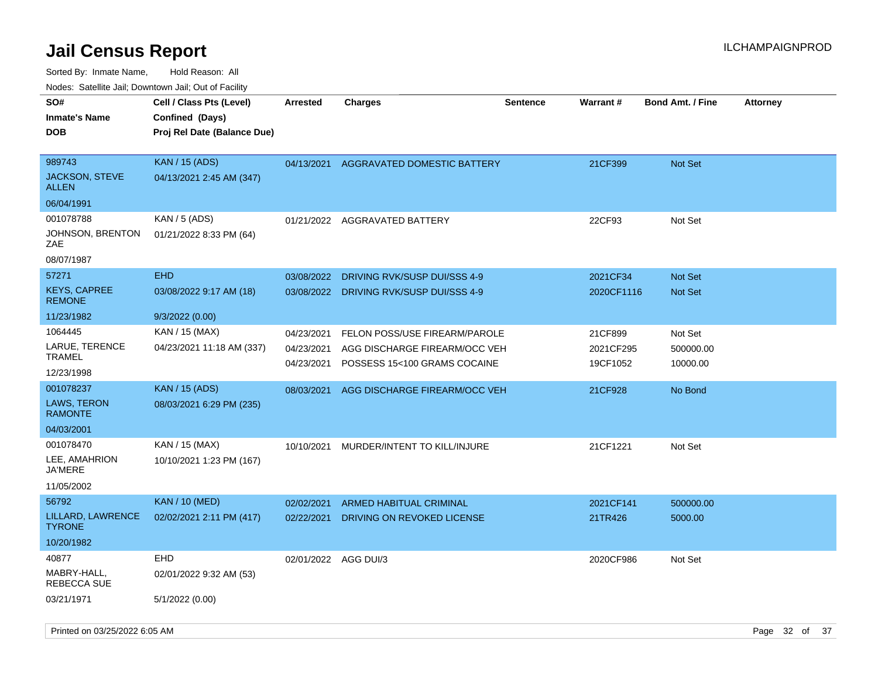| 10000. Catolino can, Domntonn can, Oat or I domt |                                                                            |                          |                                                               |                 |                       |                         |                 |
|--------------------------------------------------|----------------------------------------------------------------------------|--------------------------|---------------------------------------------------------------|-----------------|-----------------------|-------------------------|-----------------|
| SO#<br>Inmate's Name<br><b>DOB</b>               | Cell / Class Pts (Level)<br>Confined (Days)<br>Proj Rel Date (Balance Due) | <b>Arrested</b>          | Charges                                                       | <b>Sentence</b> | <b>Warrant#</b>       | <b>Bond Amt. / Fine</b> | <b>Attorney</b> |
| 989743<br>JACKSON, STEVE<br>ALLEN                | <b>KAN / 15 (ADS)</b><br>04/13/2021 2:45 AM (347)                          | 04/13/2021               | AGGRAVATED DOMESTIC BATTERY                                   |                 | 21CF399               | <b>Not Set</b>          |                 |
| 06/04/1991                                       |                                                                            |                          |                                                               |                 |                       |                         |                 |
| 001078788                                        | KAN / 5 (ADS)                                                              |                          | 01/21/2022 AGGRAVATED BATTERY                                 |                 | 22CF93                | Not Set                 |                 |
| JOHNSON, BRENTON<br>ZAE                          | 01/21/2022 8:33 PM (64)                                                    |                          |                                                               |                 |                       |                         |                 |
| 08/07/1987                                       |                                                                            |                          |                                                               |                 |                       |                         |                 |
| 57271                                            | <b>EHD</b>                                                                 | 03/08/2022               | DRIVING RVK/SUSP DUI/SSS 4-9                                  |                 | 2021CF34              | <b>Not Set</b>          |                 |
| <b>KEYS, CAPREE</b><br><b>REMONE</b>             | 03/08/2022 9:17 AM (18)                                                    | 03/08/2022               | DRIVING RVK/SUSP DUI/SSS 4-9                                  |                 | 2020CF1116            | <b>Not Set</b>          |                 |
| 11/23/1982                                       | 9/3/2022 (0.00)                                                            |                          |                                                               |                 |                       |                         |                 |
| 1064445                                          | KAN / 15 (MAX)                                                             | 04/23/2021               | FELON POSS/USE FIREARM/PAROLE                                 |                 | 21CF899               | Not Set                 |                 |
| LARUE, TERENCE<br>TRAMEL                         | 04/23/2021 11:18 AM (337)                                                  | 04/23/2021<br>04/23/2021 | AGG DISCHARGE FIREARM/OCC VEH<br>POSSESS 15<100 GRAMS COCAINE |                 | 2021CF295<br>19CF1052 | 500000.00<br>10000.00   |                 |
| 12/23/1998                                       |                                                                            |                          |                                                               |                 |                       |                         |                 |
| 001078237                                        | <b>KAN / 15 (ADS)</b>                                                      | 08/03/2021               | AGG DISCHARGE FIREARM/OCC VEH                                 |                 | 21CF928               | No Bond                 |                 |
| <b>LAWS, TERON</b><br><b>RAMONTE</b>             | 08/03/2021 6:29 PM (235)                                                   |                          |                                                               |                 |                       |                         |                 |
| 04/03/2001                                       |                                                                            |                          |                                                               |                 |                       |                         |                 |
| 001078470                                        | KAN / 15 (MAX)                                                             | 10/10/2021               | MURDER/INTENT TO KILL/INJURE                                  |                 | 21CF1221              | Not Set                 |                 |
| LEE, AMAHRION<br>JA'MERE                         | 10/10/2021 1:23 PM (167)                                                   |                          |                                                               |                 |                       |                         |                 |
| 11/05/2002                                       |                                                                            |                          |                                                               |                 |                       |                         |                 |
| 56792                                            | <b>KAN / 10 (MED)</b>                                                      | 02/02/2021               | ARMED HABITUAL CRIMINAL                                       |                 | 2021CF141             | 500000.00               |                 |
| LILLARD, LAWRENCE<br>TYRONE.                     | 02/02/2021 2:11 PM (417)                                                   | 02/22/2021               | DRIVING ON REVOKED LICENSE                                    |                 | 21TR426               | 5000.00                 |                 |
| 10/20/1982                                       |                                                                            |                          |                                                               |                 |                       |                         |                 |
| 40877                                            | EHD                                                                        | 02/01/2022 AGG DUI/3     |                                                               |                 | 2020CF986             | Not Set                 |                 |
| MABRY-HALL,<br>REBECCA SUE                       | 02/01/2022 9:32 AM (53)                                                    |                          |                                                               |                 |                       |                         |                 |
| 03/21/1971                                       | 5/1/2022 (0.00)                                                            |                          |                                                               |                 |                       |                         |                 |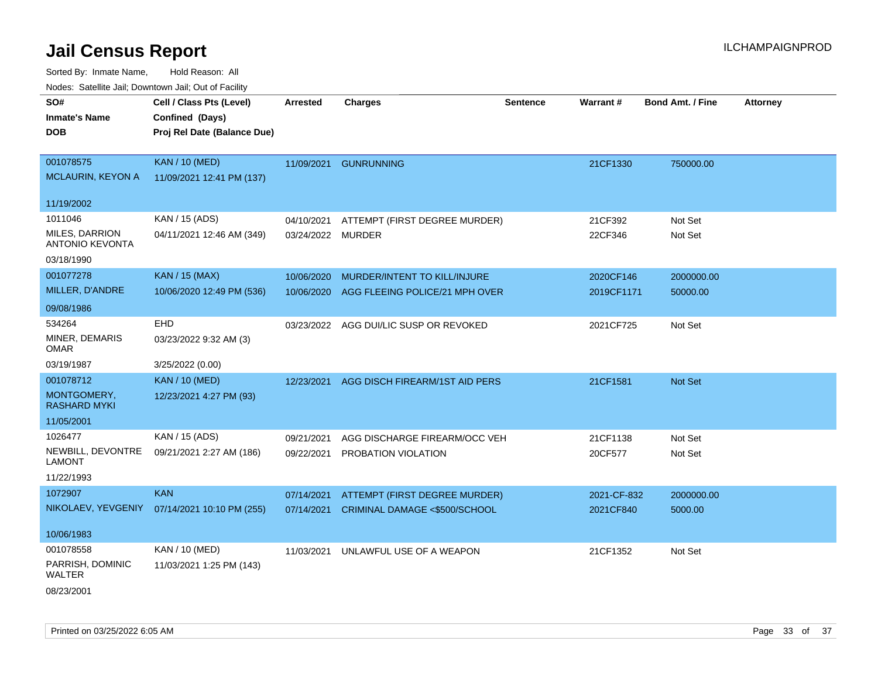| roaco. Catolino cali, Domntonn cali, Out of Facility |                                              |                   |                                        |          |             |                         |                 |
|------------------------------------------------------|----------------------------------------------|-------------------|----------------------------------------|----------|-------------|-------------------------|-----------------|
| SO#<br><b>Inmate's Name</b>                          | Cell / Class Pts (Level)<br>Confined (Days)  | <b>Arrested</b>   | <b>Charges</b>                         | Sentence | Warrant#    | <b>Bond Amt. / Fine</b> | <b>Attorney</b> |
| <b>DOB</b>                                           | Proj Rel Date (Balance Due)                  |                   |                                        |          |             |                         |                 |
|                                                      |                                              |                   |                                        |          |             |                         |                 |
| 001078575                                            | <b>KAN / 10 (MED)</b>                        | 11/09/2021        | <b>GUNRUNNING</b>                      |          | 21CF1330    | 750000.00               |                 |
| <b>MCLAURIN, KEYON A</b>                             | 11/09/2021 12:41 PM (137)                    |                   |                                        |          |             |                         |                 |
| 11/19/2002                                           |                                              |                   |                                        |          |             |                         |                 |
| 1011046                                              | KAN / 15 (ADS)                               | 04/10/2021        | ATTEMPT (FIRST DEGREE MURDER)          |          | 21CF392     | Not Set                 |                 |
| MILES, DARRION<br><b>ANTONIO KEVONTA</b>             | 04/11/2021 12:46 AM (349)                    | 03/24/2022 MURDER |                                        |          | 22CF346     | Not Set                 |                 |
| 03/18/1990                                           |                                              |                   |                                        |          |             |                         |                 |
| 001077278                                            | <b>KAN / 15 (MAX)</b>                        | 10/06/2020        | MURDER/INTENT TO KILL/INJURE           |          | 2020CF146   | 2000000.00              |                 |
| MILLER, D'ANDRE                                      | 10/06/2020 12:49 PM (536)                    | 10/06/2020        | AGG FLEEING POLICE/21 MPH OVER         |          | 2019CF1171  | 50000.00                |                 |
| 09/08/1986                                           |                                              |                   |                                        |          |             |                         |                 |
| 534264                                               | EHD                                          |                   | 03/23/2022 AGG DUI/LIC SUSP OR REVOKED |          | 2021CF725   | Not Set                 |                 |
| MINER, DEMARIS<br><b>OMAR</b>                        | 03/23/2022 9:32 AM (3)                       |                   |                                        |          |             |                         |                 |
| 03/19/1987                                           | 3/25/2022 (0.00)                             |                   |                                        |          |             |                         |                 |
| 001078712                                            | <b>KAN / 10 (MED)</b>                        | 12/23/2021        | AGG DISCH FIREARM/1ST AID PERS         |          | 21CF1581    | Not Set                 |                 |
| MONTGOMERY,<br><b>RASHARD MYKI</b>                   | 12/23/2021 4:27 PM (93)                      |                   |                                        |          |             |                         |                 |
| 11/05/2001                                           |                                              |                   |                                        |          |             |                         |                 |
| 1026477                                              | KAN / 15 (ADS)                               | 09/21/2021        | AGG DISCHARGE FIREARM/OCC VEH          |          | 21CF1138    | Not Set                 |                 |
| NEWBILL, DEVONTRE<br><b>LAMONT</b>                   | 09/21/2021 2:27 AM (186)                     | 09/22/2021        | PROBATION VIOLATION                    |          | 20CF577     | Not Set                 |                 |
| 11/22/1993                                           |                                              |                   |                                        |          |             |                         |                 |
| 1072907                                              | <b>KAN</b>                                   | 07/14/2021        | <b>ATTEMPT (FIRST DEGREE MURDER)</b>   |          | 2021-CF-832 | 2000000.00              |                 |
|                                                      | NIKOLAEV, YEVGENIY 07/14/2021 10:10 PM (255) | 07/14/2021        | CRIMINAL DAMAGE <\$500/SCHOOL          |          | 2021CF840   | 5000.00                 |                 |
| 10/06/1983                                           |                                              |                   |                                        |          |             |                         |                 |
| 001078558                                            | KAN / 10 (MED)                               | 11/03/2021        | UNLAWFUL USE OF A WEAPON               |          | 21CF1352    | Not Set                 |                 |
| PARRISH, DOMINIC<br><b>WALTER</b>                    | 11/03/2021 1:25 PM (143)                     |                   |                                        |          |             |                         |                 |
| 08/23/2001                                           |                                              |                   |                                        |          |             |                         |                 |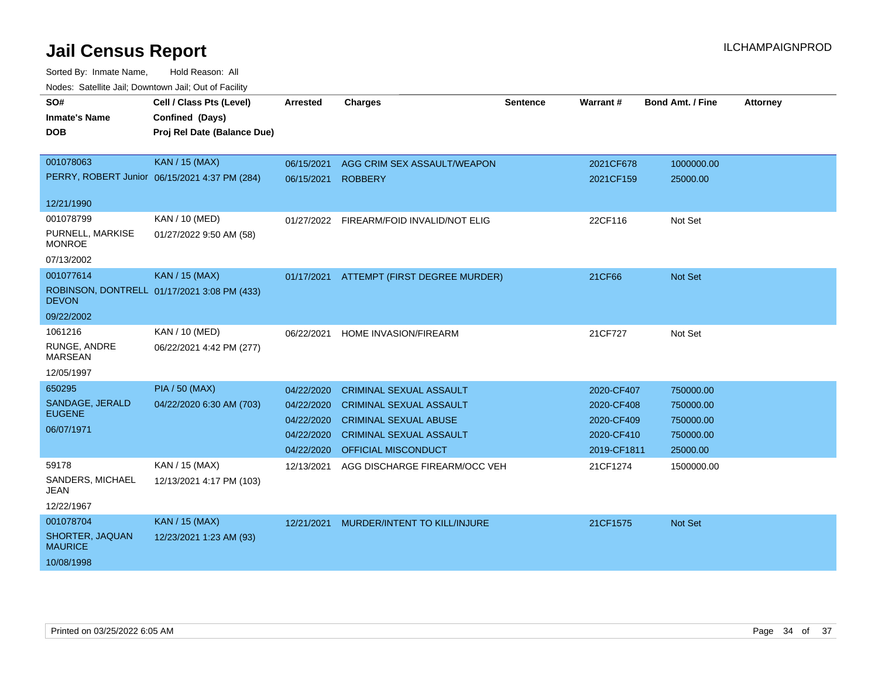| SO#<br><b>Inmate's Name</b><br>DOB | Cell / Class Pts (Level)<br>Confined (Days)<br>Proj Rel Date (Balance Due) | <b>Arrested</b> | <b>Charges</b>                 | <b>Sentence</b> | <b>Warrant#</b> | <b>Bond Amt. / Fine</b> | <b>Attorney</b> |
|------------------------------------|----------------------------------------------------------------------------|-----------------|--------------------------------|-----------------|-----------------|-------------------------|-----------------|
|                                    |                                                                            |                 |                                |                 |                 |                         |                 |
| 001078063                          | KAN / 15 (MAX)                                                             | 06/15/2021      | AGG CRIM SEX ASSAULT/WEAPON    |                 | 2021CF678       | 1000000.00              |                 |
|                                    | PERRY, ROBERT Junior 06/15/2021 4:37 PM (284)                              | 06/15/2021      | <b>ROBBERY</b>                 |                 | 2021CF159       | 25000.00                |                 |
| 12/21/1990                         |                                                                            |                 |                                |                 |                 |                         |                 |
| 001078799                          | KAN / 10 (MED)                                                             | 01/27/2022      | FIREARM/FOID INVALID/NOT ELIG  |                 | 22CF116         | Not Set                 |                 |
| PURNELL, MARKISE<br><b>MONROE</b>  | 01/27/2022 9:50 AM (58)                                                    |                 |                                |                 |                 |                         |                 |
| 07/13/2002                         |                                                                            |                 |                                |                 |                 |                         |                 |
| 001077614                          | <b>KAN / 15 (MAX)</b>                                                      | 01/17/2021      | ATTEMPT (FIRST DEGREE MURDER)  |                 | 21CF66          | <b>Not Set</b>          |                 |
| <b>DEVON</b>                       | ROBINSON, DONTRELL 01/17/2021 3:08 PM (433)                                |                 |                                |                 |                 |                         |                 |
| 09/22/2002                         |                                                                            |                 |                                |                 |                 |                         |                 |
| 1061216                            | KAN / 10 (MED)                                                             | 06/22/2021      | HOME INVASION/FIREARM          |                 | 21CF727         | Not Set                 |                 |
| RUNGE, ANDRE<br><b>MARSEAN</b>     | 06/22/2021 4:42 PM (277)                                                   |                 |                                |                 |                 |                         |                 |
| 12/05/1997                         |                                                                            |                 |                                |                 |                 |                         |                 |
| 650295                             | <b>PIA / 50 (MAX)</b>                                                      | 04/22/2020      | <b>CRIMINAL SEXUAL ASSAULT</b> |                 | 2020-CF407      | 750000.00               |                 |
| SANDAGE, JERALD                    | 04/22/2020 6:30 AM (703)                                                   | 04/22/2020      | <b>CRIMINAL SEXUAL ASSAULT</b> |                 | 2020-CF408      | 750000.00               |                 |
| <b>EUGENE</b>                      |                                                                            | 04/22/2020      | <b>CRIMINAL SEXUAL ABUSE</b>   |                 | 2020-CF409      | 750000.00               |                 |
| 06/07/1971                         |                                                                            | 04/22/2020      | <b>CRIMINAL SEXUAL ASSAULT</b> |                 | 2020-CF410      | 750000.00               |                 |
|                                    |                                                                            | 04/22/2020      | OFFICIAL MISCONDUCT            |                 | 2019-CF1811     | 25000.00                |                 |
| 59178                              | KAN / 15 (MAX)                                                             | 12/13/2021      | AGG DISCHARGE FIREARM/OCC VEH  |                 | 21CF1274        | 1500000.00              |                 |
| SANDERS, MICHAEL<br>JEAN           | 12/13/2021 4:17 PM (103)                                                   |                 |                                |                 |                 |                         |                 |
| 12/22/1967                         |                                                                            |                 |                                |                 |                 |                         |                 |
| 001078704                          | KAN / 15 (MAX)                                                             | 12/21/2021      | MURDER/INTENT TO KILL/INJURE   |                 | 21CF1575        | <b>Not Set</b>          |                 |
| SHORTER, JAQUAN<br><b>MAURICE</b>  | 12/23/2021 1:23 AM (93)                                                    |                 |                                |                 |                 |                         |                 |
| 10/08/1998                         |                                                                            |                 |                                |                 |                 |                         |                 |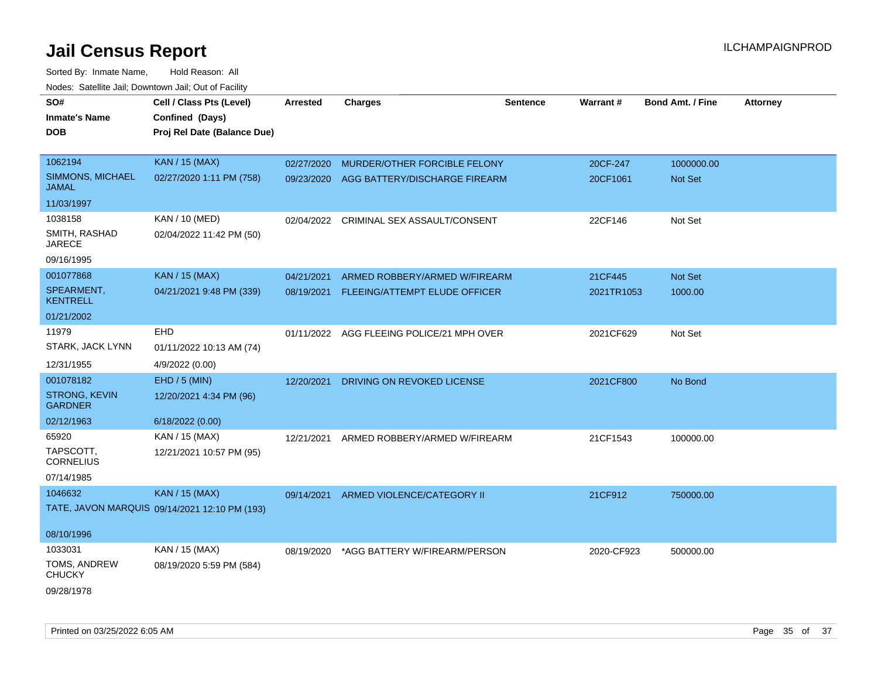| SO#                              | Cell / Class Pts (Level)                      | <b>Arrested</b> | <b>Charges</b>                            | <b>Sentence</b> | Warrant#   | <b>Bond Amt. / Fine</b> | <b>Attorney</b> |
|----------------------------------|-----------------------------------------------|-----------------|-------------------------------------------|-----------------|------------|-------------------------|-----------------|
| <b>Inmate's Name</b>             | Confined (Days)                               |                 |                                           |                 |            |                         |                 |
| <b>DOB</b>                       | Proj Rel Date (Balance Due)                   |                 |                                           |                 |            |                         |                 |
|                                  |                                               |                 |                                           |                 |            |                         |                 |
| 1062194                          | <b>KAN / 15 (MAX)</b>                         | 02/27/2020      | MURDER/OTHER FORCIBLE FELONY              |                 | 20CF-247   | 1000000.00              |                 |
| SIMMONS, MICHAEL<br><b>JAMAL</b> | 02/27/2020 1:11 PM (758)                      | 09/23/2020      | AGG BATTERY/DISCHARGE FIREARM             |                 | 20CF1061   | <b>Not Set</b>          |                 |
| 11/03/1997                       |                                               |                 |                                           |                 |            |                         |                 |
| 1038158                          | <b>KAN / 10 (MED)</b>                         | 02/04/2022      | CRIMINAL SEX ASSAULT/CONSENT              |                 | 22CF146    | Not Set                 |                 |
| SMITH, RASHAD<br><b>JARECE</b>   | 02/04/2022 11:42 PM (50)                      |                 |                                           |                 |            |                         |                 |
| 09/16/1995                       |                                               |                 |                                           |                 |            |                         |                 |
| 001077868                        | <b>KAN</b> / 15 (MAX)                         | 04/21/2021      | ARMED ROBBERY/ARMED W/FIREARM             |                 | 21CF445    | Not Set                 |                 |
| SPEARMENT,<br><b>KENTRELL</b>    | 04/21/2021 9:48 PM (339)                      | 08/19/2021      | FLEEING/ATTEMPT ELUDE OFFICER             |                 | 2021TR1053 | 1000.00                 |                 |
| 01/21/2002                       |                                               |                 |                                           |                 |            |                         |                 |
| 11979                            | EHD                                           |                 | 01/11/2022 AGG FLEEING POLICE/21 MPH OVER |                 | 2021CF629  | Not Set                 |                 |
| STARK, JACK LYNN                 | 01/11/2022 10:13 AM (74)                      |                 |                                           |                 |            |                         |                 |
| 12/31/1955                       | 4/9/2022 (0.00)                               |                 |                                           |                 |            |                         |                 |
| 001078182                        | EHD / 5 (MIN)                                 | 12/20/2021      | DRIVING ON REVOKED LICENSE                |                 | 2021CF800  | No Bond                 |                 |
| STRONG, KEVIN                    |                                               |                 |                                           |                 |            |                         |                 |
| <b>GARDNER</b>                   | 12/20/2021 4:34 PM (96)                       |                 |                                           |                 |            |                         |                 |
| 02/12/1963                       | 6/18/2022 (0.00)                              |                 |                                           |                 |            |                         |                 |
| 65920                            | KAN / 15 (MAX)                                | 12/21/2021      | ARMED ROBBERY/ARMED W/FIREARM             |                 | 21CF1543   | 100000.00               |                 |
| TAPSCOTT,<br><b>CORNELIUS</b>    | 12/21/2021 10:57 PM (95)                      |                 |                                           |                 |            |                         |                 |
| 07/14/1985                       |                                               |                 |                                           |                 |            |                         |                 |
| 1046632                          | <b>KAN / 15 (MAX)</b>                         | 09/14/2021      | ARMED VIOLENCE/CATEGORY II                |                 | 21CF912    | 750000.00               |                 |
|                                  | TATE, JAVON MARQUIS 09/14/2021 12:10 PM (193) |                 |                                           |                 |            |                         |                 |
|                                  |                                               |                 |                                           |                 |            |                         |                 |
| 08/10/1996                       |                                               |                 |                                           |                 |            |                         |                 |
| 1033031                          | KAN / 15 (MAX)                                | 08/19/2020      | *AGG BATTERY W/FIREARM/PERSON             |                 | 2020-CF923 | 500000.00               |                 |
| TOMS, ANDREW<br><b>CHUCKY</b>    | 08/19/2020 5:59 PM (584)                      |                 |                                           |                 |            |                         |                 |
| 09/28/1978                       |                                               |                 |                                           |                 |            |                         |                 |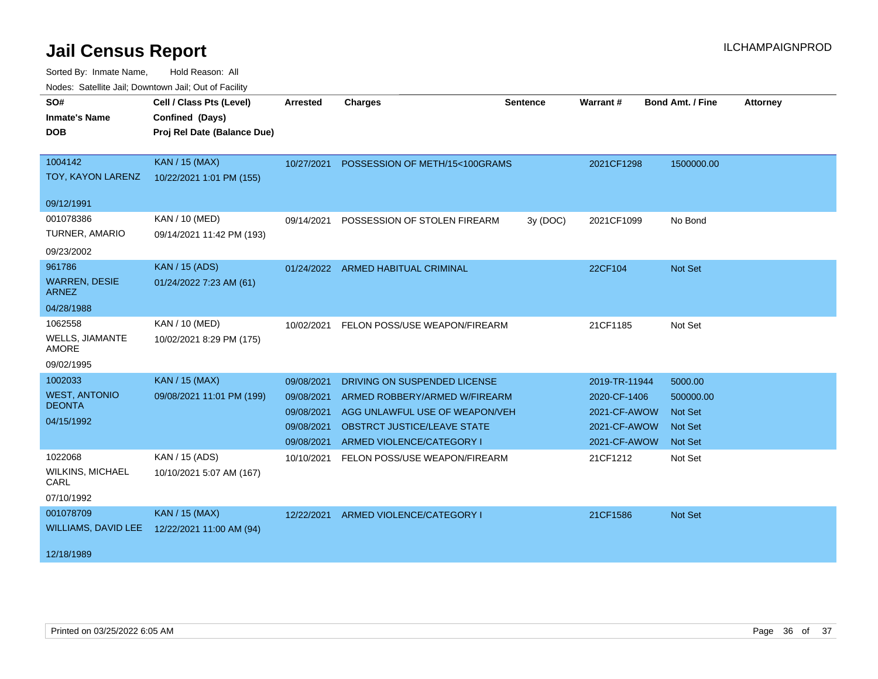| SO#                                  | Cell / Class Pts (Level)    | <b>Arrested</b> | <b>Charges</b>                 | <b>Sentence</b> | Warrant#      | <b>Bond Amt. / Fine</b> | <b>Attorney</b> |
|--------------------------------------|-----------------------------|-----------------|--------------------------------|-----------------|---------------|-------------------------|-----------------|
| <b>Inmate's Name</b>                 | Confined (Days)             |                 |                                |                 |               |                         |                 |
| <b>DOB</b>                           | Proj Rel Date (Balance Due) |                 |                                |                 |               |                         |                 |
|                                      |                             |                 |                                |                 |               |                         |                 |
| 1004142                              | <b>KAN / 15 (MAX)</b>       | 10/27/2021      | POSSESSION OF METH/15<100GRAMS |                 | 2021CF1298    | 1500000.00              |                 |
| TOY, KAYON LARENZ                    | 10/22/2021 1:01 PM (155)    |                 |                                |                 |               |                         |                 |
| 09/12/1991                           |                             |                 |                                |                 |               |                         |                 |
| 001078386                            | KAN / 10 (MED)              | 09/14/2021      | POSSESSION OF STOLEN FIREARM   | 3y (DOC)        | 2021CF1099    | No Bond                 |                 |
| TURNER, AMARIO                       | 09/14/2021 11:42 PM (193)   |                 |                                |                 |               |                         |                 |
| 09/23/2002                           |                             |                 |                                |                 |               |                         |                 |
| 961786                               | <b>KAN / 15 (ADS)</b>       | 01/24/2022      | <b>ARMED HABITUAL CRIMINAL</b> |                 | 22CF104       | Not Set                 |                 |
| <b>WARREN, DESIE</b><br><b>ARNEZ</b> | 01/24/2022 7:23 AM (61)     |                 |                                |                 |               |                         |                 |
| 04/28/1988                           |                             |                 |                                |                 |               |                         |                 |
| 1062558                              | KAN / 10 (MED)              | 10/02/2021      | FELON POSS/USE WEAPON/FIREARM  |                 | 21CF1185      | Not Set                 |                 |
| WELLS, JIAMANTE<br><b>AMORE</b>      | 10/02/2021 8:29 PM (175)    |                 |                                |                 |               |                         |                 |
| 09/02/1995                           |                             |                 |                                |                 |               |                         |                 |
| 1002033                              | <b>KAN / 15 (MAX)</b>       | 09/08/2021      | DRIVING ON SUSPENDED LICENSE   |                 | 2019-TR-11944 | 5000.00                 |                 |
| <b>WEST, ANTONIO</b>                 | 09/08/2021 11:01 PM (199)   | 09/08/2021      | ARMED ROBBERY/ARMED W/FIREARM  |                 | 2020-CF-1406  | 500000.00               |                 |
| <b>DEONTA</b>                        |                             | 09/08/2021      | AGG UNLAWFUL USE OF WEAPON/VEH |                 | 2021-CF-AWOW  | <b>Not Set</b>          |                 |
| 04/15/1992                           |                             | 09/08/2021      | OBSTRCT JUSTICE/LEAVE STATE    |                 | 2021-CF-AWOW  | <b>Not Set</b>          |                 |
|                                      |                             | 09/08/2021      | ARMED VIOLENCE/CATEGORY I      |                 | 2021-CF-AWOW  | <b>Not Set</b>          |                 |
| 1022068                              | KAN / 15 (ADS)              | 10/10/2021      | FELON POSS/USE WEAPON/FIREARM  |                 | 21CF1212      | Not Set                 |                 |
| <b>WILKINS, MICHAEL</b><br>CARL      | 10/10/2021 5:07 AM (167)    |                 |                                |                 |               |                         |                 |
| 07/10/1992                           |                             |                 |                                |                 |               |                         |                 |
| 001078709                            | <b>KAN / 15 (MAX)</b>       | 12/22/2021      | ARMED VIOLENCE/CATEGORY I      |                 | 21CF1586      | Not Set                 |                 |
| <b>WILLIAMS, DAVID LEE</b>           | 12/22/2021 11:00 AM (94)    |                 |                                |                 |               |                         |                 |
| 12/18/1989                           |                             |                 |                                |                 |               |                         |                 |